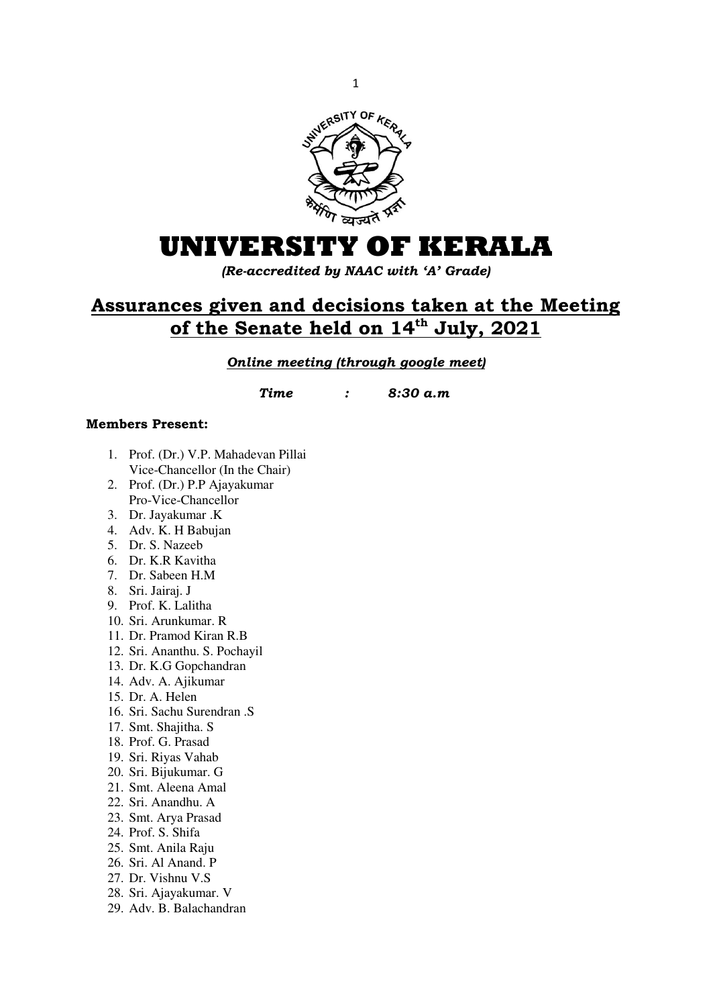

# **UNIVERSITY OF KERALA**

*(Re-accredited by NAAC with 'A' Grade)* 

# **Assurances given and decisions taken at the Meeting of the Senate held on 14th July, 2021**

## *Online meeting (through google meet)*

*Time : 8:30 a.m* 

## **Members Present:**

- 1. Prof. (Dr.) V.P. Mahadevan Pillai Vice-Chancellor (In the Chair)
- 2. Prof. (Dr.) P.P Ajayakumar Pro-Vice-Chancellor
- 3. Dr. Jayakumar .K
- 4. Adv. K. H Babujan
- 5. Dr. S. Nazeeb
- 6. Dr. K.R Kavitha
- 7. Dr. Sabeen H.M
- 8. Sri. Jairaj. J
- 9. Prof. K. Lalitha
- 10. Sri. Arunkumar. R
- 11. Dr. Pramod Kiran R.B
- 12. Sri. Ananthu. S. Pochayil
- 13. Dr. K.G Gopchandran
- 14. Adv. A. Ajikumar
- 15. Dr. A. Helen
- 16. Sri. Sachu Surendran .S
- 17. Smt. Shajitha. S
- 18. Prof. G. Prasad
- 19. Sri. Riyas Vahab
- 20. Sri. Bijukumar. G
- 21. Smt. Aleena Amal
- 22. Sri. Anandhu. A
- 23. Smt. Arya Prasad
- 24. Prof. S. Shifa
- 25. Smt. Anila Raju
- 26. Sri. Al Anand. P
- 27. Dr. Vishnu V.S
- 28. Sri. Ajayakumar. V
- 29. Adv. B. Balachandran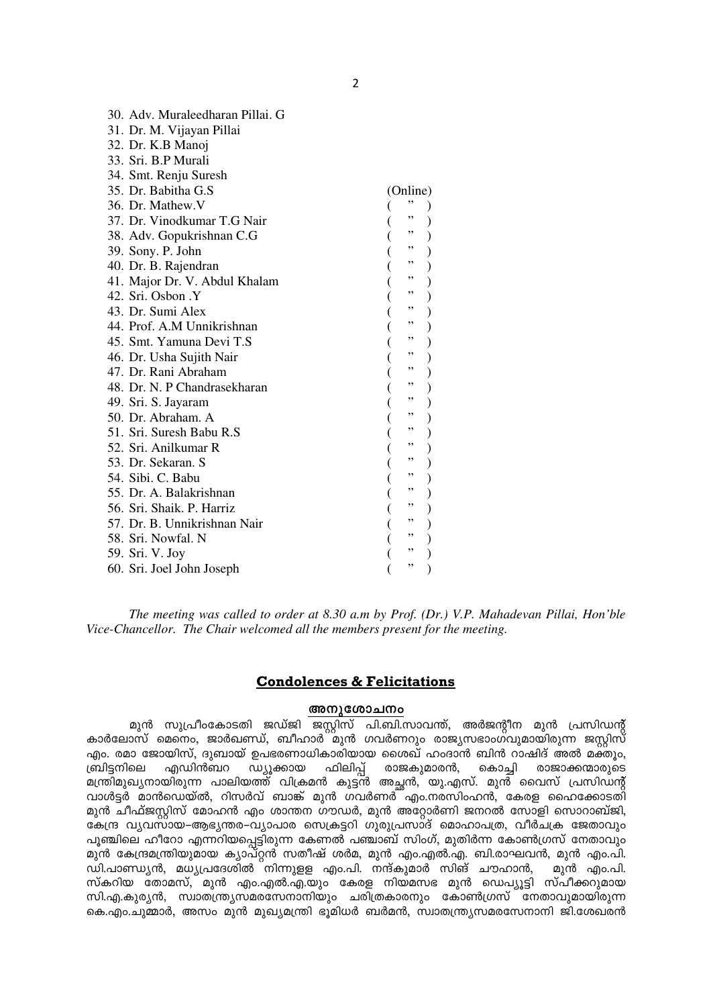| 30. Adv. Muraleedharan Pillai. G |          |  |
|----------------------------------|----------|--|
| 31. Dr. M. Vijayan Pillai        |          |  |
| 32. Dr. K.B Manoj                |          |  |
| 33. Sri. B.P Murali              |          |  |
| 34. Smt. Renju Suresh            |          |  |
| 35. Dr. Babitha G.S.             | (Online) |  |
| 36. Dr. Mathew.V                 | ,,       |  |
| 37. Dr. Vinodkumar T.G Nair      | ,,       |  |
| 38. Adv. Gopukrishnan C.G        | "<br>"   |  |
| 39. Sony. P. John                |          |  |
| 40. Dr. B. Rajendran             | ,,       |  |
| 41. Major Dr. V. Abdul Khalam    | ,,       |  |
| 42. Sri. Osbon .Y                | ,,       |  |
| 43. Dr. Sumi Alex                | ,,       |  |
| 44. Prof. A.M Unnikrishnan       | ,,       |  |
| 45. Smt. Yamuna Devi T.S         | ,,       |  |
| 46. Dr. Usha Sujith Nair         | ,,       |  |
| 47. Dr. Rani Abraham             | ,,       |  |
| 48. Dr. N. P Chandrasekharan     | ,,       |  |
| 49. Sri. S. Jayaram              | ,,       |  |
| 50. Dr. Abraham. A               | ,,       |  |
| 51. Sri. Suresh Babu R.S         | ,,       |  |
| 52. Sri. Anilkumar R             | ,,       |  |
| 53. Dr. Sekaran. S               | ,,       |  |
| 54. Sibi. C. Babu                | ,,       |  |
| 55. Dr. A. Balakrishnan          | ,,       |  |
| 56. Sri. Shaik. P. Harriz        | ,,       |  |
| 57. Dr. B. Unnikrishnan Nair     | ,,       |  |
| 58. Sri. Nowfal. N               | ,,       |  |
| 59. Sri. V. Joy                  | ,,       |  |
| 60. Sri. Joel John Joseph        | ,,       |  |

*The meeting was called to order at 8.30 a.m by Prof. (Dr.) V.P. Mahadevan Pillai, Hon'ble Vice-Chancellor. The Chair welcomed all the members present for the meeting.* 

### **Condolences & Felicitations**

#### **അനുശോചനം**

മുൻ സുപ്രീംകോടതി ജഡ്ജി ജസ്റ്റിസ് പി.ബി.സാവന്ത്, അർജന്റീന മുൻ പ്രസിഡന്റ് കാർലോസ് മെനെം, ജാർഖണ്ഡ്, ബീഹാർ`്മുൻ ഗവർണറും രാജ്യസഭാംഗ്വുമായിരുന്ന ജസ്റ്റിസ് എം. രമാ ജോയിസ്, ദുബായ് ഉപഭരണാധികാരിയായ ശൈഖ് ഹംദാൻ ബിൻ റാഷിദ് അൽ മക്തൂം, m്രിട്ടനിലെ എഡിൻബറ ഡ്യൂക്കായ ഫിലിപ്പ് രാജകുമാരൻ, കൊച്ചി രാജാക്കന്മാരുടെ മന്ത്രിമുഖ്യനായിരുന്ന പാലിയത്ത് വിക്രമൻ കുട്ടൻ അച്ഛൻ, യു.എസ്. മുൻ വൈസ് പ്രസിഡന്റ് ിവാൾട്ടർ മാൻഡെയ്ൽ, റിസർവ് ബാങ്ക് മുൻ ഗവർണർ എം.നരസിംഹൻ, കേരള ഹൈക്കോടതി മുൻ ചീഫ്ജസ്റ്റിസ് മോഹൻ എം ശാന്തന ഗൗഡർ, മുൻ അറ്റോർണി ജനറൽ സോളി സൊറാബ്ജി, കേന്ദ്ര വ്യവസായ–ആഭൃന്തര–വ്യാപാര സെക്രട്ടറി ഗുരുപ്രസാദ് മൊഹാപത്ര, വീർചക്ര ജേതാവും പൂഞ്ചിലെ ഹീറോ എന്നറിയപ്പെട്ടിരുന്ന കേണൽ പഞ്ചാബ് സിംഗ്, മുതിർന്ന കോൺഗ്രസ് നേതാവും \_മുൻ കേന്ദ്രമന്ത്രിയുമായ ക്യാപ്റ്റൻ സതീഷ് ശർമ, മുൻ എം.എൽ.എ. ബി.രാഘവൻ, മുൻ എം.പി.<br>ഡി.പാണ്ഡ്യൻ, മധ്യപ്രദേശിൽ നിന്നുള്ള എം.പി. നന്ദ്കുമാർ സിങ് ചൗഹാൻ, \_ മുൻ എം.പി.  $\tilde{\mathbf{w}}$ ി.പാണ്ഡ്യൻ, മധ്യപ്രദേശിൽ നിന്നുളള എം.പി. നന്ദ്കുമാർ സിങ് ചൗഹാൻ, സ്കറിയ തോമസ്, മുൻ എം.എൽ.എ.യും കേരള നിയമസഭ മുൻ ഡെപ്യൂട്ടി സ്പീക്കറുമായ സി.എ.കുര്യൻ, സ്വാതന്ത്ര്യസമരസേനാനിയും ചരിത്രകാരനും കോൺഗ്രസ് നേതാവുമായിരുന്ന കെ.എം.ചുമ്മാർ, അസം മുൻ മുഖ്യമന്ത്രി ഭൂമിധർ ബർമൻ, സ്വാതന്ത്ര്യസമരസേനാനി ജി.ശേഖരൻ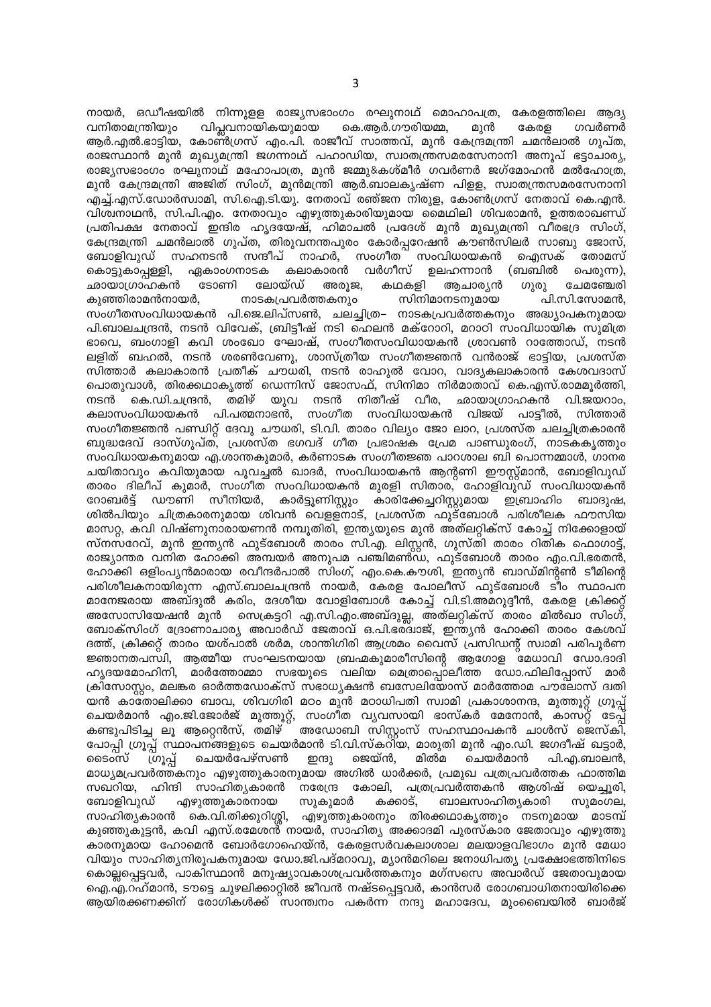നായർ, ഒഡീഷയിൽ നിന്നുള്ള രാജ്യസഭാംഗം രഘുനാഥ് മൊഹാപത്ര, കേരളത്തിലെ ആദ്യ വിപ്ലവനായികയുമായ കെ.ആർ.ഗൗരിയമ്മ. വനിതാമന്ത്രിയും മുൻ കേരള ഗവർണർ ആർ.എൽ.ഭാട്ടിയ, കോണ്ർഗ്രസ് എം.പി. രാജീവ് സാത്തവ്, മുൻ കേന്ദ്രമന്ത്രി ചമൻലാൽ ഗുപ്ത, രാജസ്ഥാൻ മുൻ മുഖ്യമന്ത്രി ജഗന്നാഥ് പഹാഡിയ, സ്വാതന്ത്രസമരസേനാനി അനൂപ് ഭട്ടാചാര്യ, രാജ്യസഭാംഗം രഘുനാഥ് മഹോപാത്ര, മുൻ ജമ്മു&കശ്മീർ ഗവർണർ ജഗ്മോഹൻ മൽഹോത്ര, മുൻ കേന്ദ്രമന്ത്രി അജിത് സിംഗ്, മുൻമന്ത്രി ആർ.ബാലകൃഷ്ണ പിള്ള, സ്വാതന്ത്രസമരസേനാനി എച്ച്.എസ്.ഡോർസ്വാമി, സി.ഐ.ടി.യു. നേതാവ് രഞ്ജന നിരുള, കോൺഗ്രസ് നേതാവ് കെ.എൻ. വിശ്ചനാഥൻ, സി.പി.എം. നേതാവും എഴുത്തുകാരിയുമായ മൈഥിലി ശിവരാമൻ, ഉത്തരാഖണ്ഡ് പ്രതിപക്ഷ നേതാവ് ഇന്ദിര ഹൃദയേഷ്, ഹിമാചൽ പ്രദേശ് മുൻ മുഖ്യമന്ത്രി വീരഭദ്ര സിംഗ്, കേന്ദ്രമന്ത്രി ചമൻലാൽ ഗുപ്ത, തിരുവനന്തപുരം കോർപ്പറേഷൻ കൗൺസിലർ സാബു ജോസ്, ബോളിവുഡ് സഹനടൻ സന്ദീപ് നാഹർ. സംഗീത<sup>്</sup> -<br>സംവിധായകൻ ഐസക് തോമസ് കലാകാരൻ വർഗീസ് (ബബിൽ കൊട്ടുകാപ്പള്ളി, ഏകാംഗനാടക ഉലഹന്നാൻ പെരുന്ന). ഛായാഗ്രാഹകൻ ടോണി ലോയ്ഡ് അരുജ. കഥകളി ആചാര്യൻ ທາທາ ചേമഞ്ചേരി സിനിമാനടനുമായ ക്വഞ്ഞിരാമൻനായർ. നാടകപ്രവർത്തകനും പി.സി.സോമൻ. സംഗീതസംവിധായകൻ പി.ജെ.ലിപ്സൺ, ചലച്ചിത്ര– നാടകപ്രവർത്തകനും അദ്ധ്യാപകനുമായ പി.ബാലചന്ദ്രൻ, നടൻ വിവേക്, ബ്രിട്ടീഷ് നടി ഹെലൻ മക്റോറി, മറാഠി സംവിധായിക സുമിത്ര ഭാവെ, ബംഗാളി കവി ശംഖോ ഘോഷ്, സംഗീതസംവിധായകൻ ശ്രാവൺ റാത്തോഡ്, നടൻ ലളിത് ബഹൽ, നടൻ ശരൺവേണു, ശാസ്ത്രീയ സംഗീതജ്ഞൻ വൻരാജ് ഭാട്ടിയ, പ്രശസ്ത സിത്താർ കലാകാരൻ പ്രതീക് ചൗധരി, നടൻ രാഹുൽ വോറ, വാദൃകലാകാരൻ കേശവദാസ് പൊതുവാൾ, തിരക്കഥാകൃത്ത് ഡെന്നിസ് ജോസഫ്, സിനിമാ നിർമാതാവ് കെ.എസ്.രാമമൂർത്തി, കെ.ഡി.ചന്ദ്രൻ, തമിഴ് യുവ നടൻ നിതീഷ് വീര, ഛായാഗ്രാഹകൻ വി.ജയറാം, നടൻ കലാസംവിധായകൻ പി.പത്മനാഭൻ, സംഗീത സംവിധായകൻ വിജയ് പാട്ടീൽ, സിത്താർ സംഗീതജ്ഞൻ പണ്ഡിറ്റ് ദേവു ചൗധരി, ടി.വി. താരം വില്യം ജോ ലാറ, പ്രശസ്ത ചലച്ചിത്രകാരൻ ബുദ്ധദേവ് ദാസ്ഗുപ്ത്, പ്രശസ്ത ഭഗവദ് ഗീത പ്രഭാഷക പ്രേമ പാണ്ഡുരംഗ്, നാടകകൃത്തും സംവിധായകനുമായ എ.ശാന്തകുമാർ, കർണാടക സംഗീതജ്ഞ പാറശാല ബി പൊന്നമ്മാൾ, ഗാനര ചയിതാവും കവിയുമായ പൂവച്ചൽ ഖാദർ, സംവിധായകൻ ആന്റണി ഈസ്റ്റ്മാൻ, ബോളിവുഡ് താരം ദിലീപ് കുമാർ, സംഗീത സംവിധായകൻ മുരളി സിതാര, ഹോളിവുഡ് സംവിധായകൻ റോബർട് ഡൗണി സീനിയർ, കാർട്ടൂണിസ്റ്റും കാരിക്കേച്ചറിസ്റ്റുമായ ഇബ്രാഹിം ബാദുഷ, ശിൽപിയും ചിത്രകാരനുമായ ശിവൻ വെള്ളനാട്, പ്രശസ്ത ഫുട്ബോൾ പരിശീലക ഫൗസിയ മാസറ്റ, കവി വിഷ്ണുനാരായണൻ നമ്പൂതിരി, ഇന്ത്യയുടെ മുൻ അത്ലറ്റിക്സ് കോച്ച് നിക്കോളായ് സ്നസറേവ്, മൂൻ ഇന്ത്യൻ ഫുട്ബോൾ താരം സി.എ. ലിസൻ, ഗുസ്തി താരം റിതിക ഫൊഗാട്ട്. രാജ്യാന്തര വനിത ഹോക്കി അമ്പയർ അനുപമ പഞ്ചിമൺഡ, ഫുട്ബോൾ താരം എം.വി.ഭരതൻ, ഹോക്കി ഒളിംപ്യൻമാരായ രവീന്ദർപാൽ സിംഗ്, എം.കെ.കൗശി, ഇന്ത്യൻ ബാഡ്മിന്റൺ ടീമിന്റെ പരിശീലകനായിരുന്ന എസ്.ബാലചന്ദ്രൻ നായർ, കേരള പോലീസ് ഫുട്ബോൾ ടീം സ്ഥാപന മാനേജരായ അബ്ദുൽ കരിം, ദേശീയ വോളിബോൾ കോച്ച് വി.ടി.അമറുദ്ദീൻ, കേരള ക്രിക്കറ്റ് അസോസിയേഷൻ മുൻ സെക്രട്ടറി എ.സി.എം.അബ്ദുല്ല, അത്ലറ്റിക്സ് താരം മിൽഖാ സിംഗ്, ബോക്സിംഗ് ദ്രോണാചാര്യ അവാർഡ് ജേതാവ് ഒ.പി.ഭര്ദ്വാജ്, ഇന്ത്യൻ ഹോക്കി താരം കേശവ് ദത്ത്. ക്രിക്കറ് താരം യശ്പാൽ ശർമ. ശാന്തിഗിരി ആശ്രമം വൈസ് പ്രസിഡന്റ് സ്വാമി പരിപൂർണ ജ്ഞാനതപസ്ഥി, ആത്മീയ സംഘടനയായ ബ്രഹ്മകുമാരീസിന്റെ ആഗോള മേധാവി ഡോ.ദാദി ഹൃദയമോഹിനി, മാർത്തോമ്മാ സഭയുടെ വലിയ മെത്രാപ്പൊലീത്ത ഡോ.ഫിലിപ്പോസ് മാർ ക്രിസോസ്ലം, മലങ്കര ഓർത്തഡോക്സ് സഭാധ്യക്ഷൻ ബസേലിയോസ് മാർത്തോമ പൗലോസ് ദ്വതി യൻ കാതോലിക്കാ ബാവ, ശിവഗിരി മഠം മുൻ മഠാധിപതി സ്വാമി പ്രകാശാനന്ദ, മുത്തൂറ്റ് ഗ്രൂപ്പ് ചെയർമാൻ എം.ജി.ജോർജ് മുത്തൂറ്റ്, സംഗീത വ്യവസായി ഭാസ്കർ മേനോൻ, കാസ്റ്റ് ടേപ്പ് കണ്ടുപിടിച്ച ലൂ ആറെൻസ്, തമിഴ് അഡോബി സിസ്റ്റംസ് സഹസ്ഥാപകൻ ചാൾസ് ജെസ്കി. പോപ്പി ഗ്രൂപ്പ് സ്ഥാപനങ്ങളുടെ ചെയർമാൻ ടി.വി.സ്കറി്യ, മാരുതി മുൻ എം.ഡി. ജഗദീഷ് ഖട്ടാർ, ഗ്രൂപ്പ് ചെയർപേഴ്സൺ ജെയ്ൻ. മിൽമ ചെയർമാൻ ടൈംസ് ഇന്ദു പി.എ.ബാലൻ. മാധ്യമപ്രവർത്തകനും എഴുത്തുകാരനുമായ അഗിൽ ധാർക്കർ, പ്രമുഖ പത്രപ്രവർത്തക ഫാത്തിമ സഖറിയ, ഹിന്ദി സാഹിത്യകാരൻ നരേന്ദ്ര കോലി, പത്രപ്രവർത്തകൻ ആശിഷ് യെച്ചുരി, ബോളിവുഡ് എഴുത്തുകാരനായ സൂകൂമാർ കക്കാട്. ബാലസാഹിത്യകാരി സൂമംഗല, സാഹിത്യകാരൻ കെ.വി.തിക്കുറിശ്ശി, എഴുത്തുകാരനും തിരക്കഥാകൃത്തും നടനുമായ മാടമ്പ് കുഞ്ഞുകൂട്ടൻ, കവി എസ്.രമേശൻ് നായർ, സാഹിത്യ അക്കാദമി പുരസ്കാര ജേതാവും എഴുത്തു കാരനുമായ ഹോമെൻ ബോർഗോഹെയ്ൻ, കേരളസർവകലാശാല മലയാളവിഭാഗം മുൻ മേധാ . കൊലപെട്ടവർ, പാകിസ്ഥാൻ മനുഷ്യാവകാശ്യപവർത്തകനും മഗ്സസെ അവാർഡ് ജേതാവുമായ ഐ.എ.റഹ്മാൻ, ടൗട്ടെ ചുഴലിക്കാറ്റിൽ ജീവൻ നഷ്ടപ്പെട്ടവർ, കാൻസർ രോഗബാധിതനായിരിക്കെ ആയിരക്കണക്കിന് രോഗികൾക്ക് സാന്ത്വനം പകർന്ന<sup>്</sup> നന്ദു മഹാദേവ, മുംബൈയിൽ ബാർജ്

3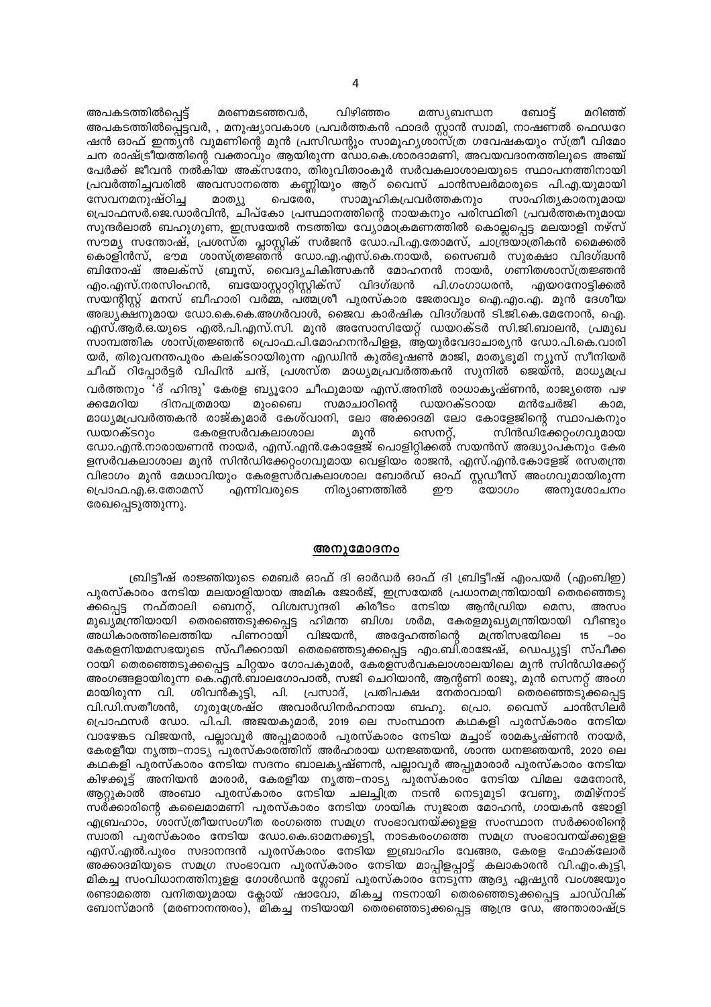വിഴിഞ്ഞം ബോട്ട് അപകടത്തിൽപ്പെട്ട് മരണമടഞ്ഞവർ, മത്സ്യബന്ധന മറിഞ്ഞ് അപകടത്തിൽപ്പെട്ടവർ, , മനുഷ്യാവകാശ പ്രവർത്തകൻ ഫാദർ സ്റ്റാൻ സ്വാമി, നാഷണൽ ഫെഡറേ ഷൻ ഓഫ് ഇന്ത്യൻ വുമണിന്റെ മുൻ പ്രസിഡന്റും സാമൂഹ്യശാസ്ത്ര ഗവേഷകയും സ്ത്രീ വിമോ ചന രാഷ്ട്രീയത്തിന്റെ വക്താവും ആയിരുന്ന ഡോ.കെ.ശാരദാമണി, അവയവദാനത്തിലൂടെ അഞ്ച് പേർക്ക് ജീവൻ നൽകിയ അക്സനോ, തിരുവിതാംകൂർ സർവകലാശാലയുടെ സ്ഥാപനത്തിനായി പ്രവർത്തിച്ചവരിൽ അവസാനത്തെ കണ്ണിയും ആറ് വൈസ് ചാൻസലർമാരുടെ പി.എ.യുമായി സാമൂഹികപ്രവർത്തകനും സേവനമനുഷ്ഠിച്ച സാഹിത്യകാരനുമായ മാത്യു പെരേര, പ്രൊഫസർ.ജെ.ഡാർവിൻ, ചിപ്കോ പ്രസ്ഥാനത്തിന്റെ നായകനും പരിസ്ഥിതി പ്രവർത്തകനുമായ സുന്ദർലാൽ ബഹുഗുണ, ഇസ്രയേൽ നടത്തിയ വ്യോമാക്രമണത്തിൽ കൊല്ലപ്പെട്ട മലയാളി നഴ്സ് സൗമ്യ സന്തോഷ്, പ്രശസ്ത പ്ലാസ്റ്റിക് സർജൻ ഡോ.പി.എ.തോമസ്, ചാന്ദ്രയാത്രികൻ മൈക്കൽ കൊളിൻസ്, ഭൗമ ശാസ്ത്രജ്ഞന്ദ് ഡോ.എ.എസ്.കെ.നായർ, സൈബർ സുരക്ഷാ വിദഗ്ദ്ധൻ ബിനോഷ് അലക്സ് ബ്രുസ്, വൈദ്യചികിത്സകൻ മോഹനൻ നായർ, ഗണിതശാസ്ത്രജ്ഞൻ എം.എസ്.നരസിംഹൻ, ബയോസ്റ്റാറ്റിസ്റ്റിക്സ് വിദഗ്ദ്ധൻ പി.ഗംഗാധരൻ, എയറനോട്ടിക്കൽ സയന്റിസ്റ്റ് മനസ് ബീഹാരി വർമ്മ, പത്മശ്രീ പുരസ്കാര ജേതാവും ഐ.എം.എ. മുൻ ദേശീയ അദ്ധ്യക്ഷനുമായ ഡോ.കെ.കെ.അഗർവാൾ, ജൈവ കാർഷിക വിദഗ്ദ്ധൻ ടി.ജി.കെ.മേനോൻ, ഐ. എസ്.ആർ.ഒ.യുടെ എൽ.പി.എസ്.സി. മുൻ അസോസിയേറ്റ് ഡയറക്ടർ സി.ജി.ബാലൻ, പ്രമുഖ സാമ്പത്തിക ശാസ്ത്രജ്ഞൻ പ്രൊഫ.പി.മോഹനൻപിളള, ആയുർവേദാചാര്യൻ ഡോ.പി.കെ.വാരി യർ, തിരുവനന്തപുരം കലക്ടറായിരുന്ന എഡ്വിൻ കുൽഭൂഷൺ മാജി, മാതൃഭൂമി ന്യൂസ് സീനിയർ ചീഫ് റിപ്പോർട്ടർ വിപിൻ ചന്ദ്, പ്രശസ്ത മാധ്യമപ്രവർത്തകൻ സുനിൽ ജെയ്ൻ, മാധ്യമപ്ര വർത്തനും 'ദ് ഹിന്ദു' കേരള ബ്യൂറോ ചീഫുമായ എസ്.അനിൽ രാധാകൃഷ്ണൻ, രാജ്യത്തെ പഴ ക്കമേറിയ ദിനപത്രമായ മുംബൈ സമാചാറിന്റെ ഡയറക്ടറായ മൻചേർജി കാമ. മാധ്യമപ്രവർത്തകൻ രാജ്കുമാർ കേശ്വാനി, ലോ അക്കാദമി ലോ കോളേജിന്റെ സ്ഥാപകനും ഡയറക്ടറും കേരളസർവകലാശാല മുൻ സെനറ്റ്, സിൻഡിക്കേറ്റംഗവുമായ ഡോ.എൻ.നാരായണൻ നായർ, എസ്.എൻ.കോളേജ് പൊളിറ്റിക്കൽ സയൻസ് അദ്ധ്യാപകനും കേര ളസർവകലാശാല മുൻ സിൻഡിക്കേറ്റംഗവുമായ വെളിയം രാജൻ, എസ്.എൻ.കോളേജ് രസതന്ത്ര വിഭാഗം മുൻ മേധാവിയും കേരളസർവകലാശാല ബോർഡ് ഓഫ് സ്റ്റഡീസ് അംഗവുമായിരുന്ന പ്രൊഫ.എ.ഒ.തോമസ് എന്നിവരുടെ നിര്യാണത്തിൽ ഈ concos അനുശോചനം രേഖപ്പെടുത്തുന്നു.

#### അനുമോദനം

ബ്രിട്ടീഷ് രാജ്ഞിയുടെ മെബർ ഓഫ് ദി ഓർഡർ ഓഫ് ദി ബ്രിട്ടീഷ് എംപയർ (എംബിഇ) പുരസ്കാരം നേടിയ മലയാളിയായ അമിക ജോർജ്, ഇസ്രയേൽ പ്രധാനമന്ത്രിയായി തെരഞ്ഞെടു നഫ്താലി ബെനറ്റ്, വിശ്വസുന്ദരി കിരീടം നേടിയ ആൻഡ്രിയ മെസ, ക്കപ്പെട്ട അസം മുഖ്യമന്ത്രിയായി തെരഞ്ഞെടുക്കപ്പെട്ട ഹിമന്ത ബിശ്വ ശർമ, കേരളമുഖ്യമന്ത്രിയായി വീണ്ടും അധികാരത്തിലെത്തിയ പിണറായി വിജയൻ, അദ്ദേഹത്തിന്റെ മന്ത്രിസഭയിലെ 15  $-90$ കേരളനിയമസഭയുടെ സ്പീക്കറായി തെരഞ്ഞെടുക്കപ്പെട്ട എം.ബി.രാജേഷ്, ഡെപ്യൂട്ടി സ്പീക്ക റായി തെരഞ്ഞെടുക്കപ്പെട്ട ചിറ്റയം ഗോപകുമാർ, കേരളസർവകലാശാലയിലെ മുൻ സിൻഡിക്കേറ്റ് അംഗങ്ങളായിരുന്ന കെ.എൻ.ബാലഗോപാൽ, സജി ചെറിയാൻ, ആന്റണി രാജു, മുൻ സെനറ്റ് അംഗ <sup>്</sup> തെരഞ്ഞെടുക്കപ്പെട്ട ശിവൻകുട്ടി, മായിരുന്ന വി. പി. പ്രസാദ്, പ്രതിപക്ഷ നേതാവായി വി.ഡി.സതീശൻ, ഗുരുശ്രേഷ്ഠ അവാർഡിനർഹനായ ബഹു. പ്രൊ. വൈസ് ചാൻസിലർ പ്രൊഫസർ ഡോ. പി.പി. അജയകുമാർ, 2019 ലെ സംസ്ഥാന കഥകളി പുരസ്കാരം നേടിയ വാഴേങ്കട വിജയൻ, പല്ലാവൂർ അപ്പുമാരാർ പുരസ്കാരം നേടിയ മച്ചാട് രാമകൃഷ്ണൻ നായർ, കേരളീയ നൃത്ത–നാട്യ പുരസ്കാരത്തിന് അർഹരായ ധനജ്ഞയൻ, ശാന്ത ധനജ്ഞയൻ, 2020 ലെ കഥകളി പുരസ്കാരം നേടിയ സദനം ബാലകൃഷ്ണൻ, പല്ലാവൂർ അപ്പുമാരാർ പുരസ്കാരം നേടിയ കിഴക്കൂട്ട് അനിയൻ മാരാർ, കേരളീയ നൃത്ത–നാട്യ പുരസ്കാരം നേടിയ വിമല മേനോൻ, ആറ്റുകാൽ അംബാ പുരസ്കാരം നേടിയ ചലച്ചിത്ര നടൻ നെടുമുടി വേണു, തമിഴ്നാട് സർക്കാരിന്റെ കലൈമാമണി പുരസ്കാരം നേടിയ ഗായിക സുജാത മോഹൻ, ഗായകൻ ജോളി എബ്രഹാം, ശാസ്ത്രീയസംഗീത രംഗത്തെ സമഗ്ര സംഭാവനയ്ക്കുളള സംസ്ഥാന സർക്കാരിന്റെ സ്വാതി പുരസ്കാരം നേടിയ ഡോ.കെ.ഓമനക്കുട്ടി, നാടകരംഗത്തെ സമഗ്ര സംഭാവനയ്ക്കുളള എസ്.എൽ.പുരം സദാനന്ദൻ പുരസ്കാരം നേടിയ ഇബ്രാഹിം വേങ്ങര, കേരള ഫോക്ലോർ അക്കാദമിയുടെ സമഗ്ര സംഭാവന പുരസ്കാരം നേടിയ മാപ്പിളപ്പാട്ട് കലാകാരൻ വി.എം.കുട്ടി, മികച്ച സംവിധാനത്തിനുളള ഗോൾഡൻ ഗ്ലോബ് പുരസ്കാരം നേടുന്ന ആദ്യ ഏഷ്യൻ വംശജയും രണ്ടാമത്തെ വനിതയുമായ ക്ലോയ് ഷാവോ, മികച്ച നടനായി തെരഞ്ഞെടുക്കപ്പെട്ട ചാഡ്വിക് ബോസ്മാൻ (മരണാനന്തരം), മികച്ച നടിയായി തെരഞ്ഞെടുക്കപ്പെട്ട ആന്ദ്ര ഡേ, അന്താരാഷ്ട്ര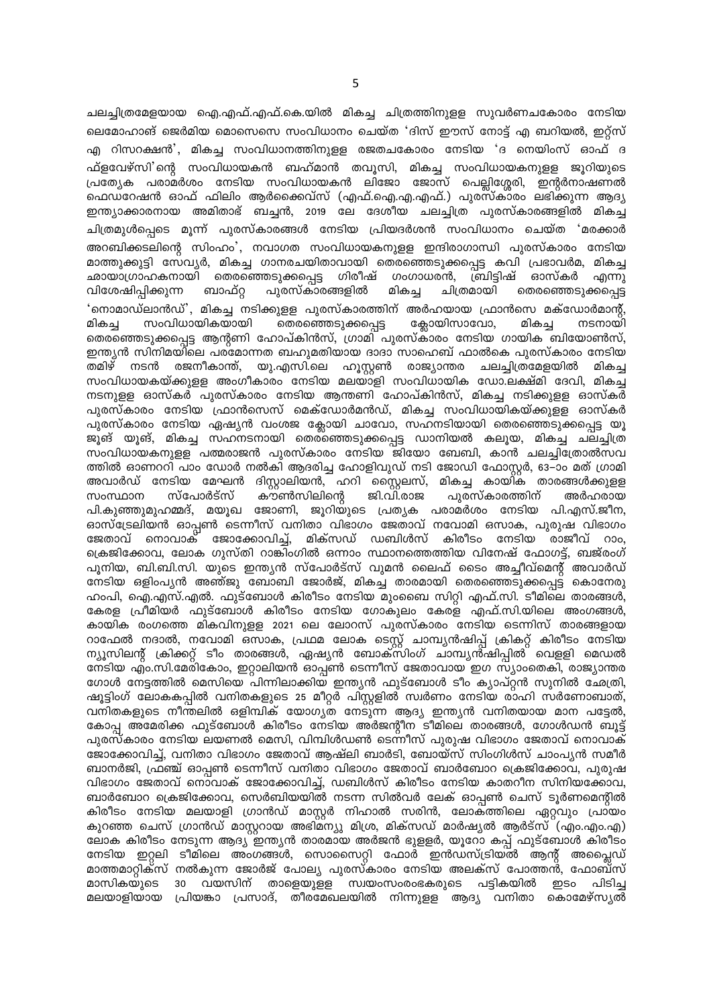ചലച്ചിത്രമേളയായ ഐ.എഫ്.എഫ്.കെ.യിൽ മികച്ച ചിത്രത്തിനുള്ള സുവർണചകോരം നേടിയ ലെമോഹാങ് ജെർമിയ മൊസെസെ സംവിധാനം ചെയ്ത 'ദിസ് ഈസ് നോട്ട് എ ബറിയൽ, ഇറ്റ്സ് എ റിസറക്ഷൻ', മികച്ച സംവിധാനത്തിനുളള രജതചകോരം നേടിയ 'ദ നെയിംസ് ഓഫ് ദ ഫ്ളവേഴ്സി'ന്റെ സംവിധായകൻ ബഹ്മാൻ തവൂസി, മികച്ച സംവിധായകനുളള ജൂറിയുടെ പ്രത്യേക പരാമർശം നേടിയ സംവിധായകൻ ലിജോ ജോസ് പെല്ലിശ്ശേരി, ഇന്റർനാഷണൽ ഫെഡറേഷൻ ഓഫ് ഫിലിം ആർക്കൈവ്സ് (എഫ്.ഐ.എ.എഫ്.) പുരസ്കാരം ലഭിക്കുന്ന ആദ്യ ഇന്ത്യാക്കാരനായ അമിതാഭ് ബച്ചൻ, 2019 ലേ ദേശീയ ചലച്ചിത്ര പുരസ്കാരങ്ങളിൽ മികച്ച ചിത്രമുൾപ്പെടെ മൂന്ന് പുരസ്കാരങ്ങൾ നേടിയ പ്രിയദർശൻ സംവിധാനം ചെയ്ത 'മരക്കാർ അറബിക്കടലിന്റെ സിംഹം', നവാഗത സംവിധായകനുളള ഇന്ദിരാഗാന്ധി പുരസ്കാരം നേടിയ മാത്തുക്കുട്ടി സേവ്യർ, മികച്ച ഗാനരചയിതാവായി തെരഞ്ഞെടുക്കപ്പെട്ട കവി പ്രഭാവർമ, മികച്ച ഛായാഗ്രാഹകനായി തെരഞ്ഞെടുക്കപ്പെട്ട ഗിരീഷ് ഗംഗാധരൻ, ബ്രിട്ടിഷ് ഓസ്കർ എന്നു തെരഞ്ഞെടുക്കപ്പെട്ട വിശേഷിപ്പിക്കുന്ന ബാഫ്റ്റ പുരസ്കാരങ്ങളിൽ മികച്ച ചിത്രമായി 'നൊമാഡ്ലാൻഡ്', മികച്ച നടിക്കുളള പുരസ്കാരത്തിന് അർഹയായ ഫ്രാൻസെ മക്ഡോർമാന്റ്, സംവിധായികയായി തെരഞ്ഞെടുക്കപ്പെട്ട ക്ലോയിസാവോ, നടനായി മികച്ച മികച്ച തെരഞ്ഞെടുക്കപ്പെട്ട ആന്റണി ഹോപ്കിൻസ്, ഗ്രാമി പുരസ്കാരം നേടിയ ഗായിക ബിയോൺസ്, ഇന്ത്യൻ സിനിമയിലെ പരമോന്നത ബഹുമതിയായ ദാദാ സാഹെബ് ഫാൽകെ പുരസ്കാരം നേടിയ തമിഴ് നടൻ രജനീകാന്ത്, യു.എസി.ലെ ഹൂസ്റ്റൺ രാജ്യാന്തര ചലച്ചിത്രമേളയിൽ മികച്ച സംവിധായകയ്ക്കുളള അംഗീകാരം നേടിയ മലയാളി സംവിധായിക ഡോ.ലക്ഷ്മി ദേവി, മികച്ച നടനുള്ള ഓസ്കർ പൂരസ്കാരം നേടിയ ആന്തണി ഹോപ്കിൻസ്, മികച്ച നടിക്കുള്ള ഓസ്കർ പുരസ്കാരം നേടിയ ഫ്രാൻസെസ് മെക്ഡോർമൻഡ്, മികച്ച സംവിധായികയ്ക്കുളള ഓസ്കർ പുരസ്കാരം നേടിയ ഏഷ്യൻ വംശജ ക്ലോയി ചാവോ, സഹനടിയായി തെരഞ്ഞെടുക്കപ്പെട്ട യൂ ജൂങ് യൂങ്, മികച്ച സഹനടനായി തെര്ഞ്ഞെടുക്കപ്പെട്ട ഡാനിയൽ കലൂയ, മികച്ച ചലച്ചിത്ര സംവിധായകനുള്ള പത്മരാജൻ പുരസ്കാരം നേടിയ ജിയോ ബേബി. കാൻ ചലചിത്രോൽസവ ത്തിൽ ഓണററി പാം ഡോർ നൽകി ആദരിച്ച ഹോളിവുഡ് നടി ജോഡി ഫോസ്റർ, 63–ാം മത് ഗ്രാമി അവാർഡ് നേടിയ മേഘൻ ദിസ്റ്റാലിയൻ, ഹറി സ്റ്റൈലസ്, മികച്ച കായി്ക താരങ്ങൾക്കുള്ള സംസ്ഥാന സ്പോർട്സ് കൗൺസിലിന്റെ ജി.വി.രാജ പൂരസ്കാരത്തിന് അർഹരായ പി.കുഞ്ഞുമുഹമ്മദ്, മയൂഖ ജോണി, ജൂറിയുടെ പ്രതൃക പരാമർശം നേടിയ പി.എസ്.ജീന, <u>ഓസ്ട്രേലിയൻ ഓപ്പൺ ടെന്നീസ് വനിതാ വിഭാഗം ജേതാവ് നവോമി ഒസാക, പുരുഷ് വിഭാഗം</u> ജേതാവ് നൊവാക് ജോക്കോവിച്ച്, മിക്സഡ് ഡബിൾസ് കിരീടം നേടിയ രാജീവ് റാം, ക്രെജിക്കോവ, ലോക ഗൂസ്തി റാങ്കിംഗിൽ ഒന്നാം സ്ഥാനത്തെത്തിയ വിനേഷ് ഫോഗട്ട്, ബജ്രംഗ് പൂനിയ, ബി.ബി.സി. യുടെ ഇന്ത്യൻ സ്പോർട്സ് വുമൻ ലൈഫ് ടൈം അച്ചീവ്മെന്റ് അവാർഡ് <u>നേടിയ ഒളിംപൃൻ അഞ്ജു ബോബി ജോർജ്, മികച്ച താരമായി തെരഞ്ഞെടുക്കപ്പെട്ട് കൊനേരു</u> ഹാപി, ഐ.എസ്.എൽ. ഫുട്ബോൾ കിരീടം നേടിയ മുംബൈ സിറ്റി എഫ്.സി. ടീമിലെ താരങ്ങൾ, കേരള പ്രീമിയർ ഫുട്ബോൾ കിരീടം നേടിയ ഗോകൂലം കേരള എഫ്.സി.യിലെ അംഗങ്ങൾ, കായിക രംഗത്തെ മികവിനുള്ള 2021 ലെ ലോറസ് പുരസ്കാരം നേടിയ ടെന്നിസ് താരങ്ങളായ റാഫേൽ നദാൽ, നവോമി ഒസാക, പ്രഥമ ലോക ടെസ്റ്റ് ചാമ്പ്യൻഷിപ്പ് ക്രികറ്റ് കിരീടം നേടിയ ന്യൂസിലന്റ് ക്രിക്കറ്റ് ടീം താരങ്ങൾ, ഏഷ്യൻ ബോക്സിംഗ് ചാമ്പ്യൻ്ഷിപ്പിൽ വെള്ളി മെഡൽ നേടിയ എം.സി.മേരികോം, ഇറ്റാലിയൻ ഓപ്പൺ ടെന്നീസ് ജേതാവായ ഇഗ സ്യാംതെകി, രാജ്യാന്തര ഗോൾ നേട്ടത്തിൽ മെസിയെ പിന്നിലാക്കിയ ഇന്ത്യൻ ഫുട്ബോൾ ടീം ക്യാപ്റ്റൻ സുനിൽ ഛേത്രി, ഷൂട്ടിംഗ് ലോകകപ്പിൽ വനിതകളുടെ 25 മീറ്റർ പിസ്റ്റളിൽ സ്വർണം നേടിയ രാഹി സർണോബാത്, വനിതകളുടെ നീന്തലിൽ ഒളിമ്പിക് യോഗ്യത നേടുന്ന ആദ്യ ഇന്ത്യൻ വനിതയായ മാന പട്ടേൽ, കോപ്പ അമേരിക്ക ഫുട്ബോൾ കിരീടം നേടിയ അർജന്റീന ടീമിലെ താരങ്ങൾ, ഗോൾഡൻ ബൂട്ട് പുരസ്കാരം നേടിയ ലയണൽ മെസി, വിമ്പിൾഡൺ ടെന്നീസ് പുരുഷ വിഭാഗം ജേതാവ് നൊവാക് ജോക്കോവിച്ച്, വനിതാ വിഭാഗം ജേതാവ് ആഷ്ലി ബാർടി, ബോയ്സ് സിംഗിൾസ് ചാംപ്യൻ സമീർ ബാനർജി, ഫ്രഞ്ച് ഓപ്പൺ ടെന്നീസ് വനിതാ വിഭാഗം ജേതാവ് ബാർബോറ ക്രെജിക്കോവ, പുരുഷ വിഭാഗം ജേതാവ് നൊവാക് ജോക്കോവിച്ച്, ഡബിൾസ് കിരീടം നേടിയ കാതറീന സിനിയക്കോവ, ബാർബോറ ക്രെജിക്കോവ, സെർബിയയിൽ നടന്ന സിൽവർ ലേക് ഓപൺ ചെസ് ടൂർണമെന്റിൽ കിരീടം നേടിയ മലയാളി ഗ്രാൻഡ് മാസ്റ്റർ നിഹാൽ സരിൻ, ലോക്ത്തിലെ ഏറ്റവും പ്രായം കുറഞ്ഞ ചെസ് ഗ്രാൻഡ് മാസ്റ്ററായ അഭിമ്ന്യു മിശ്ര, മിക്സഡ് മാർഷ്യൽ ആർട്സ്്(എം.എം.എ) ലോക കിരീടം നേടുന്ന ആദ്യ ഇന്ത്യൻ താരമായ അർജൻ ഭുളളർ, യൂറോ കപ്പ് ഫുട്ബോൾ കിരീടം നേടിയ ഇറ്റലി ടീമിലെ അംഗങ്ങൾ, സൊസൈറ്റി ഫോർ ഇൻഡസ്ട്രിയൽ ആന്റ് അപ്ലൈഡ് മാത്തമാറ്റിക്സ് നൽകുന്ന ജോർജ് പോല്യ പുരസ്കാരം നേടിയ അലക്സ് പോത്തൻ്, ഫോബ്സ് മാസികയുടെ 30 വയസിന് താളെയുള്ള സ്വയംസംരംഭകരുടെ പട്ടികയിൽ ഇടം പിടിച്ച <u>മലയാളിയായ പ്രിയങ്കാ പ്രസാദ്, തീരമേഖലയിൽ നിന്നുള്ള ആദ്യ വനിതാ കൊമേഴ്സ്യൽ</u>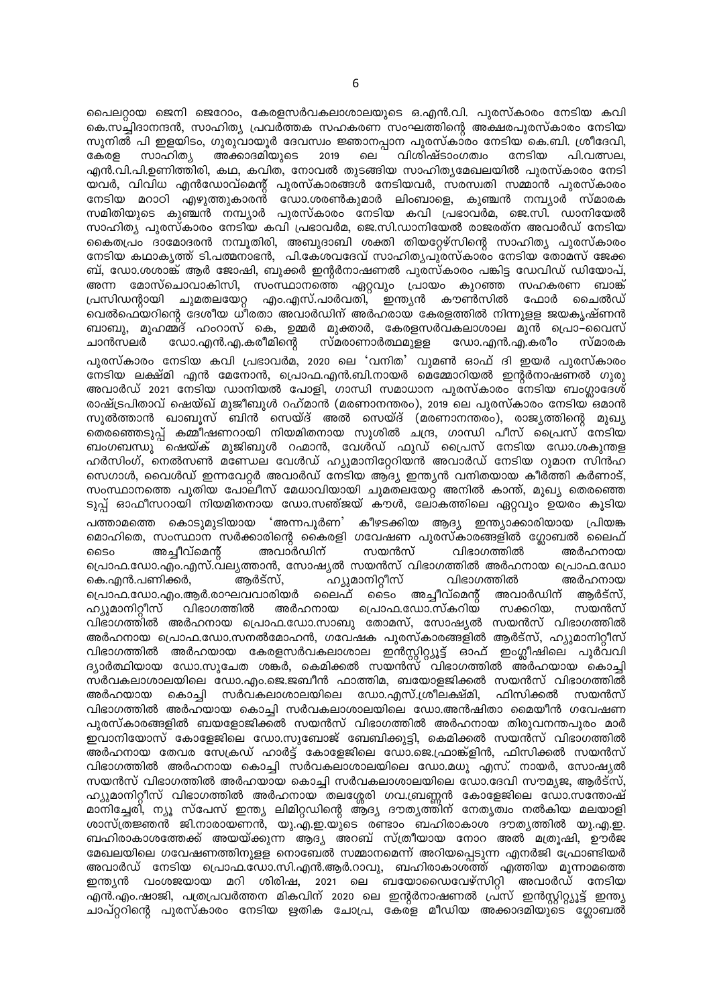പൈലറ്റായ ജെനി ജെറോം, കേരളസർവകലാശാലയുടെ ഒ.എൻ.വി. പുരസ്കാരം നേടിയ കവി കെ.സച്ചിദാനന്ദൻ, സാഹിത്യ പ്രവർത്തക സഹകരണ സംഘത്തിന്റെ അക്ഷരപുരസ്കാരം നേടിയ സുനിൽ പി ഇളയിടം, ഗുരുവായൂർ ദേവസ്വം ജ്ഞാനപ്പാന പുരസ്കാരം നേടിയ കെ.ബി. ശ്രീദേവി, വിശിഷ്ടാംഗത്വം പി.വത്സല. കേരള സാഹിത്യ അക്കാദമിയുടെ 2019 ലെ നേടിയ എൻ.വി.പി.ഉണിത്തിരി, കഥ, കവിത, നോവൽ തുടങ്ങിയ സാഹിത്യമേഖലയിൽ പുരസ്കാരം നേടി യവർ, വിവിധ എൻഡോവ്മെന്റ് പുരസ്കാരങ്ങൾ നേടിയവർ, സരസ്വതി സമ്മാൻ പുരസ്കാരം നേടിയ മറാഠി എഴുത്തുകാരന്റ ഡോ.ശരൺകുമാർ ലിംബാളെ, കുഞ്ചൻ നമ്പ്യാർ സ്മാരക സമിതിയുടെ കുഞ്ചൻ നമ്പ്യാർ പുരസ്കാരം നേടിയ കവി പ്രഭാവർമ, ജെ.സി. ഡാനിയേൽ സാഹിത്യ പുരസ്കാരം നേടിയ കവി പ്രഭാവർമ, ജെ.സി.ഡാനിയേൽ രാജരത്ന അവാർഡ് നേടിയ കൈതപ്രം ദാമോദരൻ നമ്പൂതിരി, അബുദാബി ശക്തി തിയറ്റേഴ്സിന്റെ സാഹിത്യ പുരസ്കാരം നേടിയ കഥാകൃത്ത് ടി.പത്മനാഭൻ, പി.കേശവദേവ് സാഹിത്യപുരസ്കാരം നേടിയ തോമസ് ജേക്ക ബ്, ഡോ.ശശാങ്ക് ആർ ജോഷി, ബുക്കർ ഇന്റർനാഷണൽ പുരസ്കാരം പങ്കിട്ട ഡേവിഡ് ഡിയോപ്, അന്ന മോസ്ചൊവാകിസി, സംസ്ഥാനത്തെ ഏറ്റവും പ്രായം കുറഞ്ഞ സഹകരണ ബാങ്ക് പ്രസിഡന്റായി ചുമതലയേറ്റ എം.എസ്.പാർവതി, ഇന്ത്യൻ കൗൺസിൽ ഫോർ ചൈൽഡ് വെൽഫെയറിന്റെ ദേശീയ ധിരതാ അവാർഡിന് അർഹരായ കേരളത്തിൽ നിന്നുളള ജയകൃഷ്ണൻ ബാബു, മുഹമ്മ്ദ് ഹംറാസ് കെ, ഉമ്മർ മുക്താർ, കേരളസർവകലാശാല മുൻ പ്രൊ–വൈസ് ഡോ.എൻ.എ.കരീമിന്റെ സ്മരാണാർത്ഥമുളള ഡോ.എൻ.എ.കരീം സ്മാരക ചാൻസലർ

പുരസ്കാരം നേടിയ കവി പ്രഭാവർമ, 2020 ലെ 'വനിത' വുമൺ ഓഫ് ദി ഇയർ പുരസ്കാരം നേടിയ ലക്ഷ്മി എൻ മേനോൻ, പ്രൊഫ.എൻ.ബി.നായർ മെമ്മോറിയൽ ഇന്റർനാഷണൽ ഗുരു അവാർഡ് 2021 നേടിയ ഡാനിയൽ പോളി, ഗാന്ധി സമാധാന പുരസ്കാരം നേടിയ ബംഗ്ലാദേശ് രാഷ്ട്രപിതാവ് ഷെയ്ഖ് മുജീബുൾ റഹ്മാൻ (മരണാനന്തരം), 2019 ലെ പുരസ്കാരം നേടിയ ഒമാൻ സുൽത്താൻ ഖാബൂസ് ബിൻ സെയ്ദ് അൽ സെയ്ദ് (മരണാനന്തരം), രാജ്യത്തിന്റെ മുഖ്യ തെരഞ്ഞെടുപ്പ് കമ്മീഷണറായി നിയമിതനായ സുശിൽ ചന്ദ്ര, ഗാന്ധി പീസ് പ്രൈസ്്നേടിയ ബംഗബന്ധു രഷയ്ക് മുജിബുൾ റഹ്മാൻ, വേൾഡ് ഫുഡ് പ്രൈസ് നേടിയ ഡോ.ശകുന്തള ഹർസിംഗ്, നെൽസൺ മണ്ഡേല വേൾഡ് ഹ്യുമാനിറ്റേറിയൻ അവാർഡ് നേടിയ റുമാന സിൻഹ സെഗാൾ, വൈൾഡ് ഇന്നവേറ്റർ അവാർഡ് നേടിയ ആദ്യ ഇന്ത്യൻ വനിതയായ കീർത്തി കർണാട്, സംസ്ഥാനത്തെ പുതിയ പോലീസ് മേധാവിയായി ചുമതലയേറ്റ അനിൽ കാന്ത്, മുഖ്യ തെരഞ്ഞെ ടുപ്പ് ഓഫീസറായി നിയമിതനായ ഡോ.സഞ്ജയ് കൗൾ, ലോകത്തിലെ ഏറ്റവും ഉയരം കൂടിയ പത്താമത്തെ കൊടുമുടിയായ 'അന്നപൂർണ' കീഴടക്കിയ ആദ്യ ഇന്ത്യാക്കാരിയായ പ്രിയങ്ക മൊഹിതെ, സംസ്ഥാന സർക്കാരിന്റെ കൈരളി ഗവേഷണ പുരസ്കാരങ്ങളിൽ ഗ്ലോബൽ ലൈഫ് അച്ചീവ്മെന്റ് അവാർഡിന് സയൻസ് വിഭാഗത്തിൽ ൈം അർഹനായ പ്രൊഫ.ഡോ.എം.എസ്.വല്യത്താൻ, സോഷ്യൽ സയൻസ് വിഭാഗത്തിൽ അർഹനായ പ്രൊഫ.ഡോ ഹ്യുമാനിറ്റീസ് കെ.എൻ.പണിക്കർ, ആർട്സ്, വിഭാഗത്തിൽ അർഹനായ പ്രൊഫ.ഡോ.എം.ആർ.രാഘവവാരിയർ ്ടൈo അച്ചീവ്മെന്റ് ലൈഫ് അവാർഡിന് ആർട്സ്. ഹ്യുമാനിറ്റീസ് പ്രൊഫ.ഡോ.സ്കറിയ വിഭാഗത്തിൽ അർഹനായ സക്കറിയ, സയൻസ് വിഭാഗത്തിൽ അർഹനായ പ്രൊഫ.ഡോ.സാബു തോമസ്, സോഷ്യൽ സയൻസ് വിഭാഗത്തിൽ അർഹനായ പ്രൊഫ.ഡോ.സനൽമോഹൻ, ഗവേഷക പുരസ്കാരങ്ങളിൽ ആർട്സ്, ഹ്യുമാനിറ്റീസ് വിഭാഗത്തിൽ അർഹയായ കേരളസർവകലാശാല ഇൻസ്റ്റിറ്റ്യൂട്ട് ഓഫ് ഇംഗ്ലീഷിലെ പൂർവവി<br>ദ്യാർത്ഥിയായ ഡോ.സുചേത ശങ്കർ, കെമിക്കൽ സയൻസ് വിഭാഗത്തിൽ അർഹയായ കൊച്ചി സർവകലാശാലയിലെ ഡോ.എം.ജെ.ജബീൻ ഫാത്തിമ, ബയോളജിക്കൽ സയൻസ് വിഭാഗത്തിൽ കൊച്ചി സർവകലാശാലയിലെ ഡോ.എസ്.ശ്രീലക്ഷ്മി, ഫിസിക്കൽ അർഹയായ സയൻസ് വിഭാഗത്തിൽ അർഹയായ കൊച്ചി സർവകലാശാലയിലെ ഡോ.അൻഷിതാ മൈയീൻ ഗവേഷണ പുരസ്കാരങ്ങളിൽ ബയളോജിക്കൽ സയൻസ് വിഭാഗത്തിൽ അർഹനായ തിരുവനന്തപുരം മാർ ഇവാനിയോസ് കോളേജിലെ ഡോ.സുബോജ് ബേബിക്കുട്ടി, കെമിക്കൽ സയൻസ് വിഭാഗത്തിൽ അർഹനായ തേവര സേക്രഡ് ഹാർട്ട് കോളേജിലെ ഡോ.ജെ.ഫ്രാങ്ക്ളിൻ, ഫിസിക്കൽ സയൻസ് വിഭാഗത്തിൽ അർഹനായ കൊച്ചി സർവകലാശാലയിലെ ഡോ.മധു എസ്. നായർ, സോഷ്യൽ സയൻസ് വിഭാഗത്തിൽ അർഹയായ കൊച്ചി സർവകലാശാലയിലെ ഡോ.ദേവി സൗമ്യജ, ആർട്സ്, ഹ്യുമാനിറ്റീസ് വിഭാഗത്തിൽ അർഹനായ തലശ്ശേരി ഗവ.ബ്രണ്ണൻ കോളേജിലെ ഡോ.സന്തോഷ് മാനിച്ചേരി, ന്യൂ സ്പേസ് ഇന്ത്യ ലിമിറ്റഡിന്റെ ആദ്യ ദൗത്യത്തിന് നേതൃത്വം നൽകിയ മലയാളി ശാസ്ത്രജ്ഞൻ ജി.നാരായണൻ, യു.എ.ഇ.യുടെ രണ്ടാം ബഹിരാകാശ ദൗതൃത്തിൽ യു.എ.ഇ. ബഹിരാകാശത്തേക്ക് അയയ്ക്കുന്ന ആദ്യ അറബ് സ്ത്രീയായ നോറ അൽ മത്രൂഷി, ഊർജ മേഖലയിലെ ഗവേഷണത്തിനുളള നൊബേൽ സമ്മാനമെന്ന് അറിയപ്പെടുന്ന എനർജി ഫ്രോണ്ടിയർ അവാർഡ് നേടിയ പ്രൊഫ.ഡോ.സി.എൻ.ആർ.റാവു, ബഹിരാകാശത്ത് എത്തിയ മൂന്നാമത്തെ ഇന്ത്യൻ വംശജയായ മറി ശിരിഷ, 2021 ലെ ബയോഡൈവേഴ്സിറ്റി അവാർഡ് നേടിയ .എൻ.എം.ഷാജി, പത്രപ്രവർത്തന മികവിന് 2020 ലെ ഇന്റർനാഷണൽ പ്രസ് ഇൻസ്റ്റിറ്റ്യൂട്ട് ഇന്ത്യ ചാപ്റ്ററിന്റെ പുരസ്കാരം നേടിയ ഋതിക ചോപ്ര, കേര്ള മീഡിയ അക്കാദമിയുടെ ഗ്ലോബൽ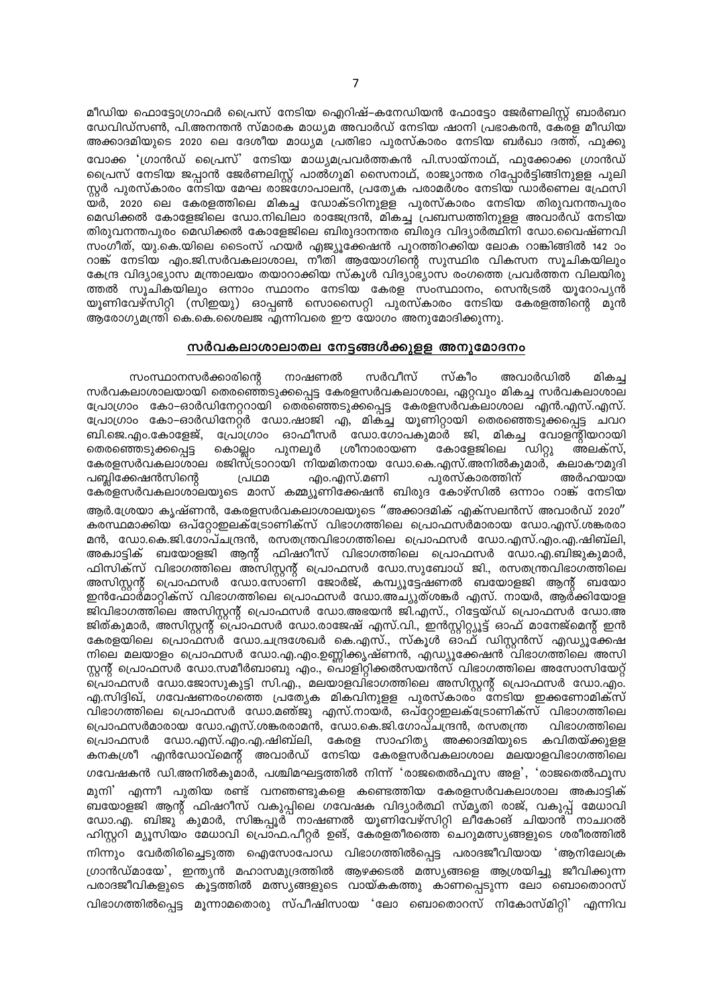മീഡിയ ഫൊട്ടോഗ്രാഫർ പ്രൈസ് നേടിയ ഐറിഷ്–കനേഡിയൻ ഫോട്ടോ ജേർണലിസ്റ്റ് ബാർബറ ഡേവിഡ്സൺ, പി.അനന്തൻ സ്മാരക മാധ്യമ അവാർഡ് നേടിയ ഷാനി പ്രഭാകരൻ, കേരള മീഡിയ അക്കാദമിയുടെ 2020 ലെ ദേശീയ മാധ്യമ പ്രതിഭാ പുരസ്കാരം നേടിയ ബർഖാ ദത്ത്, ഫുക്കു വോക്ക 'ഗ്രാൻഡ് പ്രൈസ്' നേടിയ മാധ്യമപ്രവർത്തകൻ പി.സായ്നാഥ്, ഫുക്കോക്ക ഗ്രാൻഡ് പ്രൈസ് നേടിയ ജപ്പാൻ ജേർണലിസ്റ്റ് പാൽഗുമി സൈനാഥ്, രാജ്യാന്തര റിപ്പോർട്ടിങ്ങിനുളള പുലി സ്റ്റർ പുരസ്കാരം നേടിയ മേഘ രാജഗോപാലൻ, പ്രത്യേക പരാമർശം നേടിയ ഡാർണെല ഫ്രേസി മെഡിക്കൽ കോളേജിലെ ഡോ.നിഖിലാ രാജേന്ദ്രൻ, മികച്ച പ്രബന്ധത്തിനുളള അവാർഡ് നേടിയ തിരുവനന്തപുരം മെഡിക്കൽ കോളേജിലെ ബിരുദാനന്തര ബിരുദ വിദ്യാർത്ഥിനി ഡോ.വൈഷ്ണവി സംഗീത്, യു.കെ.യിലെ ടൈംസ് ഹയർ എജ്യൂക്കേഷൻ പുറത്തിറക്കിയ ലോക റാങ്കിങ്ങിൽ 142 ാം റാങ്ക് നേടിയ എം.ജി.സർവകലാശാല, നീതി ആയോഗിന്റെ സുസ്ഥിര വികസന സൂചികയിലും കേന്ദ്ര വിദ്യാഭ്യാസ മന്ത്രാലയം തയാറാക്കിയ സ്കൂൾ വിദ്യാഭ്യാസ രംഗത്തെ പ്രവർത്തന വിലയിരു ത്തൽ സൂചികയിലും ഒന്നാം സ്ഥാനം നേടിയ കേരള സംസ്ഥാനം, സെൻട്രൽ യൂറോപ്യൻ യൂണിവേഴ്സിറ്റി (സിഇയു) ഓപ്പൺ സൊസൈറ്റി പുരസ്കാരം നേടിയ കേരളത്തിന്റെ മുൻ ആരോഗ്യമന്ത്രി കെ.കെ.ശൈലജ എന്നിവരെ ഈ യോഗം അനുമോദിക്കുന്നു.

#### സർവകലാശാലാതല നേട്ടങ്ങൾക്കുളള അനുമോദനം

നാഷണൽ സർവീസ് സ്കീറ അവാർഡിൽ സംസ്ഥാനസർക്കാരിന്റെ മികച്ച സർവകലാശാലയായി തെരഞ്ഞെടുക്കപ്പെട്ട കേരളസർവകലാശാല, ഏറ്റവും മികച്ച സർവകലാശാല പ്രോഗ്രാം കോ–ഓർഡിനേറ്ററായി തെരഞ്ഞെടുക്കപ്പെട്ട കേരളസർവകലാശാല എൻ.എസ്.എസ്. പ്രോഗ്രാം കോ–ഓർഡിനേറ്റർ ഡോ.ഷാജി എ, മിക്ച്ച യൂണിറ്റായി തെരഞ്ഞെടുക്കപ്പെട്ട ചവറ ബി.ജെ.എം.കോളേജ്, പ്രോഗ്രാം ഓഫീസർ ഡോ.ഗോപകുമാർ ജി, മികച്ച വോളന്റിയറായി കോളേജിലെ ഡിറ്റു തെരഞ്ഞെടുക്കപ്പെട്ട കൊല്ലം പുനലുർ ശ്രീനാരായണ അലക്സ്, കേരളസർവകലാശാല രജിസ്ട്രാറായി നിയമിതനായ ഡോ.കെ.എസ്.അനിൽകുമാർ, കലാകൗമുദി എം.എസ്.മണി പൂരസ്കാരത്തിന് പബ്ലിക്കേഷൻസിന്റെ പ്രഥമ അർഹയായ കേരളസർവകലാശാലയുടെ മാസ് കമ്മ്യൂണിക്കേഷൻ ബിരുദ കോഴ്സിൽ ഒന്നാം റാങ്ക് നേടിയ

ആർ.ശ്രേയാ കൃഷ്ണൻ, കേരളസർവകലാശാലയുടെ "അക്കാദമിക് എക്സലൻസ് അവാർഡ് 2020" കരസ്ഥമാക്കിയ ഒപ്റ്റോഇലക്ട്രോണിക്സ് വിഭാഗത്തിലെ പ്രൊഫസർമാരായ ഡോ.എസ്.ശങ്കരരാ മൻ, ഡോ.കെ.ജി.ഗോപ്ചന്ദ്രൻ, രസതന്ത്രവിഭാഗത്തിലെ പ്രൊഫസർ ഡോ.എസ്.എം.എ.ഷിബ്ലി, അക്വാട്ടിക് ബയോളജി ആന്റ് ഫിഷറീസ് വിഭാഗത്തിലെ പ്രൊഫസർ ഡോ.എ.ബിജുകുമാർ, ഫിസിക്സ് വിഭാഗത്തിലെ അസിസ്റ്റന്റ് പ്രൊഫസർ ഡോ.സുബോധ് ജി., രസതന്ത്രവിഭാഗത്തിലെ അസിസ്റ്റന്റ് പ്രൊഫസർ ഡോ.സോണി ജോർജ്, കമ്പ്യൂട്ടേഷണൽ ബയോളജി ആന്റ് ബയോ ഇൻഫോർമാറ്റിക്സ് വിഭാഗത്തിലെ പ്രൊഫസർ ഡോ.അച്യുത്ശങ്കർ എസ്. നായർ, ആർക്കിയോള ജിവിഭാഗത്തിലെ അസിസ്റ്റന്റ് പ്രൊഫസർ ഡോ.അഭയൻ ജി.എസ്., റിട്ടേയ്ഡ് പ്രൊഫസർ ഡോ.അ ജിത്കുമാർ, അസിസ്റ്റന്റ് പ്രൊഫസർ ഡോ.രാജേഷ് എസ്.വി., ഇൻസ്റ്റിറ്റ്യൂട്ട് ഓഫ് മാനേജ്മെന്റ് ഇൻ കേരളയിലെ പ്രൊഫസർ ഡോ.ചന്ദ്രശേഖർ കെ.എസ്., സ്കൂൾ ഓഫ് ഡിസ്റ്റൻസ് എഡ്യൂക്കേഷ <u>നിലെ മലയാളം പ്രൊഫസർ ഡോ.എ.എം.ഉണ്ണിക്കൃഷ്ണൻ, എഡ്യൂക്കേഷൻ വിഭാഗത്തിലെ അസി</u> സ്റ്റന്റ് പ്രൊഫസർ ഡോ.സമീർബാബു എം., പൊളിറ്റിക്കൽസയൻസ് വിഭാഗത്തിലെ അസോസിയേറ്റ് ്പൊഫസർ ഡോ.ജോസുകുട്ടി സി.എ., മലയാളവിഭാഗത്തിലെ അസിസ്റ്റന്റ് പ്രൊഫസർ ഡോ.എം. എ.സിദ്ദിഖ്, ഗവേഷണരംഗത്തെ പ്രത്യേക മികവിനുളള പുരസ്കാരം നേടിയ ഇക്കണോമിക്സ് വിഭാഗത്തിലെ പ്രൊഫസർ ഡോ.മഞ്ജു എസ്.നായർ, ഒപ്റ്റോഇലക്ട്രോണിക്സ് വിഭാഗത്തിലെ പ്രൊഫസർമാരായ ഡോ.എസ്.ശങ്കരരാമൻ, ഡോ.കെ.ജി.ഗോപ്ചന്ദ്രൻ, രസതന്ത്ര വിഭാഗത്തിലെ പ്രൊഫസർ ഡോ.എസ്.എം.എ.ഷിബ്ലി, കേരള സാഹിത്യ അക്കാദമിയുടെ കവിതയ്ക്കുള്ള കനകശ്രീ എൻഡോവ്മെന്റ് അവാർഡ് നേടിയ കേരളസർവകലാശാല മലയാളവിഭാഗത്തിലെ ഗവേഷകൻ ഡി.അനിൽകുമാർ, പശ്ചിമഘട്ടത്തിൽ നിന്ന് 'രാജതെൽഫൂസ അള', 'രാജതെൽഫൂസ മുനി' എന്നീ പുതിയ രണ്ട് വനഞണ്ടുകളെ കണ്ടെത്തിയ കേരളസർവകലാശാല അക്വാട്ടിക് ബയോളജി ആന്റ് ഫിഷറീസ് വകുപ്പിലെ ഗവേഷക വിദ്യാർത്ഥി സ്മൃതി രാജ്, വകുപ്പ് മേധാവി ഡോ.എ. ബിജു കുമാർ, സിങ്കപ്പൂര് നാഷണൽ യൂണിവേഴ്സിറ്റി ലീകോങ് ചിയാൻ നാചറൽ ഹിസ്റ്ററി മ്യൂസിയം മേധാവി പ്രൊഫ.പീറ്റർ ഉങ്, കേരളതീരത്തെ ചെറുമത്സ്യങ്ങളുടെ ശരീരത്തിൽ നിന്നും വേർതിരിച്ചെടുത്ത ഐസോപോഡ വിഭാഗത്തിൽപ്പെട്ട പരാദജീവിയായ 'ആനിലോക്ര ഗ്രാൻഡ്മായേ', ഇന്ത്യൻ മഹാസമുദ്രത്തിൽ ആഴക്കടൽ മത്സ്യങ്ങളെ ആശ്രയിച്ചു ജീവിക്കുന്ന പരാദജീവികളുടെ കൂട്ടത്തിൽ മത്സ്യങ്ങളുടെ വായ്കകത്തു കാണപ്പെടുന്ന ലോ ബൊതൊറസ് വിഭാഗത്തിൽപ്പെട്ട മൂന്നാമതൊരു സ്പീഷിസായ 'ലോ ബൊതൊറസ് നികോസ്മിറ്റി' എന്നിവ

 $\overline{7}$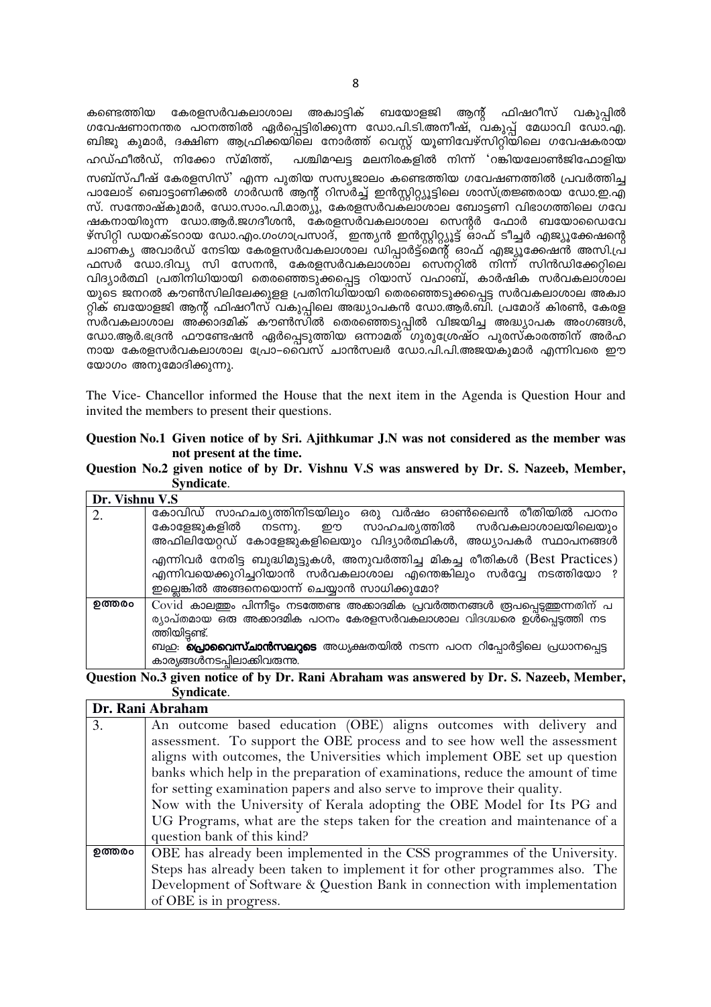കേരളസർവകലാശാല അക്വാട്ടിക് ബയോളജി ആന്റ് ഫിഷറീസ് വകുപ്പിൽ കണ്ടെത്തിയ ഗവേഷണാനന്തര പഠനത്തിൽ ഏർപ്പെട്ടിരിക്കുന്ന ഡോ.പി.ടി.അനീഷ്, വകുപ്പ് മേധാവി ഡോ.എ. ബിജു കുമാർ, ദക്ഷിണ ആഫ്രിക്കയിലെ നോർത്ത് വെസ്റ്റ് യൂണിവേഴ്സിറ്റിയിലെ ഗവേഷകരായ ഹഡ്ഫീൽഡ്, നിക്കോ സ്മിത്ത്, പശ്ചിമഘട്ട മലനിരകളിൽ നിന്ന് 'റങ്കിയലോൺജിഫോളിയ സബ്സ്പീഷ് കേരളസിസ്' എന്ന പുതിയ സസ്യജാലം കണ്ടെത്തിയ ഗവേഷണത്തിൽ പ്രവർത്തിച്ച പാലോട് ബൊട്ടാണിക്കൽ ഗാർഡൻ ആന്റ് റിസർച്ച് ഇൻസ്റ്റിറ്റ്യൂട്ടിലെ ശാസ്ത്രജ്ഞരായ ഡോ.ഇ.എ സ്. സന്തോഷ്കുമാർ, ഡോ.സാം.പി.മാത്യു, കേരളസർവക്ലാശാല ബോട്ടണി വിഭാഗത്തിലെ ഗവേ ഷകനായിരുന്ന ഡോ.ആർ.ജഗദീശൻ, കേരളസർവകലാശാല സെന്റർ ഫോർ ബയോഡൈവേ ഴ്സിറ്റി ഡയറക്ടറായ ഡോ.എം.ഗംഗാപ്രസാദ്, ഇന്ത്യൻ ഇൻസ്റ്റിറ്റ്യൂട്ട് ഓഫ് ടീച്ചർ എജ്യൂക്കേഷന്റെ ചാണ്ക്യ അവാർഡ് നേടിയ കേരളസർവകലാശാല ഡിപ്പാർട്ട്മെന്റ് ഓഫ് എജ്യൂക്കേഷൻ അസി.പ്ര ഫസർ ഡോ.ദിവ്യ സി സേനൻ, കേരളസർവകലാശാല സെനറ്റിൽ നിന്ന് സിൻഡിക്കേറ്റിലെ വിദ്യാർത്ഥി പ്രതിനിധിയായി തെരഞ്ഞെടുക്കപ്പെട്ട റിയാസ് വഹാബ്, കാർഷിക സർവകലാശാല യുടെ ജനറൽ കൗൺസിലിലേക്കുളള പ്രതിനിധിയായി തെരഞ്ഞെടുക്കപ്പെട്ട സർവകലാശാല അക്വാ റ്റിക് ബയോളജി ആന്റ് ഫിഷറീസ് വകുപ്പിലെ അദ്ധ്യാപകൻ ഡോ.ആർ.ബി. പ്രമോദ് കിരൺ, കേരള സർവകലാശാല അക്കാദമിക് കൗൺസിൽ തെരഞ്ഞെടുപ്പിൽ വിജയിച്ച അദ്ധ്യാപക അംഗങ്ങൾ, ഡോ.ആർ.ഭദ്രൻ ഫൗണ്ടേഷൻ ഏർപ്പെടുത്തിയ ഒന്നാമത് ഗുരുശ്രേഷ്ഠ പുരസ്കാരത്തിന് അർഹ നായ കേരളസർവകലാശാല പ്രോ–്ൈവസ് ചാൻസലർ ഡോ.പി.പി.അജയകുമാർ എന്നിവരെ ഈ യോഗം അനുമോദിക്കുന്നു.

The Vice- Chancellor informed the House that the next item in the Agenda is Question Hour and invited the members to present their questions.

| Question No.1 Given notice of by Sri. Ajithkumar J.N was not considered as the member was |
|-------------------------------------------------------------------------------------------|
| not present at the time.                                                                  |

|  |            |  |  |  | Question No.2 given notice of by Dr. Vishnu V.S was answered by Dr. S. Nazeeb, Member, |  |  |  |
|--|------------|--|--|--|----------------------------------------------------------------------------------------|--|--|--|
|  | Syndicate. |  |  |  |                                                                                        |  |  |  |

| Dr. Vishnu V.S |                                                                                                                                                                                               |
|----------------|-----------------------------------------------------------------------------------------------------------------------------------------------------------------------------------------------|
| 2.             | കോവിഡ് സാഹചര്യത്തിനിടയിലും ഒരു വർഷം ഓൺലൈൻ രീതിയിൽ പഠനം                                                                                                                                        |
|                | കോളേജുകളിൽ നടന്നു. ഈ സാഹചര്യത്തിൽ സർവകലാശാലയിലെയും<br>അഫിലിയേറ്റഡ് കോളേജുകളിലെയും വിദ്യാർത്ഥികൾ, അധ്യാപകർ സ്ഥാപനങ്ങൾ                                                                          |
|                | എന്നിവർ നേരിട്ട ബുദ്ധിമുട്ടുകൾ, അനുവർത്തിച്ച മികച്ച രീതികൾ (Best Practices)<br>എന്നിവയെക്കുറിച്ചറിയാൻ സർവകലാശാല എന്തെങ്കിലും സർവ്വേ നടത്തിയോ ?<br>ഇല്ലെങ്കിൽ അങ്ങനെയൊന്ന് ചെയ്യാൻ സാധിക്കുമോ? |
| ഉത്തരം         | Covid കാലത്തും പിന്നീടും നടത്തേണ്ട അക്കാദമിക പ്രവർത്തനങ്ങൾ രൂപപ്പെടുത്തുന്നതിന് പ                                                                                                             |
|                | ര്യാപ്തമായ ഒരു അക്കാദമിക പഠനം കേരളസർവകലാശാല വിദഗ്ദ്ധരെ ഉൾപ്പെട്ടത്തി നട<br>ത്തിയിട്ടണ്ട്.                                                                                                     |
|                | ബ <u>ഇ</u> . <b>പ്രൊവൈസ്ചാൻസലറ്റടെ</b> അധ്യക്ഷതയിൽ നടന്ന പഠന റിപ്പോർട്ടിലെ പ്രധാനപ്പെട്ട<br>കാര്യങ്ങൾനടപ്പിലാക്കിവരുന്നു.                                                                     |

### Ouestion No.3 given notice of by Dr. Rani Abraham was answered by Dr. S. Nazeeb, Member, Syndicate.

|        | Dr. Rani Abraham                                                               |
|--------|--------------------------------------------------------------------------------|
| 3.     | An outcome based education (OBE) aligns outcomes with delivery and             |
|        | assessment. To support the OBE process and to see how well the assessment      |
|        | aligns with outcomes, the Universities which implement OBE set up question     |
|        | banks which help in the preparation of examinations, reduce the amount of time |
|        | for setting examination papers and also serve to improve their quality.        |
|        | Now with the University of Kerala adopting the OBE Model for Its PG and        |
|        | UG Programs, what are the steps taken for the creation and maintenance of a    |
|        | question bank of this kind?                                                    |
| ഉത്തരം | OBE has already been implemented in the CSS programmes of the University.      |
|        | Steps has already been taken to implement it for other programmes also. The    |
|        | Development of Software & Question Bank in connection with implementation      |
|        | of OBE is in progress.                                                         |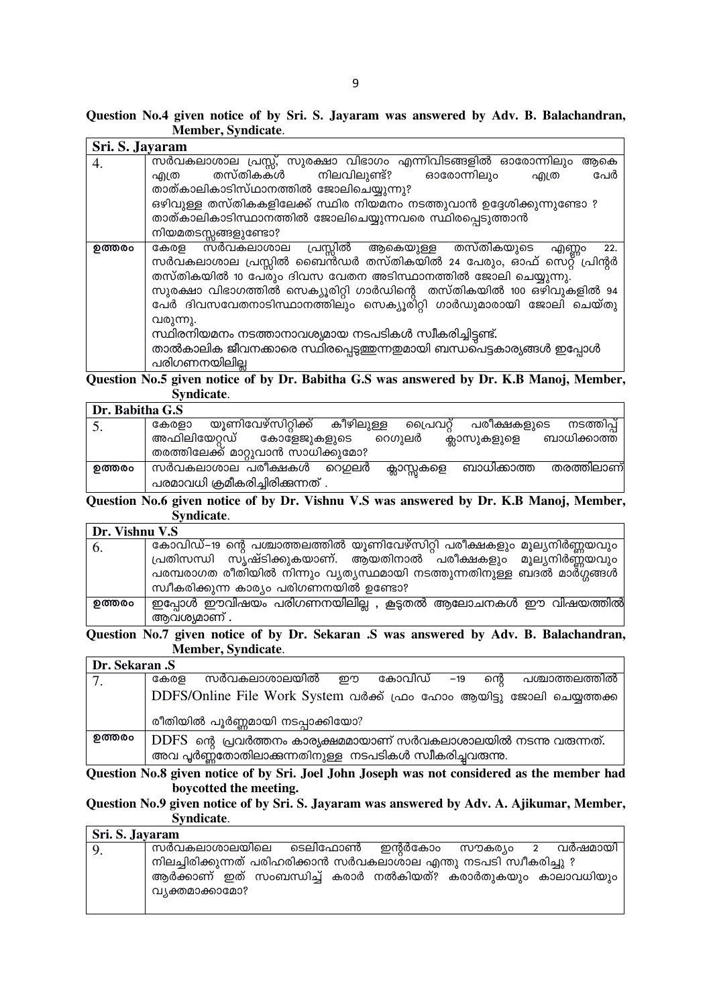| Sri. S. Jayaram |                                                                                                                                                                                                                                                                                                                                                                                                                                                                                                                 |
|-----------------|-----------------------------------------------------------------------------------------------------------------------------------------------------------------------------------------------------------------------------------------------------------------------------------------------------------------------------------------------------------------------------------------------------------------------------------------------------------------------------------------------------------------|
| 4.              | സർവകലാശാല പ്രസ്സ്, സുരക്ഷാ വിഭാഗം എന്നിവിടങ്ങളിൽ ഓരോന്നിലും<br>ആകെ                                                                                                                                                                                                                                                                                                                                                                                                                                              |
|                 | തസ്തികകൾ നിലവിലുണ്ട്? ഓരോന്നിലും<br>പേർ<br>എത്ര<br>എത്ര                                                                                                                                                                                                                                                                                                                                                                                                                                                         |
|                 | താത്കാലികാടിസ്ഥാനത്തിൽ ജോലിചെയ്യുന്നു?                                                                                                                                                                                                                                                                                                                                                                                                                                                                          |
|                 | ഒഴിവുള്ള തസ്തികകളിലേക്ക് സ്ഥിര നിയമനം നടത്തുവാൻ ഉദ്ദേശിക്കുന്നുണ്ടോ ?                                                                                                                                                                                                                                                                                                                                                                                                                                           |
|                 | താത്കാലികാടിസ്ഥാനത്തിൽ ജോലിചെയ്യുന്നവരെ സ്ഥിരപ്പെടുത്താൻ                                                                                                                                                                                                                                                                                                                                                                                                                                                        |
|                 | നിയമതടസ്സങ്ങളുണ്ടോ?                                                                                                                                                                                                                                                                                                                                                                                                                                                                                             |
| ഉത്തരം          | പ്രസ്സിൽ ആകെയുള്ള തസ്തികയുടെ<br>കേരള സർവകലാശാല<br>എണ്ണം<br>22.<br>സർവകലാശാല പ്രസ്സിൽ ബൈൻഡർ തസ്തികയിൽ 24 പേരും, ഓഫ് സെറ്റ് പ്രിന്റർ<br>തസ്തികയിൽ 10 പേരും ദിവസ വേതന അടിസ്ഥാനത്തിൽ ജോലി ചെയ്യുന്നു.<br>സുരക്ഷാ വിഭാഗത്തിൽ സെക്യൂരിറ്റി ഗാർഡിന്റെ തസ്തികയിൽ 100 ഒഴിവുകളിൽ 94<br>പേർ ദിവസവേതനാടിസ്ഥാനത്തിലും സെക്യൂരിറ്റി ഗാർഡുമാരായി ജോലി ചെയ്തു<br>വരുന്നു.<br>സ്ഥിരനിയമനം നടത്താനാവശ്യമായ നടപടികൾ സ്വീകരിച്ചിട്ടണ്ട്.<br>താൽകാലിക ജീവനക്കാരെ സ്ഥിരപ്പെടുത്തുന്നതുമായി ബന്ധപെട്ടകാര്യങ്ങൾ ഇപ്പോൾ<br>പരിഗണനയിലില്ല |
|                 | Question No 5 given notice of by Dr. Rabitha C.S was answered by Dr. K.R. Manoi Member                                                                                                                                                                                                                                                                                                                                                                                                                          |

notice of by Dr. Babitha G.S was answered by Dr. K.B Manoj, Member, **Question No.:** , gr Syndicate.

| Dr. Babitha G.S |                                                                                                             |
|-----------------|-------------------------------------------------------------------------------------------------------------|
| 5.              | യൂണിവേഴ്സിറ്റിക്ക് കീഴിലുള്ള<br>പ്രൈവറ്റ് പരീക്ഷകളുടെ<br>നടത്തിപ്പ്<br>കേരളാ                                |
|                 | അഫിലിയേറ്റഡ് കോളേജുകളുടെ റെഗുലർ<br>ബാധിക്കാത്ത<br>ക്ലാസുകളുളെ<br>തരത്തിലേക്ക് മാറ്റുവാൻ സാധിക്കുമോ?         |
| ഉത്തരം          | തരത്തിലാണ്<br>സർവകലാശാല പരീക്ഷകൾ റെഗ്ഗലർ<br>ബാധിക്കാത്ത<br>ക്ലാസ്സുകളെ<br>പരമാവധി ക്രമീകരിച്ചിരിക്കുന്നത് . |

### Question No.6 given notice of by Dr. Vishnu V.S was answered by Dr. K.B Manoj, Member, Syndicate.

| Dr. Vishnu V.S |                                                                         |
|----------------|-------------------------------------------------------------------------|
| 6.             | കോവിഡ്–19 ന്റെ പശ്ചാത്തലത്തിൽ യൂണിവേഴ്സിറ്റി പരീക്ഷകളും മൂല്യനിർണ്ണയവും |
|                | പ്രതിസന്ധി സ്യഷ്ടിക്കുകയാണ്. ആയതിനാൽ പരീക്ഷകളും മൂല്യനിർണ്ണയവും         |
|                | പരമ്പരാഗത രീതിയിൽ നിന്നും വ്യത്യസ്ഥമായി നടത്തുന്നതിനുള്ള ബദൽ മാർഗ്ഗങ്ങൾ |
|                | സ്വീകരിക്കുന്ന കാര്യം പരിഗണനയിൽ ഉണ്ടോ?                                  |
| ഉത്തരം         | ഇപ്പോൾ ഈവിഷയം പരിഗണനയിലില്ല , കൂട്ടതൽ ആലോചനകൾ ഈ വിഷയത്തിൽ               |
|                | ആവശ്യമാണ് .                                                             |

Question No.7 given notice of by Dr. Sekaran .S was answered by Adv. B. Balachandran, Member, Syndicate.

Dr. Sekaran .S സർവകലാശാലയിൽ ഈ കോവിഡ് –19 ന്റെ പശ്ചാത്തലത്തിൽ കേരള  $7.$ DDFS/Online File Work System വർക്ക് ഫ്രം ഹോം ആയിട്ടു ജോലി ചെയ്യത്തക്ക രീതിയിൽ പൂർണ്ണമായി നടപ്പാക്കിയോ? ഉത്തരം  $\overline{\mathrm{DDFS}}$  ന്റെ പ്രവർത്തനം കാര്യക്ഷമമായാണ് സർവകലാശാലയിൽ നടന്നു വരുന്നത്. അവ പൂർണ്ണതോതിലാക്കന്നതിനുള്ള നടപടികൾ സ്വീകരിച്ചവരുന്നു.

Question No.8 given notice of by Sri. Joel John Joseph was not considered as the member had boycotted the meeting.

Question No.9 given notice of by Sri. S. Jayaram was answered by Adv. A. Ajikumar, Member, Syndicate.

| Sri. S. Jayaram |                                                                    |  |  |  |  |  |  |  |  |  |
|-----------------|--------------------------------------------------------------------|--|--|--|--|--|--|--|--|--|
| <sup>9</sup> .  | സർവകലാശാലയിലെ ടെലിഫോൺ ഇന്റർകോം സൗകര്യം 2 വർഷമായി                   |  |  |  |  |  |  |  |  |  |
|                 | നിലച്ചിരിക്കുന്നത് പരിഹരിക്കാൻ സർവകലാശാല എന്തു നടപടി സ്വീകരിച്ചു ? |  |  |  |  |  |  |  |  |  |
|                 | ആർക്കാണ് ഇത് സംബന്ധിച്ച് കരാർ നൽകിയത്? കരാർതുകയും കാലാവധിയും       |  |  |  |  |  |  |  |  |  |
|                 | വ്യക്തമാക്കാമോ?                                                    |  |  |  |  |  |  |  |  |  |
|                 |                                                                    |  |  |  |  |  |  |  |  |  |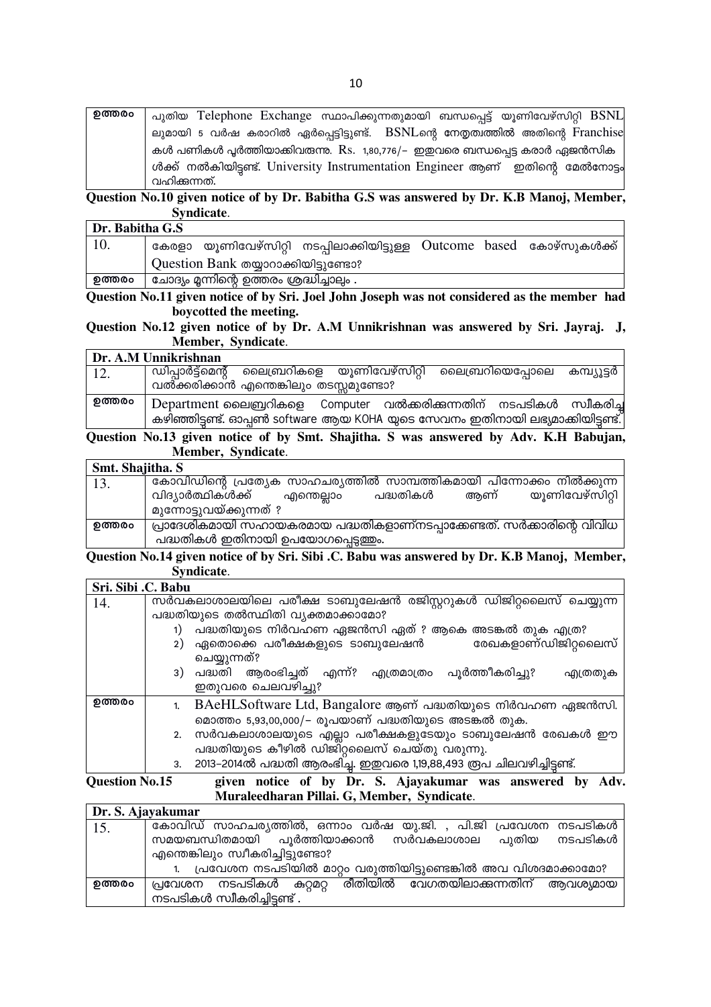| ഉത്തരം | പുതിയ Telephone Exchange സ്ഥാപിക്കുന്നതുമായി ബന്ധപ്പെട്ട് യൂണിവേഴ്സിറ്റി BSNL                   |
|--------|-------------------------------------------------------------------------------------------------|
|        | ലുമായി 5 വർഷ കരാറിൽ ഏർപ്പെട്ടിട്ടുണ്ട്. BSNLന്റെ നേതൃത്വത്തിൽ അതിന്റെ Franchise                 |
|        | കൾ പണികൾ പൂർത്തിയാക്കിവരുന്നു. Rs. 1,80,776/– ഇഇവരെ ബന്ധപ്പെട്ട കരാർ ഏജൻസിക                     |
|        | ൾക്ക് നൽകിയിട്ടണ്ട്. University Instrumentation Engineer ആണ് ഇതിന്റെ മേൽനോട്ടം<br>വഹിക്കുന്നത്. |

Question No.10 given notice of by Dr. Babitha G.S was answered by Dr. K.B Manoj, Member, Syndicate.

| Dr. Babitha G.S |                                                                       |  |  |  |  |  |  |
|-----------------|-----------------------------------------------------------------------|--|--|--|--|--|--|
| 10.             | കേരളാ യൂണിവേഴ്സിറ്റി നടപ്പിലാക്കിയിട്ടുള്ള Outcome based കോഴ്സുകൾക്ക് |  |  |  |  |  |  |
|                 | Question Bank തയ്യാറാക്കിയിട്ടുണ്ടോ?                                  |  |  |  |  |  |  |
| ഉത്തരം          | ്ചോദ്യം മ്ലന്നിന്റെ ഉത്തരം ശ്രദ്ധിച്ചാലും .                           |  |  |  |  |  |  |

Question No.11 given notice of by Sri. Joel John Joseph was not considered as the member had boycotted the meeting.

Question No.12 given notice of by Dr. A.M Unnikrishnan was answered by Sri. Jayraj. J, Member, Syndicate.

|             | Dr. A.M Unnikrishnan                                                           |
|-------------|--------------------------------------------------------------------------------|
| $\vert$ 12. | ്ഡിപ്പാർട്ട്മെന്റ് ലൈബ്രറികളെ യൂണിവേഴ്സിറ്റി ലൈബ്രറിയെപ്പോലെ കമ്പ്യൂട്ടർ       |
|             | വൽക്കരിക്കാൻ എന്തെങ്കിലും തടസ്സമുണ്ടോ?                                         |
| ഉത്തരം      | Department ലൈബ്രറികളെ Computer വൽക്കരിക്കുന്നതിന് നടപടികൾ സ്വീകരിച്ച           |
|             | കഴിഞ്ഞിട്ടണ്ട്. ഓപ്പൺ software ആയ KOHA യുടെ സേവനം ഇതിനായി ലഭ്യമാക്കിയിട്ടണ്ട്. |

Question No.13 given notice of by Smt. Shajitha. S was answered by Adv. K.H Babujan, Member, Syndicate.

| Smt. Shajitha. S |                                                                                                              |
|------------------|--------------------------------------------------------------------------------------------------------------|
| 13.              | കോവിഡിന്റെ പ്രത്യേക സാഹചര്യത്തിൽ സാമ്പത്തികമായി പിന്നോക്കം നിൽക്കുന്ന                                        |
|                  | യൂണിവേഴ്സിറ്റി<br>വിദ്യാർത്ഥികൾക്ക്<br>അണ്<br>പദ്ധതികൾ<br>എന്തെല്ലാം<br>മുന്നോട്ടുവയ്ക്കുന്നത് ?             |
| ഉത്തരം           | പ്രാദേശികമായി സഹായകരമായ പദ്ധതികളാണ്നടപ്പാക്കേണ്ടത്. സർക്കാരിന്റെ വിവിധ<br>പദ്ധതികൾ ഇതിനായി ഉപയോഗപ്പെടുത്തും. |

Question No.14 given notice of by Sri. Sibi .C. Babu was answered by Dr. K.B Manoj, Member, Syndicate.

| Sri. Sibi .C. Babu |                                                                             |                                                                      |  |  |  |  |
|--------------------|-----------------------------------------------------------------------------|----------------------------------------------------------------------|--|--|--|--|
| 14.                | സർവകലാശാലയിലെ പരീക്ഷ ടാബുലേഷൻ രജിസ്റ്ററുകൾ ഡിജിറ്റലൈസ് ചെയ്യുന്ന            |                                                                      |  |  |  |  |
|                    |                                                                             | പദ്ധതിയുടെ തൽസ്ഥിതി വ്യക്തമാക്കാമോ?                                  |  |  |  |  |
|                    |                                                                             | പദ്ധതിയുടെ നിർവഹണ ഏജൻസി ഏത് ? ആകെ അടങ്കൽ തുക എത്ര?                   |  |  |  |  |
|                    | 2)                                                                          | ഏതൊക്കെ പരീക്ഷകളുടെ ടാബുലേഷൻ<br>രേഖകളാണ്ഡിജിറ്റലൈസ്                  |  |  |  |  |
|                    |                                                                             | ചെയ്യുന്നത്?                                                         |  |  |  |  |
|                    |                                                                             | 3) പദ്ധതി ആരംഭിച്ചത് എന്ന്? എത്രമാത്രം പൂർത്തീകരിച്ചു?<br>എത്രതുക    |  |  |  |  |
|                    |                                                                             | ഇതുവരെ ചെലവഴിച്ചു?                                                   |  |  |  |  |
| ഉത്തരം             |                                                                             | BAeHLSoftware Ltd, Bangalore ആണ് പദ്ധതിയുടെ നിർവഹണ ഏജൻസി.            |  |  |  |  |
|                    |                                                                             | മൊത്തം 5,93,00,000/- രൂപയാണ് പദ്ധതിയുടെ അടങ്കൽ തുക.                  |  |  |  |  |
|                    |                                                                             | സർവകലാശാലയുടെ എല്ലാ പരീക്ഷകളുടേയും ടാബുലേഷൻ രേഖകൾ ഈ                  |  |  |  |  |
|                    |                                                                             | പദ്ധതിയുടെ കീഴിൽ ഡിജിറ്റലൈസ് ചെയ്തു വരുന്നു.                         |  |  |  |  |
|                    | 3.                                                                          | 2013-2014ൽ പദ്ധതി ആരംഭിച്ച. ഇഇവരെ 1,19,88,493 രൂപ ചിലവഴിച്ചിട്ടണ്ട്. |  |  |  |  |
|                    | given notice of by Dr. S. Ajoyakumar was answered by Adv<br>Augstian No. 15 |                                                                      |  |  |  |  |

given notice of by Dr. S. Ajayakumar was answered by Adv. **Ouestion No.15** Muraleedharan Pillai. G, Member, Syndicate.

|        | Dr. S. Ajayakumar                                               |
|--------|-----------------------------------------------------------------|
| 15.    | `കോവിഡ് സാഹചര്യത്തിൽ, ഒന്നാം വർഷ യു.ജി. , പി.ജി പ്രവേശന നടപടികൾ |
|        | സമയബന്ധിതമായി പൂർത്തിയാക്കാൻ സർവകലാശാല പുതിയ നടപടികൾ            |
|        | എന്തെങ്കിലും സ്വീകരിച്ചിട്ടുണ്ടോ?                               |
|        | പ്രവേശന നടപടിയിൽ മാറ്റം വരുത്തിയിട്ടുണ്ടെങ്കിൽ അവ വിശദമാക്കാമോ? |
| ഉത്തരം | പ്രവേശന നടപടികൾ കറ്റമറ്റ രീതിയിൽ വേഗതയിലാക്കുന്നതിന് ആവശ്യമായ   |
|        | നടപടികൾ സ്വീകരിച്ചിട്ടണ്ട് .                                    |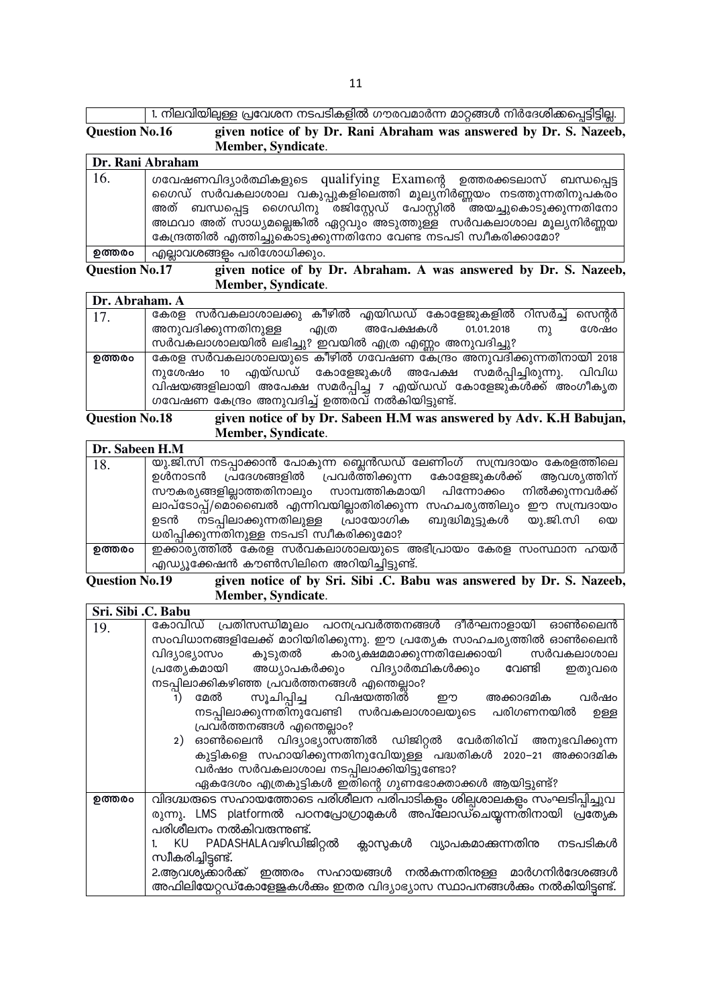|                       | <sub>।</sub> 1. നിലവിയില്പള്ള പ്രവേശന നടപടികളിൽ ഗൗരവമാർന്ന മാറ്റങ്ങൾ നിർദേശിക്കപ്പെട്ടിട്ടില്ല. ' |  |  |  |
|-----------------------|---------------------------------------------------------------------------------------------------|--|--|--|
| <b>Question No.16</b> | given notice of by Dr. Rani Abraham was answered by Dr. S. Nazeeb,<br>Member, Syndicate.          |  |  |  |
|                       |                                                                                                   |  |  |  |

|--|

| 16.    | ഗവേഷണവിദ്യാർത്ഥികളുടെ qualifying Examന്റെ ഉത്തരക്കടലാസ് ബന്ധപ്പെട്ട<br>ഗൈഡ് സർവകലാശാല വകുപ്പുകളിലെത്തി മൂല്യനിർണ്ണയം നടത്തുന്നതിനുപകരം                                                                         |
|--------|----------------------------------------------------------------------------------------------------------------------------------------------------------------------------------------------------------------|
|        | അത് ബന്ധപ്പെട്ട ഗൈഡിനു രജിസ്റ്റേഡ് പോസ്റ്റിൽ ര്തയച്ചുകൊടുക്കുന്നതിനോ<br>അഥവാ അത് സാധ്യമല്ലെങ്കിൽ ഏറ്റവും അടുത്തുള്ള സർവകലാശാല മൂല്യനിർണ്ണയ<br>കേന്ദ്രത്തിൽ എത്തിച്ചുകൊടുക്കുന്നതിനോ വേണ്ട നടപടി സ്വീകരിക്കാമോ? |
| ഉത്തരം | എല്ലാവശങ്ങളം പരിശോധിക്കും.                                                                                                                                                                                     |

#### given notice of by Dr. Abraham. A was answered by Dr. S. Nazeeb, Question No.17 Member, Syndicate.

| Dr. Abraham. A |                                                                       |
|----------------|-----------------------------------------------------------------------|
| 17.            | കേരള സർവകലാശാലക്കു കീഴിൽ എയിഡഡ് കോളേജുകളിൽ റിസർച്ച് സെന്റർ            |
|                | അനുവദിക്കുന്നതിനുള്ള<br>അപേക്ഷകൾ<br>ശേഷം<br>01.01.2018<br>എത്ര<br>(M) |
|                | സർവകലാശാലയിൽ ലഭിച്ചു? ഇവയിൽ എത്ര എണ്ണം അനുവദിച്ചു?                    |
| ഉത്തരം         | ഭകരള സർവകലാശാലയുടെ കീഴിൽ ഗവേഷണ കേന്ദ്രം അനുവദിക്കുന്നതിനായി 2018      |
|                | നുശേഷം 10 എയ്ഡഡ് കോളേജുകൾ അപേക്ഷ സമർപ്പിച്ചിരുന്നു. വിവിധ             |
|                | വിഷയങ്ങളിലായി അപേക്ഷ സമർപ്പിച്ച 7 എയ്ഡഡ് കോളേജുകൾക്ക് അംഗീകൃത         |
|                | ഗവേഷണ കേന്ദ്രം അനുവദിച്ച് ഉത്തരവ് നൽകിയിട്ടുണ്ട്.                     |

#### **Question No.18** given notice of by Dr. Sabeen H.M was answered by Adv. K.H Babujan, Member, Syndicate.

| Dr. Sabeen H.M |                                                                      |
|----------------|----------------------------------------------------------------------|
| 18.            | യു.ജി.സി നടപ്പാക്കാൻ പോകുന്ന ബ്ലെൻഡഡ് ലേണിംഗ് സമ്പ്രദായം കേരളത്തിലെ  |
|                | ഉൾനാടൻ പ്രദേശങ്ങളിൽ പ്രവർത്തിക്കുന്ന കോളേജുകൾക്ക് ആവശ്യത്തിന്        |
|                | സൗകര്യങ്ങളില്ലാത്തതിനാലും സാമ്പത്തികമായി പിന്നോക്കം നിൽക്കുന്നവർക്ക് |
|                | ലാപ്ടോപ്പ്/മൊബൈൽ എന്നിവയില്ലാതിരിക്കുന്ന സഹചര്യത്തിലും ഈ സമ്പ്രദായം  |
|                | ഉടൻ നടപ്പിലാക്കുന്നതിലുള്ള പ്രായോഗിക ബുദ്ധിമുട്ടുകൾ യു.ജി.സി യെ      |
|                | ധരിപ്പിക്കുന്നതിനുള്ള നടപടി സ്വീകരിക്കുമോ?                           |
| ഉത്തരം         | ഇക്കാര്യത്തിൽ കേരള സർവകലാശാലയുടെ അഭിപ്രായം കേരള സംസ്ഥാന ഹയർ          |
|                | എഡ്യൂക്കേഷൻ കൗൺസിലിനെ അറിയിച്ചിട്ടുണ്ട്.                             |

#### **Question No.19** given notice of by Sri. Sibi .C. Babu was answered by Dr. S. Nazeeb, Member, Syndicate.

| Sri. Sibi .C. Babu |                                                                          |
|--------------------|--------------------------------------------------------------------------|
| 19.                | കോവിഡ് പ്രതിസന്ധിമൂലം പഠനപ്രവർത്തനങ്ങൾ ദീർഘനാളായി ഓൺലൈൻ                  |
|                    | സംവിധാനങ്ങളിലേക്ക് മാറിയിരിക്കുന്നു. ഈ പ്രത്യേക സാഹചര്യത്തിൽ ഓൺലൈൻ       |
|                    | വിദ്യാഭ്യാസം കൂടുതൽ കാര്യക്ഷമമാക്കുന്നതിലേക്കായി സർവകലാശാല               |
|                    | പ്രത്യേകമായി അധ്യാപകർക്കും വിദ്യാർത്ഥികൾക്കും വേണ്ടി<br>ഇതുവരെ           |
|                    | നടപ്പിലാക്കികഴിഞ്ഞ പ്രവർത്തനങ്ങൾ എന്തെല്ലാം?                             |
|                    | സൂചിപ്പിച്ച വിഷയത്തിൽ ഈ<br>മേൽ<br>അക്കാദമിക<br>വർഷം<br>1)                |
|                    | നടപ്പിലാക്കുന്നതിനുവേണ്ടി സർവകലാശാലയുടെ പരിഗണനയിൽ<br>ഉള്ള                |
|                    | പ്രവർത്തനങ്ങൾ എന്തെല്ലാം?                                                |
|                    | 2) ഓൺലൈൻ വിദ്യാഭ്യാസത്തിൽ ഡിജിറ്റൽ വേർതിരിവ് അനുഭവിക്കുന്ന               |
|                    | കുട്ടികളെ സഹായിക്കുന്നതിനുവേിയുള്ള പദ്ധതികൾ 2020–21 അക്കാദമിക            |
|                    | വർഷം സർവകലാശാല നടപ്പിലാക്കിയിട്ടുണ്ടോ?                                   |
|                    | ഏകദേശം എത്രകുട്ടികൾ ഇതിന്റെ ഗുണഭോക്താക്കൾ ആയിട്ടുണ്ട്?                   |
| ഉത്തരം             | വിദഗ്ദ്ധത്തടെ സഹായത്തോടെ പരിശീലന പരിപാടികളും ശില്പശാലകളും സംഘടിപ്പിച്ചുവ |
|                    | രുന്നു. LMS platformൽ പഠനപ്രോഗ്രാമുകൾ അപ്ലോഡ്ചെയ്യന്നതിനായി പ്രത്യേക     |
|                    | പരിശീലനം നൽകിവരുന്നുണ്ട്.                                                |
|                    | KU PADASHALAവഴിഡിജിറ്റൽ ക്ലാസുകൾ വ്യാപകമാക്കുന്നതിനു<br>നടപടികൾ          |
|                    | സ്വീകരിച്ചിട്ടണ്ട്.                                                      |
|                    | 2.ആവശ്യക്കാർക്ക് ഇത്തരം സഹായങ്ങൾ നൽകന്നതിനുള്ള മാർഗനിർദേശങ്ങൾ            |
|                    | അഫിലിയേറ്റഡ്കോളേജകൾക്കം ഇതര വിദ്യാഭ്യാസ സ്ഥാപനങ്ങൾക്കം നൽകിയിട്ടണ്ട്.    |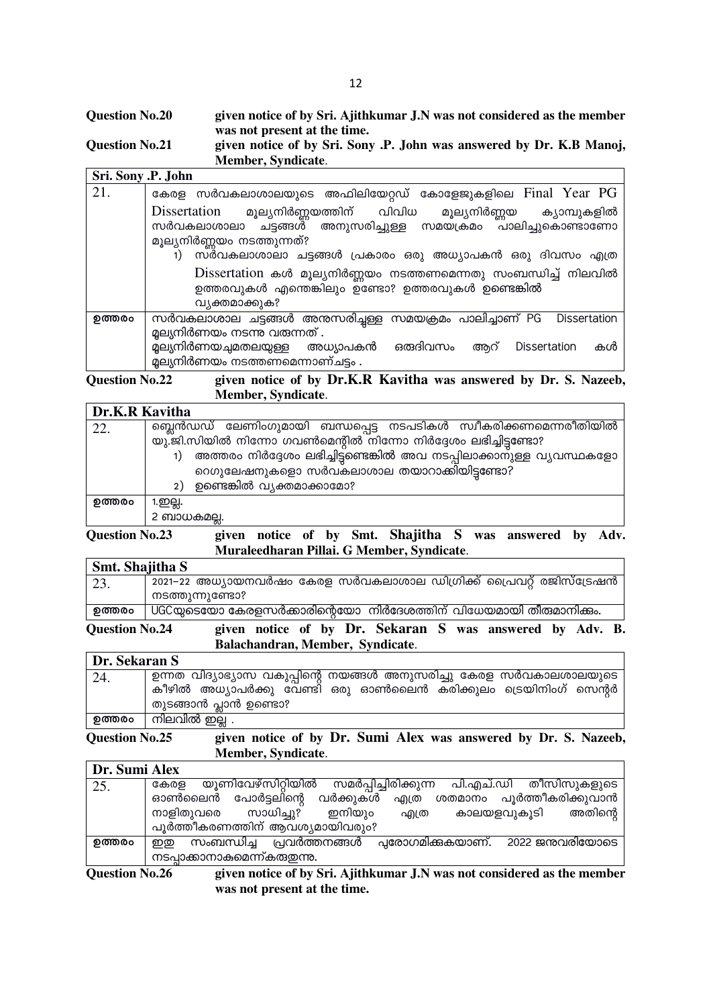| <b>Question No.20</b> | given notice of by Sri. Ajithkumar J.N was not considered as the member |
|-----------------------|-------------------------------------------------------------------------|
|                       | was not present at the time.                                            |
| <b>Ouestion No.21</b> | given notice of by Sri. Sony .P. John was answered by Dr. K.B Manoj,    |
|                       | Member, Syndicate.                                                      |

| Sri. Sony .P. John |                                                                                                                                                                    |
|--------------------|--------------------------------------------------------------------------------------------------------------------------------------------------------------------|
| 21.                | കേരള സർവകലാശാലയുടെ അഫിലിയേറ്റഡ് കോളേജുകളിലെ Final Year PG                                                                                                          |
|                    | Dissertation മൂല്യനിർണ്ണയത്തിന് വിവിധ<br>മൂല്യനിർണ്ണയ<br>ക്യാമ്പുകളിൽ<br>സർവകലാശാലാ ചട്ടങ്ങൾ അനുസരിച്ചുള്ള സമയക്രമം പാലിച്ചുകൊണ്ടാണോ<br>മൂല്യനിർണ്ണയം നടത്തുന്നത്? |
|                    | സർവകലാശാലാ ചട്ടങ്ങൾ പ്രകാരം ഒരു അധ്യാപകൻ ഒരു ദിവസം എത്ര<br>1)                                                                                                      |
|                    | Dissertation കൾ മൂല്യനിർണ്ണയം നടത്തണമെന്നതു സംബന്ധിച്ച് നിലവിൽ<br>ഉത്തരവുകൾ എന്തെങ്കിലും ഉണ്ടോ? ഉത്തരവുകൾ ഉണ്ടെങ്കിൽ<br>വ്യക്തമാക്കുക?                             |
| ഉത്തരം             | സർവകലാശാല ചട്ടങ്ങൾ അനുസരിച്ചള്ള സമയക്രമം പാലിച്ചാണ് PG<br><b>Dissertation</b>                                                                                      |
|                    | മൂല്യനിർണയം നടന്നു വരുന്നത് .                                                                                                                                      |
|                    | മ്ലല്യനിർണയച്ചമതലയുള്ള അധ്യാപകൻ ഒരുദിവസം<br><b>Dissertation</b><br>കൾ<br>അറ്<br>മൂല്യനിർണയം നടത്തണമെന്നാണ്ചട്ടം .                                                  |

**Question No.22 given notice of by Dr.K.R Kavitha was answered by Dr. S. Nazeeb, Member, Syndicate**.

٦

### **Dr.K.R Kavitha**

| <i>DIGINAL INDITIO</i> |                                                                      |
|------------------------|----------------------------------------------------------------------|
| 22.                    | 'ബ്ലെൻഡഡ് ലേണിംഗുമായി ബന്ധപ്പെട്ട നടപടികൾ സ്വീകരിക്കണമെന്നരീതിയിൽ    |
|                        | യു.ജി.സിയിൽ നിന്നോ ഗവൺമെന്റിൽ നിന്നോ നിർദ്ദേശം ലഭിച്ചിട്ടണ്ടോ?       |
|                        | അത്തരം നിർദ്ദേശം ലഭിച്ചിട്ടണ്ടെങ്കിൽ അവ നടപ്പിലാക്കാനുള്ള വ്യവസ്ഥകളോ |
|                        | ഗെഗുലേഷനുകളൊ സർവകലാശാല തയാറാക്കിയിട്ടണ്ടോ?                           |
|                        | ഉണ്ടെങ്കിൽ വ്യക്തമാക്കാമോ?<br>2)                                     |
| ഉത്തരം                 | 1.ഇല്ല.                                                              |
|                        | 2 ബാധകമല്ല.                                                          |

**Question No.23 given notice of by Smt. Shajitha S was answered by Adv. Muraleedharan Pillai. G Member, Syndicate**.

| Smt. Shajitha S |                                                                     |
|-----------------|---------------------------------------------------------------------|
| 23.             | 2021–22 അധ്യായനവർഷം കേരള സർവകലാശാല ഡിഗ്രിക്ക് പ്രൈവറ്റ് രജിസ്ട്രേഷൻ |
|                 | നടത്തുന്നുണ്ടോ?                                                     |
| ഉത്തരം          | UGCയുടെയോ കേരളസർക്കാരിന്റെയോ നിർദേശത്തിന് വിധേയമായി തീരുമാനിക്കം.   |
|                 |                                                                     |

**Question No.24 given notice of by Dr. Sekaran S was answered by Adv. B. Balachandran, Member, Syndicate**.

| Dr. Sekaran S |                                                                    |  |  |  |  |  |  |
|---------------|--------------------------------------------------------------------|--|--|--|--|--|--|
| 24.           | ഉന്നത വിദ്യാഭ്യാസ വകുപ്പിന്റെ നയങ്ങൾ അനുസരിച്ചു കേരള സർവകാലശാലയുടെ |  |  |  |  |  |  |
|               | കീഴിൽ അധ്യാപർക്കു വേണ്ടി ഒരു ഓൺലൈൻ കരിക്കുലം ട്രെയിനിംഗ് സെന്റർ    |  |  |  |  |  |  |
|               | തുടങ്ങാൻ പ്ലാൻ ഉണ്ടൊ?                                              |  |  |  |  |  |  |
| ഉത്തരം        | നിലവിൽ ഇല്ല .                                                      |  |  |  |  |  |  |
|               |                                                                    |  |  |  |  |  |  |

**Question No.25 given notice of by Dr. Sumi Alex was answered by Dr. S. Nazeeb, Member, Syndicate**.

| Dr. Sumi Alex |                                                                            |
|---------------|----------------------------------------------------------------------------|
| 25.           | യൂണിവേഴ്സിറ്റിയിൽ<br>സമർപ്പിച്ചിരിക്കുന്ന<br>പി.എച്.ഡി തീസിസുകളുടെ<br>കേരള |
|               | പൂർത്തീകരിക്കുവാൻ<br>ഓൺലൈൻ<br>പോർട്ടലിന്റെ<br>വർക്കുകൾ<br>ശതമാനം<br>എത്ര   |
|               | സാധിച്ചു?<br>നാളിതുവരെ<br>ഇനിയും<br>അതിന്റെ<br>കാലയളവുകൂടി<br>എത്ര         |
|               | പൂർത്തീകരണത്തിന് ആവശ്യമായിവരും?                                            |
| ഉത്തരം        | സംബന്ധിച്ച പ്രവർത്തനങ്ങൾ<br>2022 ജന്മവരിയോടെ<br>പ്പരോഗമിക്കുകയാണ്.<br>ഇത   |
|               | നടപ്പാക്കാനാകുമെന്ന്കരുതന്നു.                                              |
|               |                                                                            |

**Question No.26 given notice of by Sri. Ajithkumar J.N was not considered as the member was not present at the time.**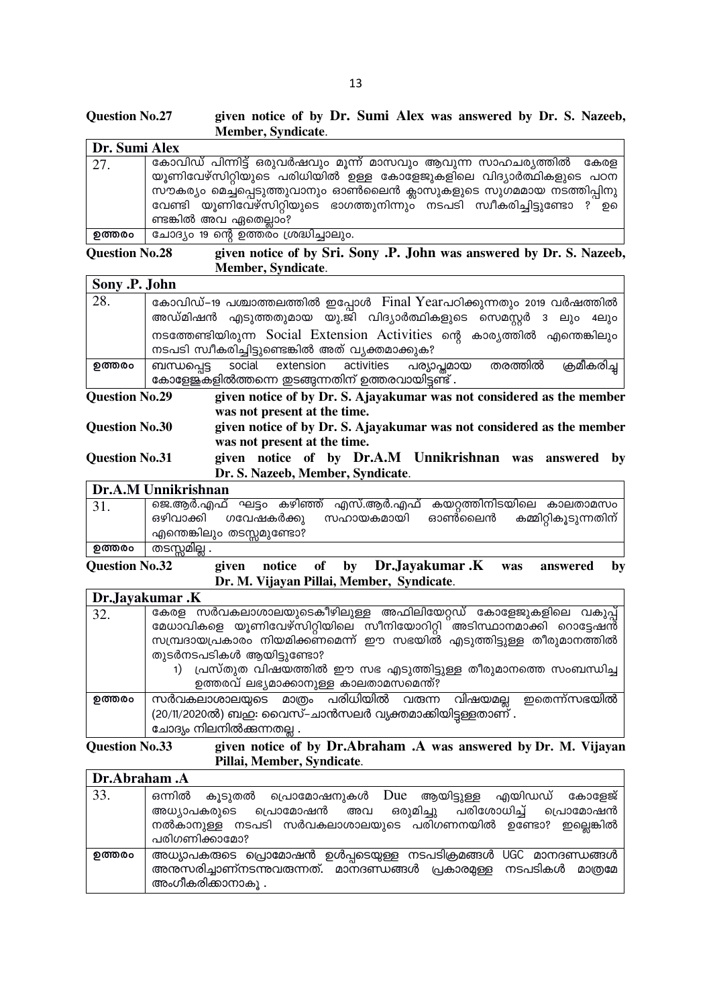#### **Question No.27** given notice of by Dr. Sumi Alex was answered by Dr. S. Nazeeb, Member, Syndicate.

| Dr. Sumi Alex |                                                                         |
|---------------|-------------------------------------------------------------------------|
| 27.           | `കോവിഡ് പിന്നിട്ട് ഒരുവർഷവും മൂന്ന് മാസവും ആവുന്ന സാഹചര്യത്തിൽ  കേരള    |
|               | യൂണിവേഴ്സിറ്റിയുടെ പരിധിയിൽ ഉള്ള കോളേജുകളിലെ വിദ്യാർത്ഥികളുടെ പഠന       |
|               | സൗകര്യം മെച്ചപ്പെടുത്തുവാനും ഓൺലൈൻ ക്ലാസുകളുടെ സുഗമമായ നടത്തിപ്പിനു     |
|               | വേണ്ടി യൂണിവേഴ്സിറ്റിയുടെ ഭാഗത്തുനിന്നും നടപടി സ്വീകരിച്ചിട്ടുണ്ടോ ? ഉെ |
|               | ണ്ടങ്കിൽ അവ ഏതെല്ലാം?                                                   |
| ഉത്തരം        | ചോദ്യം 19 ന്റെ ഉത്തരം ശ്രദ്ധിച്ചാലും.                                   |

given notice of by Sri. Sony .P. John was answered by Dr. S. Nazeeb, **Question No.28** Member, Syndicate.

|                                                                                                                                | Sony .P. John                                                     |  |                              |  |  |                                                            |         |                                                                                 |
|--------------------------------------------------------------------------------------------------------------------------------|-------------------------------------------------------------------|--|------------------------------|--|--|------------------------------------------------------------|---------|---------------------------------------------------------------------------------|
| 28.                                                                                                                            |                                                                   |  |                              |  |  | അഡ്മിഷൻ എടുത്തതുമായ യു.ജി വിദ്യാർത്ഥികളുടെ സെമസ്റ്റർ 3 ലും |         | കോവിഡ്–19 പശ്ചാത്തലത്തിൽ ഇപ്പോൾ Final Yearപഠിക്കുന്നതും 2019 വർഷത്തിൽ<br>4el) o |
|                                                                                                                                | നടപടി സ്വീകരിച്ചിട്ടുണ്ടെങ്കിൽ അത് വ്യക്തമാക്കുക?                 |  |                              |  |  |                                                            |         | നടത്തേണ്ടിയിരുന്ന Social Extension Activities ന്റെ കാര്യത്തിൽ എന്തെങ്കിലും      |
| ഉത്തരം                                                                                                                         | ബന്ധപ്പെട്ട<br>കോളേജ്കളിൽത്തന്നെ ഇടങ്ങുന്നതിന് ഉത്തരവായിട്ടണ്ട് . |  |                              |  |  | social extension activities പര്യാപ്തമായ                    | തരത്തിൽ | ക്രമീകരിച്ച                                                                     |
| given notice of by Dr. S. Ajayakumar was not considered as the member<br><b>Question No.29</b><br>was not present at the time. |                                                                   |  |                              |  |  |                                                            |         |                                                                                 |
| <b>Question No.30</b>                                                                                                          |                                                                   |  | was not present at the time. |  |  |                                                            |         | given notice of by Dr. S. Ajayakumar was not considered as the member           |
| <b>Question No.31</b>                                                                                                          |                                                                   |  |                              |  |  | given notice of by Dr.A.M Unnikrishnan was                 |         | – by<br>answered                                                                |

given notice of by Dr.A.M Unnikrishnan was answered by Dr. S. Nazeeb, Member, Syndicate.

|        | Dr.A.M Unnikrishnan                                                                            |
|--------|------------------------------------------------------------------------------------------------|
| 31.    | ജെ.ആർ.എഫ് ഘട്ടം കഴിഞ്ഞ് എസ്.ആർ.എഫ് കയറ്റത്തിനിടയിലെ കാലതാമസം                                   |
|        | ഓൺലൈൻ കമ്മിറ്റികൂടുന്നതിന്<br>ഒഴിവാക്കി ഗവേഷകർക്കു<br>സഹായകമായി<br>, എന്തെങ്കിലും തടസ്സമുണ്ടോ? |
| ഉത്തരം | തടസ്സമില്ല .                                                                                   |

**Question No.32** given notice of by Dr.Jayakumar.K answered was by Dr. M. Vijayan Pillai, Member, Syndicate.

|        | Dr.Jayakumar.K                                                       |
|--------|----------------------------------------------------------------------|
| 32.    | കേരള സർവകലാശാലയുടെകീഴിലുള്ള അഫിലിയേറ്റഡ് കോളേജുകളിലെ വകുപ്പ്         |
|        | മേധാവികളെ യൂണിവേഴ്സിറ്റിയിലെ സീനിയോറിറ്റി അടിസ്ഥാനമാക്കി റൊട്ടേഷൻ്   |
|        | സമ്പ്രദായപ്രകാരം നിയമിക്കണമെന്ന് ഈ സഭയിൽ എടുത്തിട്ടുള്ള തീരുമാനത്തിൽ |
|        | തുടർനടപടികൾ ആയിട്ടുണ്ടോ?                                             |
|        | പ്രസ്തുത വിഷയത്തിൽ ഈ സഭ എടുത്തിട്ടുള്ള തീരുമാനത്തെ സംബന്ധിച്ച        |
|        | ഉത്തരവ് ലഭ്യമാക്കാനുള്ള കാലതാമസമെന്ത്?                               |
| ഉത്തരം | ഇതെന്ന്സഭയിൽ<br>സർവകലാശാലയുടെ മാത്രം പരിധിയിൽ വരുന്ന വിഷയമല്ല        |
|        | (20/11/2020ൽ) ബഇ: വൈസ്-ചാൻസലർ വ്യക്തമാക്കിയിട്ടള്ളതാണ്.              |
|        | ചോദ്യം നിലനിൽക്കന്നതല്ല .                                            |

**Question No.33** given notice of by Dr.Abraham .A was answered by Dr. M. Vijayan Pillai, Member, Syndicate.

| Dr.Abraham.A |                                                                                                                                                                                                |
|--------------|------------------------------------------------------------------------------------------------------------------------------------------------------------------------------------------------|
| 33.          | ഒന്നിൽ കൂടുതൽ പ്രൊമോഷനുകൾ Due ആയിട്ടുള്ള എയിഡഡ് കോളേജ്<br>അധ്യാപകരുടെ പ്രൊമോഷൻ അവ ഒരുമിച്ചു പരിശോധിച്ച് പ്രൊമോഷൻ<br>നൽകാനുള്ള നടപടി സർവകലാശാലയുടെ പരിഗണനയിൽ ഉണ്ടോ? ഇല്ലെങ്കിൽ<br>പരിഗണിക്കാമോ? |
| ഉത്തരം       | അധ്യാപകരുടെ പ്രൊമോഷൻ ഉൾപ്പടെയുള്ള നടപടിക്രമങ്ങൾ UGC മാനദണ്ഡങ്ങൾ<br>അന്തസരിച്ചാണ്നടന്നുവരുന്നത്. മാനദണ്ഡങ്ങൾ പ്രകാരമുള്ള നടപടികൾ മാത്രമേ<br>അംഗീകരിക്കാനാകൂ .                                   |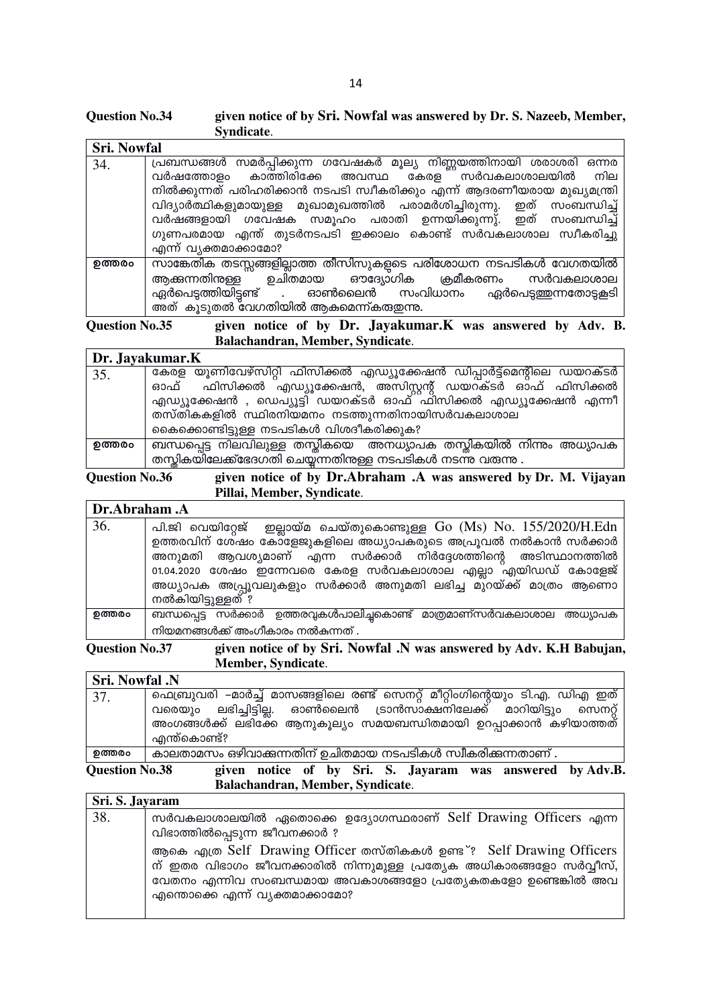#### **Question No.34** given notice of by Sri. Nowfal was answered by Dr. S. Nazeeb, Member, Syndicate.

| <b>Sri. Nowfal</b> |                                                                          |
|--------------------|--------------------------------------------------------------------------|
| 34.                | പ്രബന്ധങ്ങൾ സമർപ്പിക്കുന്ന ഗവേഷകർ മൂല്യ നിണ്ണയത്തിനായി ശരാശരി ഒന്നര      |
|                    | വർഷത്തോളം കാത്തിരിക്കേ അവസ്ഥ കേരള സർവകലാശാലയിൽ നില                       |
|                    | നിൽക്കുന്നത് പരിഹരിക്കാൻ നടപടി സ്വീകരിക്കും എന്ന് ആദരണീയരായ മുഖ്യമന്ത്രി |
|                    | വിദ്യാർത്ഥികളുമായുള്ള മുഖാമുഖത്തിൽ പരാമർശിച്ചിരുന്നു. ഇത് സംബന്ധിച്ച്    |
|                    | വർഷങ്ങളായി ഗവേഷക സമൂഹം പരാതി ഉന്നയിക്കുന്നു്. ഇത് സംബന്ധിച്ച്            |
|                    | ഗുണപരമായ എന്ത് തുടർനടപടി ഇക്കാലം കൊണ്ട് സർവകലാശാല സ്വീകരിച്ചു            |
|                    | എന്ന് വ്യക്തമാക്കാമോ?                                                    |
| ഉത്തരം             | സാങ്കേതിക തടസ്സങ്ങളില്ലാത്ത തീസിസുകളുടെ പരിശോധന നടപടികൾ വേഗതയിൽ          |
|                    | ആക്കുന്നതിനുള്ള ഉചിതമായ ഔദ്യോഗിക ക്രമീകരണം സർവകലാശാല                     |
|                    | ഏർപെടുത്തിയിട്ടണ്ട് . ഓൺലൈൻ സംവിധാനം ഏർപെടുത്തുന്നതോടുകളടി               |
|                    | അത് കൂടുതൽ വേഗതിയിൽ ആകുമെന്ന്കരുതന്നു.                                   |

given notice of by Dr. Jayakumar.K was answered by Adv. B. **Question No.35** Balachandran, Member, Syndicate.

|        | Dr. Jayakumar.K                                                      |
|--------|----------------------------------------------------------------------|
| 35.    | ഭകരള യൂണിവേഴ്സിറ്റി ഫിസിക്കൽ എഡ്യൂക്കേഷൻ ഡിപ്പാർട്ട്മെന്റിലെ ഡയറക്ടർ |
|        | ഓഫ് ഫിസിക്കൽ എഡ്യൂക്കേഷൻ, അസിസ്റ്റന്റ് ഡയറക്ടർ ഓഫ് ഫിസിക്കൽ          |
|        | എഡ്യൂക്കേഷൻ , ഡെപ്യൂട്ടി ഡയറക്ടർ ഓഫ്്ഫിസിക്കൽ എഡ്യൂക്കേഷൻ എന്നീ      |
|        | തസ്തികകളിൽ സ്ഥിരനിയമനം നടത്തുന്നതിനായിസർവകലാശാല                      |
|        | കൈക്കൊണ്ടിട്ടുള്ള നടപടികൾ വിശദീകരിക്കുക?                             |
| ഉത്തരം | ബന്ധപ്പെട്ട നിലവിലുള്ള തസ്തികയെ അനധ്യാപക തസ്തികയിൽ നിന്നും അധ്യാപക   |
|        | തസ്കികയിലേക്ക്ദേഗതി ചെയ്യന്നതിനുള്ള നടപടികൾ നടന്ന വരുന്നു .          |

**Question No.36** given notice of by Dr.Abraham .A was answered by Dr. M. Vijayan Pillai, Member, Syndicate.

| Dr.Abraham .A |                                                                          |
|---------------|--------------------------------------------------------------------------|
| 36.           | പി.ജി വെയിറ്റേജ് ഇല്ലായ്മ ചെയ്തുകൊണ്ടുള്ള Go (Ms) No. $155/2020/H.Edn$   |
|               | ഉത്തരവിന് ശേഷം കോളേജുകളിലെ അധ്യാപകരുടെ അപ്രൂവൽ നൽകാൻ സർക്കാർ             |
|               | അനുമതി ആവശ്യമാണ് എന്ന സർക്കാർ നിർദ്ദേശത്തിന്റെ അടിസ്ഥാനത്തിൽ             |
|               | 01.04.2020 ശേഷം ഇന്നേവരെ കേരള സർവകലാശാല എല്ലാ എയിഡഡ് കോളേജ്              |
|               | അധ്യാപക അപ്പ്രൂവലുകളും സർക്കാർ അനുമതി ലഭിച്ച മുറയ്ക്ക് മാത്രം ആണൊ        |
|               | നൽകിയിട്ടുള്ളത് ?                                                        |
| ഉത്തരം        | ബന്ധപ്പെട്ട സർക്കാർ ഉത്തരവുകൾപാലിച്ചകൊണ്ട് മാത്രമാണ്സർവകലാശാല<br>അധ്യാപക |
|               | നിയമനങ്ങൾക്ക് അംഗീകാരം നൽകന്നത് .                                        |

**Ouestion No.37** given notice of by Sri. Nowfal .N was answered by Adv. K.H Babujan, **Member, Syndicate.** 

**Sri. Nowfal .N** ഫെബ്രുവരി –മാർച്ച് മാസങ്ങളിലെ രണ്ട് സെനറ്റ് മീറ്റിംഗിന്റെയും ടി.എ. ഡിഎ ഇത് 37. വരെയും അംഗങ്ങൾക്ക് ലഭിക്കേ ആനുകൂല്യം സമയബന്ധിതമായി ഉറപ്പാക്കാൻ കഴിയാത്തത് എന്ത്കൊണ്ട്? ഉത്തരം കാലതാമസം ഒഴിവാക്കുന്നതിന് ഉചിതമായ നടപടികൾ സ്വീകരിക്കുന്നതാണ്.

**Question No.38** given notice of by Sri. S. Jayaram was answered by Adv.B. Balachandran, Member, Syndicate.

| Sri. S. Jayaram |                                                                                                                                                                                                                                                |
|-----------------|------------------------------------------------------------------------------------------------------------------------------------------------------------------------------------------------------------------------------------------------|
| 38.             | സർവകലാശാലയിൽ ഏതൊക്കെ ഉദ്യോഗസ്ഥരാണ് Self Drawing Officers എന്ന<br>വിഭാത്തിൽപ്പെടുന്ന ജീവനക്കാർ ?                                                                                                                                                |
|                 | ആകെ എത്ര Self Drawing Officer തസ്തികകൾ ഉണ്ട"? Self Drawing Officers<br>ന് ഇതര വിഭാഗം ജീവനക്കാരിൽ നിന്നുമുള്ള പ്രത്യേക അധികാരങ്ങളോ സർവ്വീസ്,<br>വേതനം എന്നിവ സംബന്ധമായ അവകാശങ്ങളോ പ്രത്യേകതകളോ ഉണ്ടെങ്കിൽ അവ<br>എന്തൊക്കെ എന്ന് വ്യക്തമാക്കാമോ? |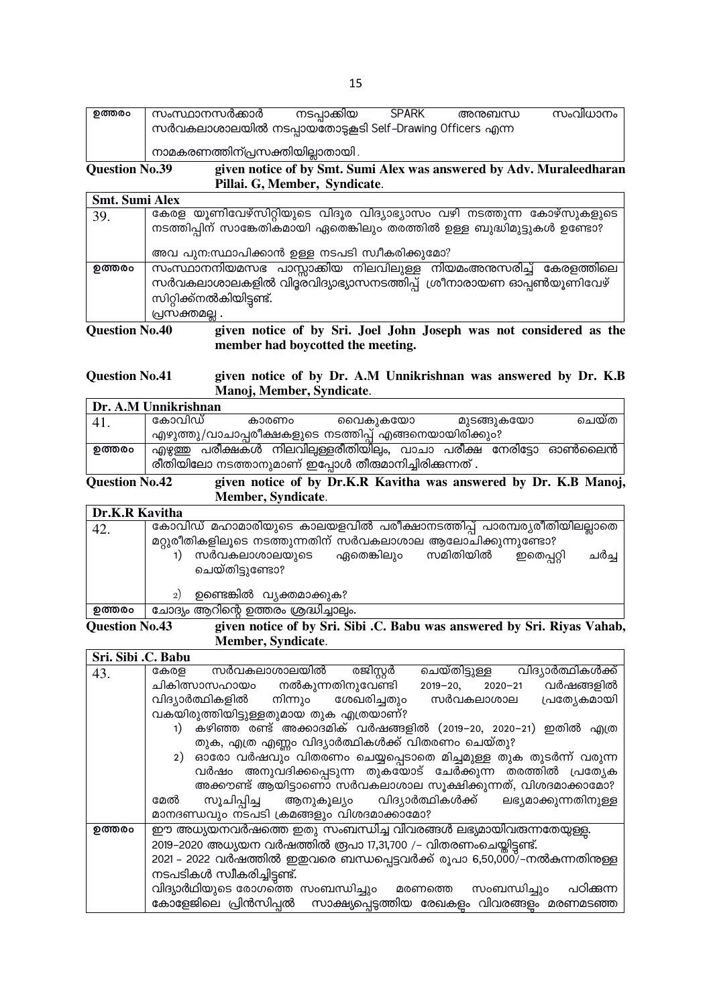| ഉത്തരം | സംസ്ഥാനസർക്കാർ                                          | നടപാക്കിയ | <b>SPARK</b> | അനുബന്ധ | സംവിധാനം |
|--------|---------------------------------------------------------|-----------|--------------|---------|----------|
|        | സർവകലാശാലയിൽ നടപ്പായതോടുകൂടി Self-Drawing Officers എന്ന |           |              |         |          |
|        | നാമകരണത്തിന്പ്രസക്തിയില്ലാതായി .                        |           |              |         |          |

#### given notice of by Smt. Sumi Alex was answered by Adv. Muraleedharan **Question No.39** Pillai. G, Member, Syndicate.

| Smt. Sumi Alex        |                                                                          |
|-----------------------|--------------------------------------------------------------------------|
| 39.                   | കേരള യൂണിവേഴ്സിറ്റിയുടെ വിദൂര വിദ്യാഭ്യാസം വഴി നടത്തുന്ന കോഴ്സുകളുടെ     |
|                       | നടത്തിപ്പിന് സാങ്കേതികമായി ഏതെങ്കിലും തരത്തിൽ ഉള്ള ബുദ്ധിമുട്ടുകൾ ഉണ്ടോ? |
|                       | അവ പുന:സ്ഥാപിക്കാൻ ഉള്ള നടപടി സ്വീകരിക്കുമോ?                             |
| ഉത്തരം                | സംസ്ഥാനനിയമസഭ പാസ്സാക്കിയ നിലവിലുള്ള നിയമംഅനസരിച്ച് കേരളത്തിലെ           |
|                       | സർവകലാശാലകളിൽ വിദ്ദരവിദ്യാഭ്യാസനടത്തിപ്പ് ശ്രീനാരായണ ഓപ്പൺയൂണിവേഴ്       |
|                       | സിറ്റിക്ക്നൽകിയിട്ടണ്ട്.                                                 |
|                       | പ്രസക്തമല്ല .                                                            |
| <b>Question No.40</b> | given notice of by Sri. Joel John Joseph was not considered as the       |

given notice of by Sri. Joel John Joseph was not considered as the member had boycotted the meeting.

#### given notice of by Dr. A.M Unnikrishnan was answered by Dr. K.B **Question No.41** Manoj, Member, Syndicate.

| Dr. A.M Unnikrishnan |        |  |       |                                                                   |  |  |            |       |  |
|----------------------|--------|--|-------|-------------------------------------------------------------------|--|--|------------|-------|--|
| 41.                  | കോവിഡ് |  | കാരണം | വൈകൂകയോ                                                           |  |  | മുടങ്ങുകയോ | ചെയ്ത |  |
|                      |        |  |       | എഴുത്തു/വാചാപ്പരീക്ഷകളുടെ നടത്തിപ്പ് എങ്ങനെയായിരിക്കും?           |  |  |            |       |  |
| ഉത്തരം               |        |  |       | എഴുത്ത പരീക്ഷകൾ നിലവില്പള്ളരീതിയില്പം, വാചാ പരീക്ഷ നേരിട്ടോ ഓൺലൈൻ |  |  |            |       |  |
|                      |        |  |       | രീതിയിലോ നടത്താനുമാണ് ഇപ്പോൾ തീരുമാനിച്ചിരിക്കുന്നത് .            |  |  |            |       |  |

**Question No.42** given notice of by Dr.K.R Kavitha was answered by Dr. K.B Manoj, Member, Syndicate.

| Dr.K.R Kavitha |                                                                                                                                     |  |  |  |  |  |  |
|----------------|-------------------------------------------------------------------------------------------------------------------------------------|--|--|--|--|--|--|
| 42.            | കോവിഡ് മഹാമാരിയുടെ കാലയളവിൽ പരീക്ഷാനടത്തിപ്പ് പാരമ്പര്യരീതിയിലല്ലാതെ<br>മറ്റുരീതികളിലൂടെ നടത്തുന്നതിന് സർവകലാശാല ആലോചിക്കുന്നുണ്ടോ? |  |  |  |  |  |  |
|                | ഏതെങ്കിലും സമിതിയിൽ<br>സർവകലാശാലയുടെ<br>ഇതെപ്പറ്റി<br>ചർച്ച<br>ചെയ്തിട്ടുണ്ടോ?                                                      |  |  |  |  |  |  |
|                | ഉണ്ടെങ്കിൽ വ്യക്തമാക്കുക?<br>2)                                                                                                     |  |  |  |  |  |  |
| ഉത്തരം         | ചോദ്യം ആറിന്റെ ഉത്തരം ശ്രദ്ധിച്ചാലും.                                                                                               |  |  |  |  |  |  |

**Question No.43** given notice of by Sri. Sibi .C. Babu was answered by Sri. Riyas Vahab, Member, Syndicate.

| Sri. Sibi .C. Babu |                                                                             |
|--------------------|-----------------------------------------------------------------------------|
| 43.                | ചെയ്തിട്ടുള്ള വിദ്യാർത്ഥികൾക്ക്<br>സർവകലാശാലയിൽ രജിസ്റ്റർ<br>കേരള           |
|                    | 2019-20, 2020-21 വർഷങ്ങളിൽ<br>ചികിത്സാസഹായം നൽകുന്നതിനുവേണ്ടി               |
|                    | വിദ്യാർത്ഥികളിൽ നിന്നും ശേഖരിച്ചതും സർവകലാശാല പ്രത്യേകമായി                  |
|                    | വകയിരുത്തിയിട്ടുള്ളതുമായ തുക എത്രയാണ്?                                      |
|                    | കഴിഞ്ഞ രണ്ട് അക്കാദമിക് വർഷങ്ങളിൽ (2019–20, 2020–21) ഇതിൽ എത്ര              |
|                    | തുക, എത്ര എണ്ണം വിദ്യാർത്ഥികൾക്ക് വിതരണം ചെയ്തു?                            |
|                    | ഓരോ വർഷവും വിതരണം ചെയ്യപ്പെടാതെ മിച്ചമുള്ള തുക തുടർന്ന് വരുന്ന<br>2)        |
|                    | വർഷം അനുവദിക്കപ്പെടുന്ന തുകയോട് ചേർക്കുന്ന തരത്തിൽ പ്രത്യേക                 |
|                    | അക്കൗണ്ട് ആയിട്ടാണൊ സർവകലാശാല സൂക്ഷിക്കുന്നത്, വിശദമാക്കാമോ?                |
|                    | സൂചിപ്പിച്ച ആനുകൂല്യം വിദ്യാർത്ഥികൾക്ക് ലഭ്യമാക്കുന്നതിനുള്ള<br>മേൽ         |
|                    | മാനദണ്ഡവും നടപടി ക്രമങ്ങളും വിശദമാക്കാമോ?                                   |
| ഉത്തരം             | ഈ അധ്യയനവർഷത്തെ ഇതു സംബന്ധിച്ച വിവരങ്ങൾ ലഭ്യമായിവരുന്നതേയുള്ള.              |
|                    | 2019–2020 അധ്യയന വർഷത്തിൽ രൂപാ 17,31,700 /- വിതരണംചെയ്തിട്ടണ്ട്.            |
|                    | 2021 – 2022 വർഷത്തിൽ ഇഇവരെ ബന്ധപ്പെട്ടവർക്ക് രൂപാ 6,50,000/്–നൽകന്നതിന്മള്ള |
|                    | നടപടികൾ സ്വീകരിച്ചിട്ടണ്ട്.                                                 |
|                    | വിദ്യാർഥിയുടെ രോഗത്തെ സംബന്ധിച്ചും  മരണത്തെ<br>സംബന്ധിച്ചും പഠിക്കുന്ന      |
|                    | കോളേജിലെ പ്രിൻസിപ്പൽ  സാക്ഷ്യപ്പെട്ടത്തിയ രേഖകളം വിവരങ്ങളം മരണമടഞ്ഞ         |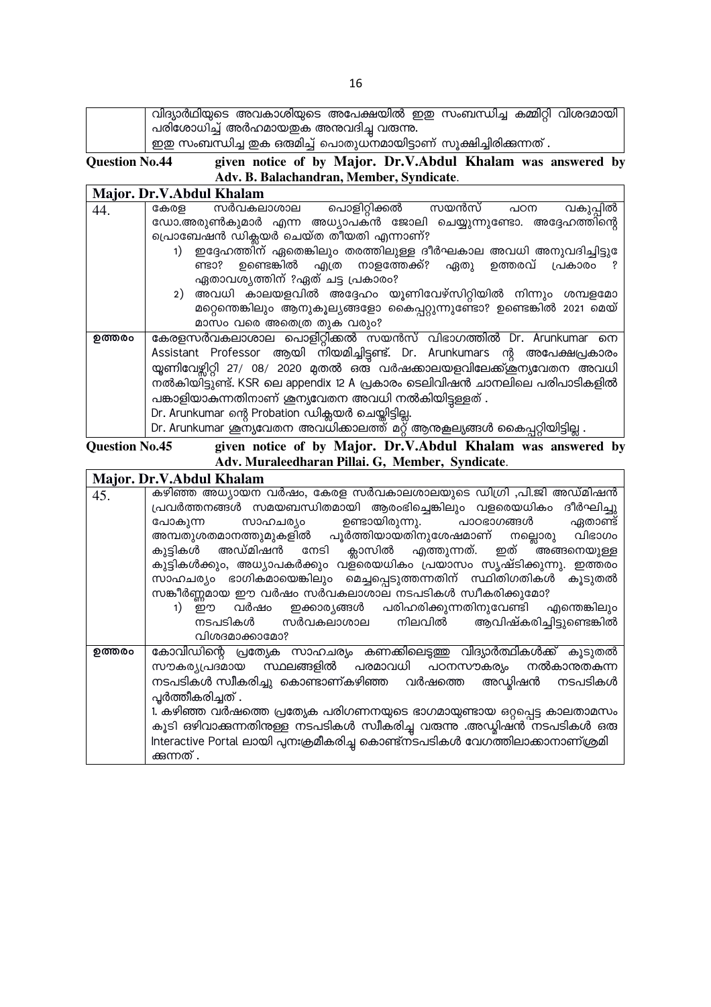|  | വിദ്യാർഥിയുടെ അവകാശിയുടെ അപേക്ഷയിൽ ഇഇ സംബന്ധിച്ച കമ്മിറ്റി വിശദമായി   |  |
|--|-----------------------------------------------------------------------|--|
|  | , പരിശോധിച്ച് അർഹമായഇക അന്തവദിച്ച വരുന്നു.                            |  |
|  | ് ഇഇ സംബന്ധിച്ച ഇക ഒരുമിച്ച് പൊതുധനമായിട്ടാണ് സൂക്ഷിച്ചിരിക്കുന്നത് . |  |
|  |                                                                       |  |

**Question No.44** given notice of by Major. Dr.V.Abdul Khalam was answered by Adv. B. Balachandran, Member, Syndicate.

|        | Major. Dr.V.Abdul Khalam                                                    |
|--------|-----------------------------------------------------------------------------|
| 44.    | സർവകലാശാല പൊളിറ്റിക്കൽ സയൻസ് പഠന<br>വകുപ്പിൽ<br>കേരള                        |
|        | ഡോ.അരുൺകുമാർ എന്ന അധ്യാപക്ൻ ജോലി ചെയ്യുന്നുണ്ടോ. അദ്ദേഹത്തിന്റെ             |
|        | പ്രൊബേഷൻ ഡിക്ലയർ ചെയ്ത തീയതി എന്നാണ്?                                       |
|        | . ഇദ്ദേഹത്തിന് ഏതെങ്കിലും തരത്തിലുള്ള ദീർഘകാല അവധി അനുവദിച്ചിട്ടു           |
|        | ണ്ടാ? ഉണ്ടെങ്കിൽ എത്ര നാളത്തേക്ക്? ഏതു ഉത്തരവ് പ്രകാരം                      |
|        | ഏതാവശ്യത്തിന് ?ഏത് ചട്ട പ്രകാരം?                                            |
|        | 2) അവധി കാലയളവിൽ അദ്ദേഹം യൂണിവേഴ്സിറ്റിയിൽ നിന്നും ശമ്പളമോ                  |
|        | മറ്റെന്തെങ്കിലും ആനുകൂല്യങ്ങളോ കൈപ്പറ്റുന്നുണ്ടോ? ഉണ്ടെങ്കിൽ 2021 മെയ്      |
|        | മാസം വരെ അതെത്ര തുക വരും?                                                   |
| ഉത്തരം | കേരളസർവകലാശാല പൊളിറ്റിക്കൽ സയൻസ് വിഭാഗത്തിൽ Dr. Arunkumar നെ                |
|        | Assistant Professor ആയി നിയമിച്ചിട്ടുണ്ട്. Dr. Arunkumars ന്റ അപേക്ഷപ്രകാരം |
|        | യ്യണിവേഴ്ചിറ്റി 27/ 08/ 2020 മുതൽ ഒത് വർഷക്കാലയളവിലേക്ക്ക്ക്ന്യവേതന അവധി    |
|        | നൽകിയിട്ടുണ്ട്. KSR ലെ appendix 12 A പ്രകാരം ടെലിവിഷൻ ചാനലിലെ പരിപാടികളിൽ   |
|        | പങ്കാളിയാകുന്നതിനാണ് ശുന്യവേതന അവധി നൽകിയിട്ടുള്ളത്.                        |
|        | Dr. Arunkumar ന്റെ Probation ഡിക്സയർ ചെയ്തിട്ടില്ല.                         |
|        | Dr. Arunkumar ശുസൃവേതന അവധികാലത്ത് മറ്റ് ആനുകല്യങ്ങൾ കൈപ്പറ്റിയിട്ടില്ല .   |

given notice of by Major. Dr.V.Abdul Khalam was answered by Adv. Muraleedharan Pillai. G, Member, Syndicate. **Question No.45**  $\mathbf{r}$ 

|        | Major. Dr.V.Abdul Khalam                                                       |
|--------|--------------------------------------------------------------------------------|
| 45.    | കഴിഞ്ഞ അധ്യായന വർഷം, കേരള സർവകാലശാലയുടെ ഡിഗ്രി ,പി.ജി അഡ്മിഷൻ                  |
|        | പ്രവർത്തനങ്ങൾ സമയബന്ധിതമായി ആരംഭിച്ചെങ്കിലും വളരെയധികം ദീർഘിച്ചു               |
|        | സാഹചര്യം ഉണ്ടായിരുന്നു. പാഠഭാഗങ്ങൾ<br>ഏതാണ്ട്<br>പോകുന്ന                       |
|        | അമ്പതുശതമാനത്തുമുകളിൽ പൂർത്തിയായതിനുശേഷമാണ് നല്ലൊരു വിഭാഗം                     |
|        | കുട്ടികൾ അഡ്മിഷൻ നേടി ക്ലാസിൽ എത്തുന്നത്. ഇത് രങ്ങനെയുള്ള                      |
|        | കുട്ടികൾക്കും, അധ്യാപകർക്കും വള്രെയധികം പ്രയാസം സൃഷ്ടിക്കുന്നു. ഇത്തരം         |
|        | സാഹചര്യം ഭാഗികമായെങ്കിലും മെച്ചപ്പെടുത്തന്നതിന് സ്ഥിതിഗതികൾ കൂടുതൽ             |
|        | സങ്കീർണ്ണമായ ഈ വർഷം സർവകലാശാല നടപടികൾ സ്വീകരിക്കുമോ?                           |
|        | .<br>ഈ വർഷം ഇക്കാര്യങ്ങൾ പരിഹരിക്കുന്നതിനുവേണ്ടി എന്തെങ്കിലും<br>1)            |
|        | നടപടികൾ സർവകലാശാല നിലവിൽ ആവിഷ്കരിച്ചിട്ടുണ്ടെങ്കിൽ                             |
|        | വിശദമാക്കാമോ?                                                                  |
| ഉത്തരം | കോവിഡിന്റെ പ്രത്യേക സാഹചര്യം കണക്കിലെടുത്തു വിദ്യാർത്ഥികൾക്ക് കൂടുതൽ           |
|        | സൗകര്യപ്രദമായ സ്ഥലങ്ങളിൽ പരമാവധി പഠനസൗകര്യം നൽകാന്തതകന്ന                       |
|        | നടപടികൾ സ്വീകരിച്ചു കൊണ്ടാണ്കഴിഞ്ഞ വർഷത്തെ അഡ്യിഷൻ<br>നടപടികൾ                  |
|        | പ്പർത്തീകരിച്ചത് .                                                             |
|        | 1. കഴിഞ്ഞ വർഷത്തെ പ്രത്യേക പരിഗണനയുടെ ഭാഗമായുണ്ടായ ഒറ്റപ്പെട്ട കാലതാമസം        |
|        | കൂടി ഒഴിവാക്കന്നതിനുള്ള നടപടികൾ സ്വീകരിച്ച വരുന്നു .അഡ്യിഷൻ നടപടികൾ ഒരു        |
|        | Interactive Portal ലായി പുനഃക്രമീകരിച്ചു കൊണ്ട്ന്ടപടികൾ വേഗത്തിലാക്കാനാണ്ശ്രമി |
|        | ക്കുന്നത് .                                                                    |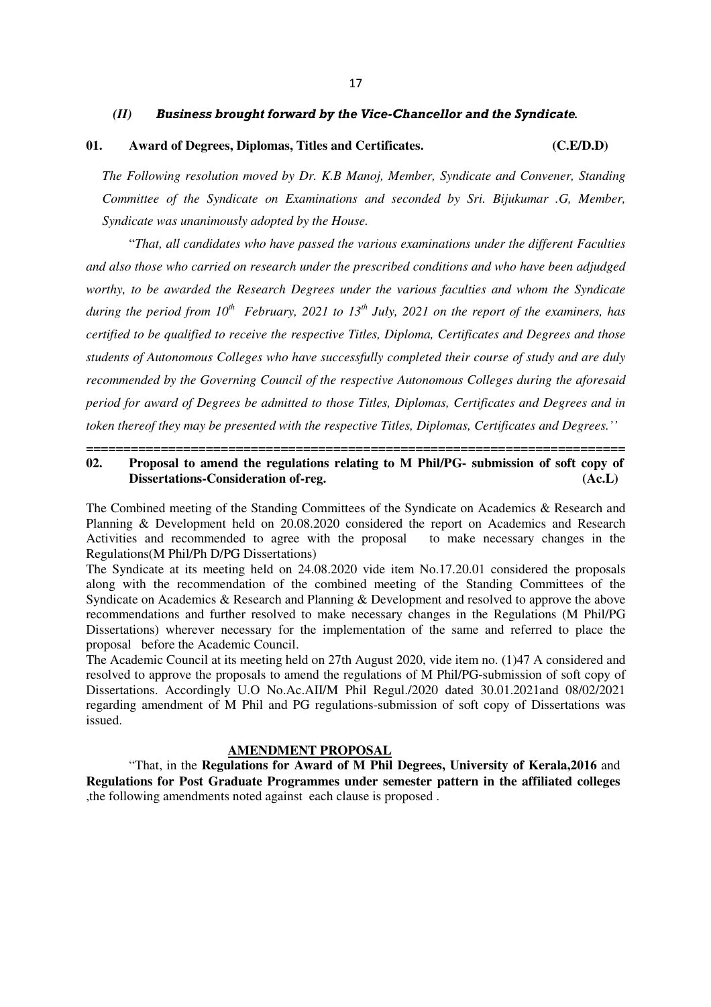#### *(II) Business brought forward by the Vice-Chancellor and the Syndicate.*

### **01. Award of Degrees, Diplomas, Titles and Certificates. (C.E/D.D)**

*The Following resolution moved by Dr. K.B Manoj, Member, Syndicate and Convener, Standing Committee of the Syndicate on Examinations and seconded by Sri. Bijukumar .G, Member, Syndicate was unanimously adopted by the House.* 

"*That, all candidates who have passed the various examinations under the different Faculties and also those who carried on research under the prescribed conditions and who have been adjudged worthy, to be awarded the Research Degrees under the various faculties and whom the Syndicate during the period from 10th February, 2021 to 13th July, 2021 on the report of the examiners, has certified to be qualified to receive the respective Titles, Diploma, Certificates and Degrees and those students of Autonomous Colleges who have successfully completed their course of study and are duly recommended by the Governing Council of the respective Autonomous Colleges during the aforesaid period for award of Degrees be admitted to those Titles, Diplomas, Certificates and Degrees and in token thereof they may be presented with the respective Titles, Diplomas, Certificates and Degrees.''* 

#### **======================================================================== 02. Proposal to amend the regulations relating to M Phil/PG- submission of soft copy of Dissertations-Consideration of-reg. (Ac.L)**

The Combined meeting of the Standing Committees of the Syndicate on Academics & Research and Planning & Development held on 20.08.2020 considered the report on Academics and Research Activities and recommended to agree with the proposal to make necessary changes in the Regulations(M Phil/Ph D/PG Dissertations)

The Syndicate at its meeting held on 24.08.2020 vide item No.17.20.01 considered the proposals along with the recommendation of the combined meeting of the Standing Committees of the Syndicate on Academics & Research and Planning & Development and resolved to approve the above recommendations and further resolved to make necessary changes in the Regulations (M Phil/PG Dissertations) wherever necessary for the implementation of the same and referred to place the proposal before the Academic Council.

The Academic Council at its meeting held on 27th August 2020, vide item no. (1)47 A considered and resolved to approve the proposals to amend the regulations of M Phil/PG-submission of soft copy of Dissertations. Accordingly U.O No.Ac.AII/M Phil Regul./2020 dated 30.01.2021and 08/02/2021 regarding amendment of M Phil and PG regulations-submission of soft copy of Dissertations was issued.

#### **AMENDMENT PROPOSAL**

 "That, in the **Regulations for Award of M Phil Degrees, University of Kerala,2016** and **Regulations for Post Graduate Programmes under semester pattern in the affiliated colleges** ,the following amendments noted against each clause is proposed .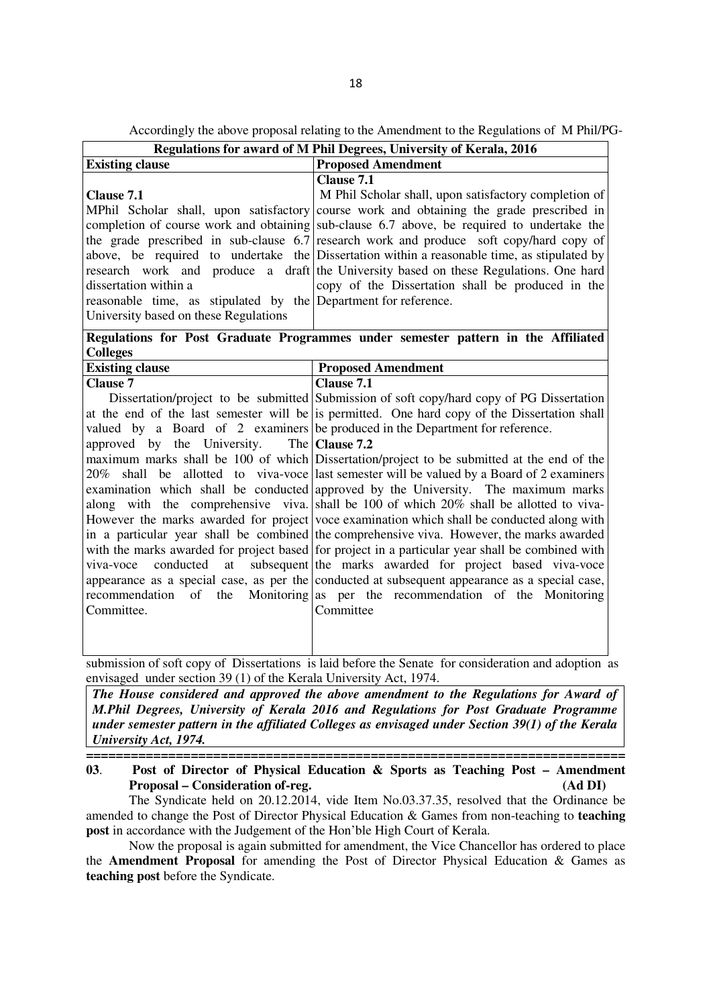Accordingly the above proposal relating to the Amendment to the Regulations of M Phil/PG-

| <b>Proposed Amendment</b><br>M Phil Scholar shall, upon satisfactory completion of<br>course work and obtaining the grade prescribed in<br>completion of course work and obtaining sub-clause 6.7 above, be required to undertake the<br>the grade prescribed in sub-clause $6.7$ research work and produce soft copy/hard copy of                                                                                                                                                                                                                                                                                                                                                                                                                                                                                                                                                                                                                                                                                                                                                                                                                                         |
|----------------------------------------------------------------------------------------------------------------------------------------------------------------------------------------------------------------------------------------------------------------------------------------------------------------------------------------------------------------------------------------------------------------------------------------------------------------------------------------------------------------------------------------------------------------------------------------------------------------------------------------------------------------------------------------------------------------------------------------------------------------------------------------------------------------------------------------------------------------------------------------------------------------------------------------------------------------------------------------------------------------------------------------------------------------------------------------------------------------------------------------------------------------------------|
|                                                                                                                                                                                                                                                                                                                                                                                                                                                                                                                                                                                                                                                                                                                                                                                                                                                                                                                                                                                                                                                                                                                                                                            |
| above, be required to undertake the Dissertation within a reasonable time, as stipulated by<br>research work and produce a draft the University based on these Regulations. One hard<br>copy of the Dissertation shall be produced in the<br>reasonable time, as stipulated by the Department for reference.                                                                                                                                                                                                                                                                                                                                                                                                                                                                                                                                                                                                                                                                                                                                                                                                                                                               |
| Regulations for Post Graduate Programmes under semester pattern in the Affiliated                                                                                                                                                                                                                                                                                                                                                                                                                                                                                                                                                                                                                                                                                                                                                                                                                                                                                                                                                                                                                                                                                          |
| <b>Proposed Amendment</b>                                                                                                                                                                                                                                                                                                                                                                                                                                                                                                                                                                                                                                                                                                                                                                                                                                                                                                                                                                                                                                                                                                                                                  |
| Dissertation/project to be submitted Submission of soft copy/hard copy of PG Dissertation<br>at the end of the last semester will be is permitted. One hard copy of the Dissertation shall<br>valued by a Board of 2 examiners be produced in the Department for reference.<br>maximum marks shall be 100 of which Dissertation/project to be submitted at the end of the<br>shall be allotted to viva-voce last semester will be valued by a Board of 2 examiners<br>examination which shall be conducted approved by the University. The maximum marks<br>along with the comprehensive viva. shall be 100 of which 20% shall be allotted to viva-<br>However the marks awarded for project voce examination which shall be conducted along with<br>in a particular year shall be combined the comprehensive viva. However, the marks awarded<br>with the marks awarded for project based for project in a particular year shall be combined with<br>subsequent the marks awarded for project based viva-voce<br>appearance as a special case, as per the conducted at subsequent appearance as a special case,<br>Monitoring as per the recommendation of the Monitoring |
|                                                                                                                                                                                                                                                                                                                                                                                                                                                                                                                                                                                                                                                                                                                                                                                                                                                                                                                                                                                                                                                                                                                                                                            |

envisaged under section 39 (1) of the Kerala University Act, 1974.

*The House considered and approved the above amendment to the Regulations for Award of M.Phil Degrees, University of Kerala 2016 and Regulations for Post Graduate Programme under semester pattern in the affiliated Colleges as envisaged under Section 39(1) of the Kerala University Act, 1974.* 

#### **======================================================================== 03**. **Post of Director of Physical Education & Sports as Teaching Post – Amendment Proposal – Consideration of-reg. (Ad DI)**

The Syndicate held on 20.12.2014, vide Item No.03.37.35, resolved that the Ordinance be amended to change the Post of Director Physical Education & Games from non-teaching to **teaching post** in accordance with the Judgement of the Hon'ble High Court of Kerala.

Now the proposal is again submitted for amendment, the Vice Chancellor has ordered to place the **Amendment Proposal** for amending the Post of Director Physical Education & Games as **teaching post** before the Syndicate.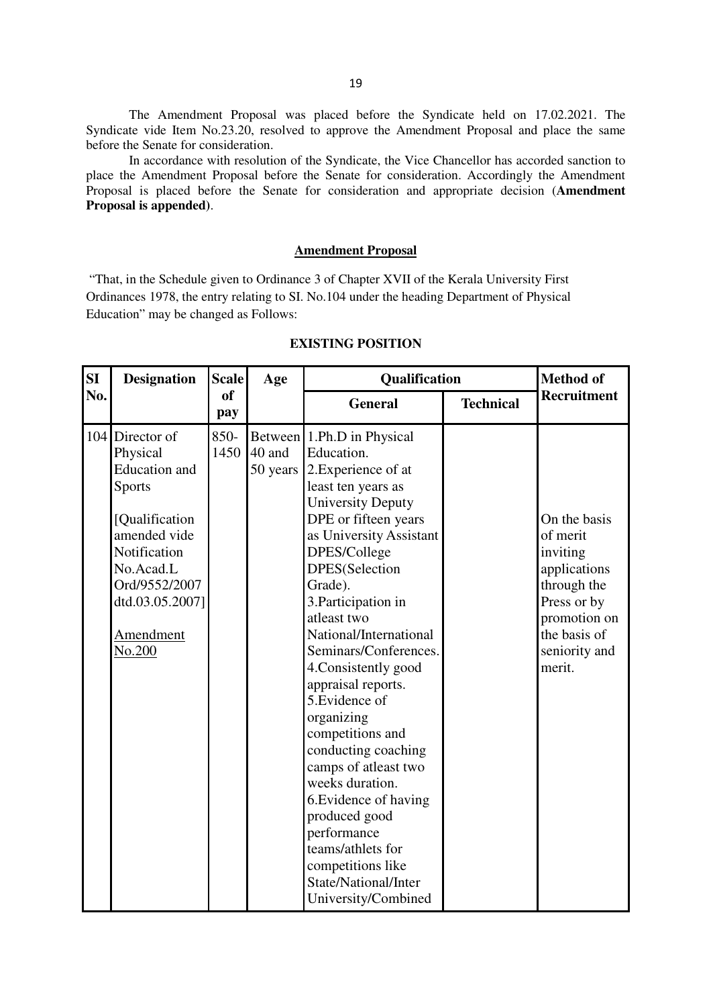The Amendment Proposal was placed before the Syndicate held on 17.02.2021. The Syndicate vide Item No.23.20, resolved to approve the Amendment Proposal and place the same before the Senate for consideration.

In accordance with resolution of the Syndicate, the Vice Chancellor has accorded sanction to place the Amendment Proposal before the Senate for consideration. Accordingly the Amendment Proposal is placed before the Senate for consideration and appropriate decision (**Amendment Proposal is appended)**.

#### **Amendment Proposal**

 "That, in the Schedule given to Ordinance 3 of Chapter XVII of the Kerala University First Ordinances 1978, the entry relating to SI. No.104 under the heading Department of Physical Education" may be changed as Follows:

| SI  | <b>Designation</b>                                                                                                                                                                              | <b>Scale</b>         | Age                | Qualification                                                                                                                                                                                                                                                                                                                                                                                                                                                                                                                                                                                                                    |                  | <b>Method of</b>                                                                                                                              |
|-----|-------------------------------------------------------------------------------------------------------------------------------------------------------------------------------------------------|----------------------|--------------------|----------------------------------------------------------------------------------------------------------------------------------------------------------------------------------------------------------------------------------------------------------------------------------------------------------------------------------------------------------------------------------------------------------------------------------------------------------------------------------------------------------------------------------------------------------------------------------------------------------------------------------|------------------|-----------------------------------------------------------------------------------------------------------------------------------------------|
| No. |                                                                                                                                                                                                 | <sub>of</sub><br>pay |                    | <b>General</b>                                                                                                                                                                                                                                                                                                                                                                                                                                                                                                                                                                                                                   | <b>Technical</b> | Recruitment                                                                                                                                   |
|     | 104 Director of<br>Physical<br><b>Education</b> and<br><b>Sports</b><br>[Qualification]<br>amended vide<br>Notification<br>No.Acad.L<br>Ord/9552/2007<br>dtd.03.05.2007]<br>Amendment<br>No.200 | 850-<br>1450         | 40 and<br>50 years | Between 1.Ph.D in Physical<br>Education.<br>2. Experience of at<br>least ten years as<br><b>University Deputy</b><br>DPE or fifteen years<br>as University Assistant<br>DPES/College<br>DPES(Selection<br>Grade).<br>3. Participation in<br>atleast two<br>National/International<br>Seminars/Conferences.<br>4. Consistently good<br>appraisal reports.<br>5. Evidence of<br>organizing<br>competitions and<br>conducting coaching<br>camps of atleast two<br>weeks duration.<br>6. Evidence of having<br>produced good<br>performance<br>teams/athlets for<br>competitions like<br>State/National/Inter<br>University/Combined |                  | On the basis<br>of merit<br>inviting<br>applications<br>through the<br>Press or by<br>promotion on<br>the basis of<br>seniority and<br>merit. |

#### **EXISTING POSITION**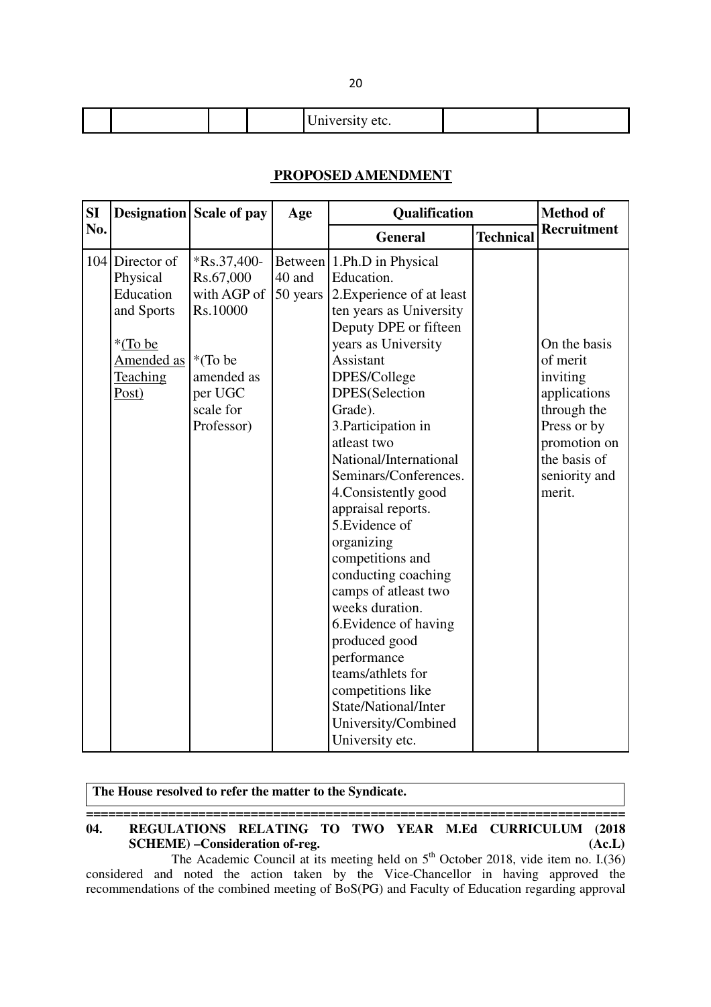| $\overline{1}$ |  |
|----------------|--|
|----------------|--|

### **PROPOSED AMENDMENT**

| SI  |                                                                                                             | Designation Scale of pay                                                                                            | Age                |                                                                                                                                                                                                                                                                                                                                                                                                                                                                                                                                                                                                                                              | Qualification    |                                                                                                                                               |
|-----|-------------------------------------------------------------------------------------------------------------|---------------------------------------------------------------------------------------------------------------------|--------------------|----------------------------------------------------------------------------------------------------------------------------------------------------------------------------------------------------------------------------------------------------------------------------------------------------------------------------------------------------------------------------------------------------------------------------------------------------------------------------------------------------------------------------------------------------------------------------------------------------------------------------------------------|------------------|-----------------------------------------------------------------------------------------------------------------------------------------------|
| No. |                                                                                                             |                                                                                                                     |                    | <b>General</b>                                                                                                                                                                                                                                                                                                                                                                                                                                                                                                                                                                                                                               | <b>Technical</b> | <b>Recruitment</b>                                                                                                                            |
|     | 104 Director of<br>Physical<br>Education<br>and Sports<br>*(To be<br>Amended as<br><b>Teaching</b><br>Post) | $Rs.37,400-$<br>Rs.67,000<br>with AGP of<br>Rs.10000<br>*(To be<br>amended as<br>per UGC<br>scale for<br>Professor) | 40 and<br>50 years | Between 1.Ph.D in Physical<br>Education.<br>2. Experience of at least<br>ten years as University<br>Deputy DPE or fifteen<br>years as University<br>Assistant<br>DPES/College<br>DPES(Selection<br>Grade).<br>3. Participation in<br>atleast two<br>National/International<br>Seminars/Conferences.<br>4. Consistently good<br>appraisal reports.<br>5. Evidence of<br>organizing<br>competitions and<br>conducting coaching<br>camps of atleast two<br>weeks duration.<br>6. Evidence of having<br>produced good<br>performance<br>teams/athlets for<br>competitions like<br>State/National/Inter<br>University/Combined<br>University etc. |                  | On the basis<br>of merit<br>inviting<br>applications<br>through the<br>Press or by<br>promotion on<br>the basis of<br>seniority and<br>merit. |

| The House resolved to refer the matter to the Syndicate. |                                                                                                    |        |  |  |
|----------------------------------------------------------|----------------------------------------------------------------------------------------------------|--------|--|--|
| 04.                                                      | REGULATIONS RELATING TO TWO YEAR M.Ed CURRICULUM (2018)<br><b>SCHEME</b> ) - Consideration of-reg. | (Ac.L) |  |  |
|                                                          | The Academic Council at its meeting held on $5th$ October 2018, vide item no. I.(36)               |        |  |  |

considered and noted the action taken by the Vice-Chancellor in having approved the recommendations of the combined meeting of BoS(PG) and Faculty of Education regarding approval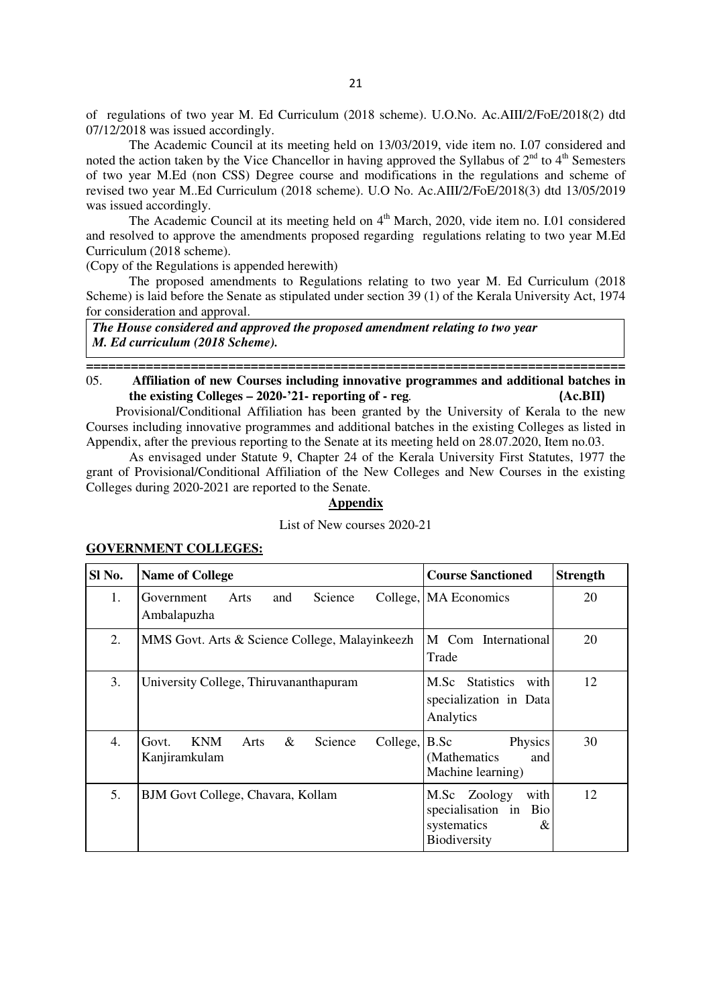of regulations of two year M. Ed Curriculum (2018 scheme). U.O.No. Ac.AIII/2/FoE/2018(2) dtd 07/12/2018 was issued accordingly.

 The Academic Council at its meeting held on 13/03/2019, vide item no. I.07 considered and noted the action taken by the Vice Chancellor in having approved the Syllabus of  $2<sup>nd</sup>$  to  $4<sup>th</sup>$  Semesters of two year M.Ed (non CSS) Degree course and modifications in the regulations and scheme of revised two year M..Ed Curriculum (2018 scheme). U.O No. Ac.AIII/2/FoE/2018(3) dtd 13/05/2019 was issued accordingly.

The Academic Council at its meeting held on  $4<sup>th</sup>$  March, 2020, vide item no. I.01 considered and resolved to approve the amendments proposed regarding regulations relating to two year M.Ed Curriculum (2018 scheme).

(Copy of the Regulations is appended herewith)

The proposed amendments to Regulations relating to two year M. Ed Curriculum (2018 Scheme) is laid before the Senate as stipulated under section 39 (1) of the Kerala University Act, 1974 for consideration and approval.

*The House considered and approved the proposed amendment relating to two year M. Ed curriculum (2018 Scheme).*

**========================================================================**  05. **Affiliation of new Courses including innovative programmes and additional batches in the existing Colleges – 2020-'21- reporting of - reg***.* **(Ac.BII)**

 Provisional/Conditional Affiliation has been granted by the University of Kerala to the new Courses including innovative programmes and additional batches in the existing Colleges as listed in Appendix, after the previous reporting to the Senate at its meeting held on 28.07.2020, Item no.03.

As envisaged under Statute 9, Chapter 24 of the Kerala University First Statutes, 1977 the grant of Provisional/Conditional Affiliation of the New Colleges and New Courses in the existing Colleges during 2020-2021 are reported to the Senate.

#### **Appendix**

#### List of New courses 2020-21

| Sl No. | <b>Name of College</b>                                                      | <b>Course Sanctioned</b>                                                             | <b>Strength</b> |
|--------|-----------------------------------------------------------------------------|--------------------------------------------------------------------------------------|-----------------|
| 1.     | Government<br>Arts<br>and<br>Science<br>Ambalapuzha                         | College, MA Economics                                                                | 20              |
| 2.     | MMS Govt. Arts & Science College, Malayinkeezh                              | M Com International<br>Trade                                                         | 20              |
| 3.     | University College, Thiruvananthapuram                                      | <b>Statistics</b><br>M.Sc<br>with<br>specialization in Data<br>Analytics             | 12              |
| 4.     | <b>KNM</b><br>$\&$<br>College,<br>Science<br>Govt.<br>Arts<br>Kanjiramkulam | B.Sc<br>Physics<br>(Mathematics<br>and<br>Machine learning)                          | 30              |
| 5.     | BJM Govt College, Chavara, Kollam                                           | with<br>M.Sc Zoology<br>specialisation in<br>Bio<br>systematics<br>&<br>Biodiversity | 12              |

#### **GOVERNMENT COLLEGES:**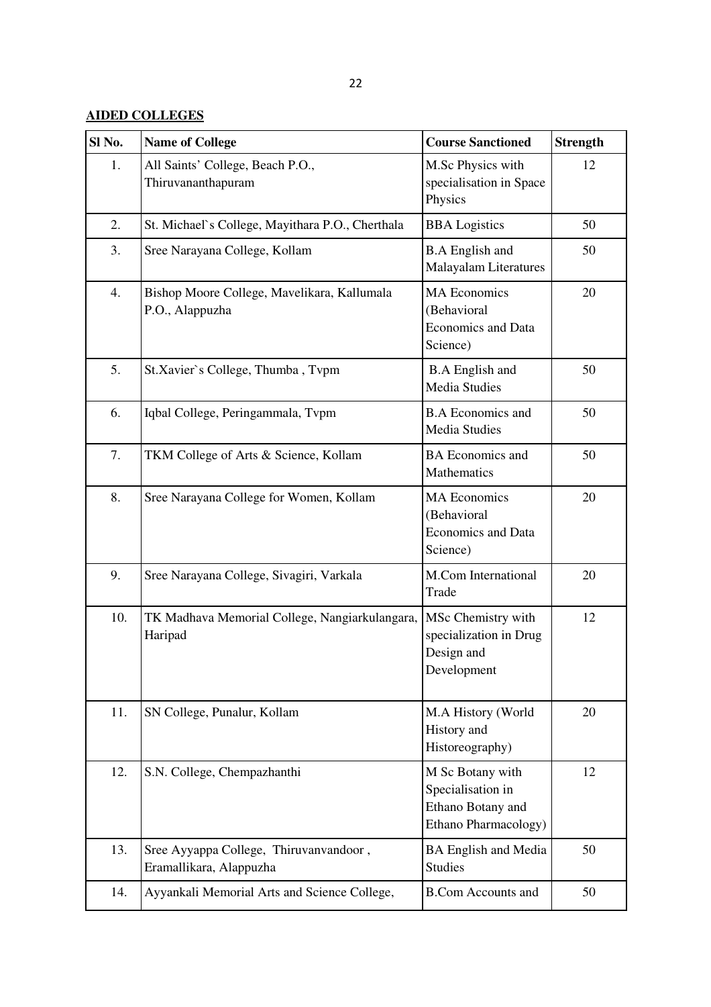## **AIDED COLLEGES**

| SI <sub>No.</sub>                                                    | <b>Name of College</b>                                                                                                                 | <b>Course Sanctioned</b>                                                           | <b>Strength</b> |
|----------------------------------------------------------------------|----------------------------------------------------------------------------------------------------------------------------------------|------------------------------------------------------------------------------------|-----------------|
| 1.                                                                   | All Saints' College, Beach P.O.,<br>Thiruvananthapuram                                                                                 | M.Sc Physics with<br>specialisation in Space<br>Physics                            | 12              |
| 2.                                                                   | St. Michael's College, Mayithara P.O., Cherthala                                                                                       | <b>BBA</b> Logistics                                                               | 50              |
| 3.                                                                   | Sree Narayana College, Kollam<br><b>B.A English and</b><br><b>Malayalam Literatures</b>                                                |                                                                                    | 50              |
| 4.<br>Bishop Moore College, Mavelikara, Kallumala<br>P.O., Alappuzha |                                                                                                                                        | <b>MA Economics</b><br>(Behavioral<br><b>Economics and Data</b><br>Science)        | 20              |
| 5.                                                                   | St.Xavier's College, Thumba, Tvpm                                                                                                      | <b>B.A</b> English and<br><b>Media Studies</b>                                     | 50              |
| 6.                                                                   | Iqbal College, Peringammala, Tvpm                                                                                                      | <b>B.A Economics and</b><br><b>Media Studies</b>                                   | 50              |
| 7.                                                                   | TKM College of Arts & Science, Kollam                                                                                                  | <b>BA</b> Economics and<br>Mathematics                                             | 50              |
| 8.                                                                   | <b>MA Economics</b><br>Sree Narayana College for Women, Kollam<br>(Behavioral<br><b>Economics and Data</b><br>Science)                 |                                                                                    | 20              |
| 9.                                                                   | M.Com International<br>Sree Narayana College, Sivagiri, Varkala<br>Trade                                                               |                                                                                    | 20              |
| 10.                                                                  | MSc Chemistry with<br>TK Madhava Memorial College, Nangiarkulangara,<br>Haripad<br>specialization in Drug<br>Design and<br>Development |                                                                                    | 12              |
| 11.                                                                  | SN College, Punalur, Kollam                                                                                                            | M.A History (World<br>History and<br>Historeography)                               | 20              |
| 12.                                                                  | S.N. College, Chempazhanthi                                                                                                            | M Sc Botany with<br>Specialisation in<br>Ethano Botany and<br>Ethano Pharmacology) | 12              |
| 13.                                                                  | Sree Ayyappa College, Thiruvanvandoor,<br>Eramallikara, Alappuzha                                                                      | <b>BA English and Media</b><br><b>Studies</b>                                      | 50              |
| 14.                                                                  | Ayyankali Memorial Arts and Science College,                                                                                           | <b>B.Com Accounts and</b>                                                          | 50              |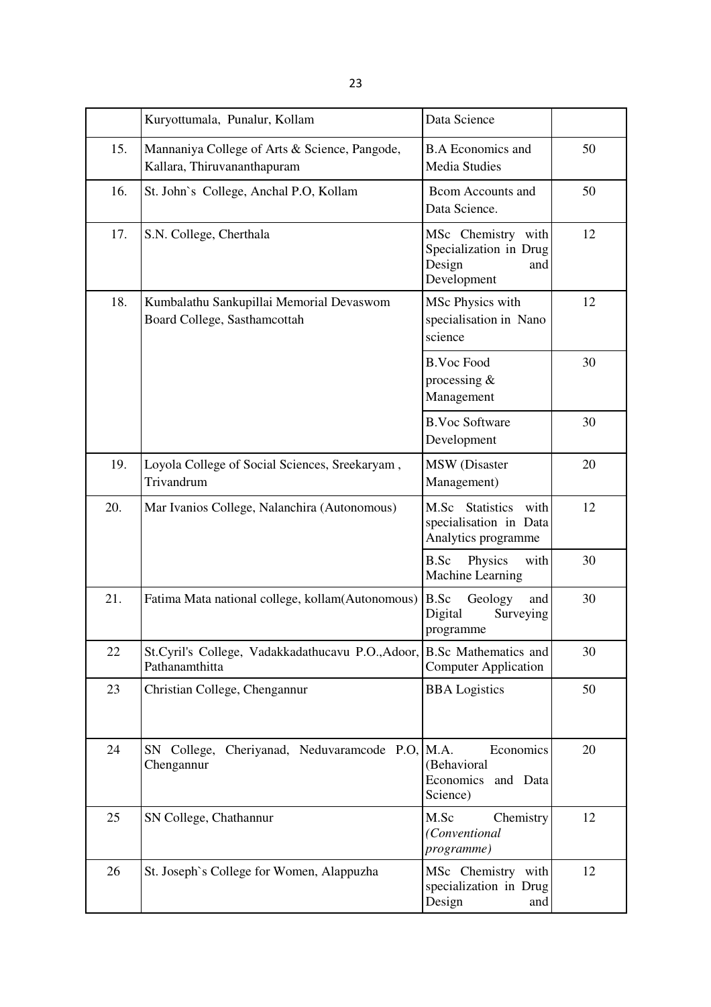|     | Data Science<br>Kuryottumala, Punalur, Kollam                                                                                     |                                                                                    |    |
|-----|-----------------------------------------------------------------------------------------------------------------------------------|------------------------------------------------------------------------------------|----|
| 15. | Mannaniya College of Arts & Science, Pangode,<br>Kallara, Thiruvananthapuram                                                      | <b>B.A Economics and</b><br><b>Media Studies</b>                                   | 50 |
| 16. | St. John's College, Anchal P.O, Kollam<br><b>Bcom Accounts and</b><br>Data Science.                                               |                                                                                    | 50 |
| 17. | S.N. College, Cherthala<br>MSc Chemistry with<br>Specialization in Drug<br>Design<br>and<br>Development                           |                                                                                    | 12 |
| 18. | Kumbalathu Sankupillai Memorial Devaswom<br>MSc Physics with<br>Board College, Sasthamcottah<br>specialisation in Nano<br>science |                                                                                    | 12 |
|     |                                                                                                                                   | <b>B.Voc Food</b><br>processing $&$<br>Management                                  | 30 |
|     |                                                                                                                                   | <b>B.Voc Software</b><br>Development                                               | 30 |
| 19. | Loyola College of Social Sciences, Sreekaryam,<br>Trivandrum                                                                      | <b>MSW</b> (Disaster<br>Management)                                                | 20 |
| 20. | Mar Ivanios College, Nalanchira (Autonomous)                                                                                      | <b>Statistics</b><br>M.Sc<br>with<br>specialisation in Data<br>Analytics programme | 12 |
|     |                                                                                                                                   | B.Sc<br>Physics<br>with<br>Machine Learning                                        | 30 |
| 21. | Fatima Mata national college, kollam(Autonomous)                                                                                  | <b>B.Sc</b><br>Geology<br>and<br>Digital<br>Surveying<br>programme                 | 30 |
| 22  | St.Cyril's College, Vadakkadathucavu P.O.,Adoor, B.Sc Mathematics and<br>Pathanamthitta                                           | <b>Computer Application</b>                                                        | 30 |
| 23  | Christian College, Chengannur                                                                                                     | <b>BBA</b> Logistics                                                               |    |
| 24  | SN College, Cheriyanad, Neduvaramcode P.O. M.A.<br>Chengannur                                                                     | Economics<br>(Behavioral<br>Economics<br>and Data<br>Science)                      | 20 |
| 25  | SN College, Chathannur                                                                                                            | M.Sc<br>Chemistry<br>(Conventional<br>programme)                                   | 12 |
| 26  | St. Joseph's College for Women, Alappuzha                                                                                         | MSc Chemistry with<br>specialization in Drug<br>Design<br>and                      | 12 |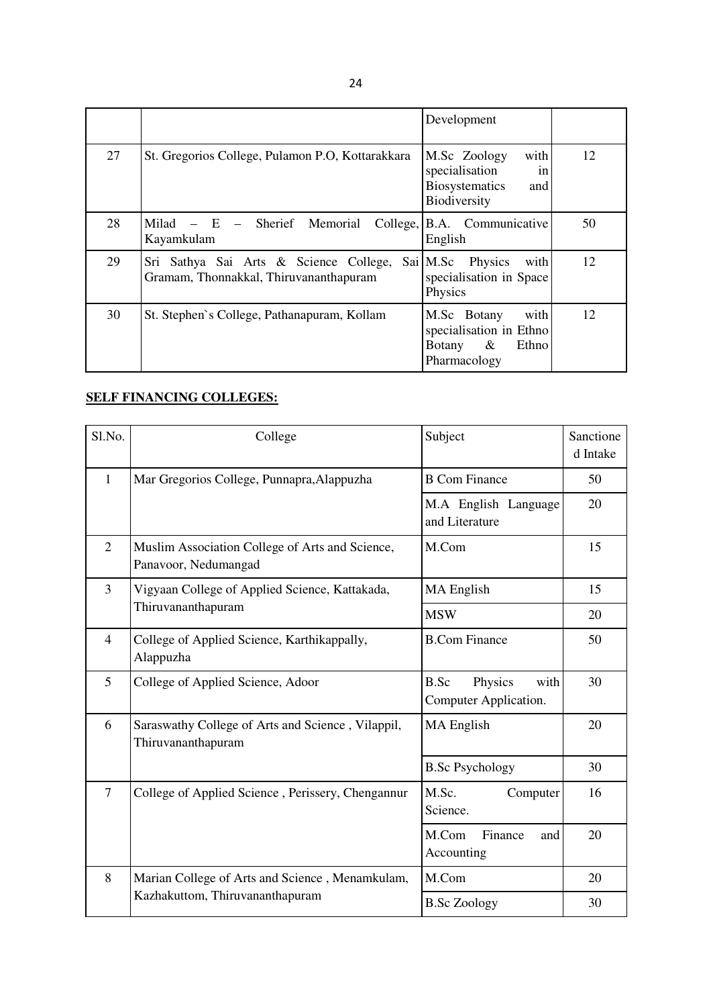|    |                                                                                  | Development                                                                                  |    |
|----|----------------------------------------------------------------------------------|----------------------------------------------------------------------------------------------|----|
| 27 | St. Gregorios College, Pulamon P.O., Kottarakkara                                | with<br>M.Sc Zoology<br>specialisation<br>in<br><b>Biosystematics</b><br>and<br>Biodiversity | 12 |
| 28 | Milad<br>Sherief Memorial<br>$- E$<br>College,<br>Kayamkulam                     | B.A. Communicative<br>English                                                                | 50 |
| 29 | Sri Sathya Sai Arts & Science College,<br>Gramam, Thonnakkal, Thiruvananthapuram | Sai M.Sc<br>Physics<br>with<br>specialisation in Space<br>Physics                            | 12 |
| 30 | St. Stephen's College, Pathanapuram, Kollam                                      | with<br>M.Sc Botany<br>specialisation in Ethno<br>$\&$<br>Ethno<br>Botany<br>Pharmacology    | 12 |

## **SELF FINANCING COLLEGES:**

| Sl.No.         | College                                                                 | Subject                                          | Sanctione<br>d Intake |
|----------------|-------------------------------------------------------------------------|--------------------------------------------------|-----------------------|
| $\mathbf{1}$   | Mar Gregorios College, Punnapra, Alappuzha                              | <b>B Com Finance</b><br>50                       |                       |
|                |                                                                         | M.A English Language<br>and Literature           | 20                    |
| $\overline{2}$ | Muslim Association College of Arts and Science,<br>Panavoor, Nedumangad | M.Com                                            | 15                    |
| 3              | Vigyaan College of Applied Science, Kattakada,                          | MA English                                       | 15                    |
|                | Thiruvananthapuram                                                      | <b>MSW</b>                                       | 20                    |
| $\overline{4}$ | College of Applied Science, Karthikappally,<br>Alappuzha                | <b>B.Com Finance</b>                             | 50                    |
| 5              | College of Applied Science, Adoor                                       | B.Sc<br>Physics<br>with<br>Computer Application. | 30                    |
| 6              | Saraswathy College of Arts and Science, Vilappil,<br>Thiruvananthapuram | <b>MA</b> English                                | 20                    |
|                |                                                                         | <b>B.Sc Psychology</b>                           | 30                    |
| $\overline{7}$ | College of Applied Science, Perissery, Chengannur                       | M.Sc.<br>Computer<br>Science.                    | 16                    |
|                |                                                                         | M.Com<br>Finance<br>and<br>Accounting            | 20                    |
| 8              | Marian College of Arts and Science, Menamkulam,                         | M.Com                                            | 20                    |
|                | Kazhakuttom, Thiruvananthapuram                                         | <b>B.Sc Zoology</b>                              | 30                    |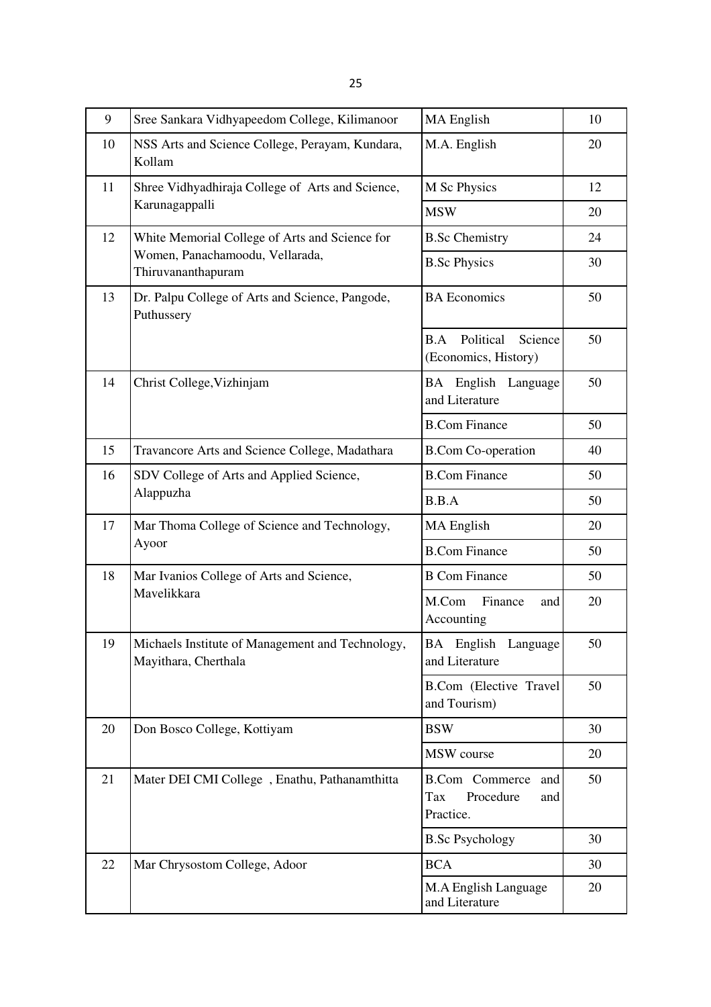25

| 9  | Sree Sankara Vidhyapeedom College, Kilimanoor                            | MA English                                                           | 10 |
|----|--------------------------------------------------------------------------|----------------------------------------------------------------------|----|
| 10 | NSS Arts and Science College, Perayam, Kundara,<br>Kollam                | M.A. English                                                         | 20 |
| 11 | Shree Vidhyadhiraja College of Arts and Science,                         | M Sc Physics                                                         | 12 |
|    | Karunagappalli                                                           | <b>MSW</b>                                                           | 20 |
| 12 | White Memorial College of Arts and Science for                           | <b>B.Sc Chemistry</b>                                                | 24 |
|    | Women, Panachamoodu, Vellarada,<br>Thiruvananthapuram                    | <b>B.Sc Physics</b>                                                  | 30 |
| 13 | Dr. Palpu College of Arts and Science, Pangode,<br>Puthussery            | <b>BA</b> Economics                                                  | 50 |
|    |                                                                          | Political<br>B.A<br>Science<br>(Economics, History)                  | 50 |
| 14 | Christ College, Vizhinjam                                                | BA English Language<br>and Literature                                | 50 |
|    |                                                                          | <b>B.Com Finance</b>                                                 | 50 |
| 15 | Travancore Arts and Science College, Madathara                           | <b>B.Com Co-operation</b>                                            | 40 |
| 16 | SDV College of Arts and Applied Science,                                 | <b>B.Com Finance</b>                                                 | 50 |
|    | Alappuzha                                                                | B.B.A                                                                | 50 |
| 17 | Mar Thoma College of Science and Technology,                             | MA English                                                           | 20 |
|    | Ayoor                                                                    | <b>B.Com Finance</b>                                                 | 50 |
| 18 | Mar Ivanios College of Arts and Science,                                 | <b>B Com Finance</b>                                                 | 50 |
|    | Mavelikkara                                                              | M.Com<br>Finance<br>and<br>Accounting                                | 20 |
| 19 | Michaels Institute of Management and Technology,<br>Mayithara, Cherthala | BA English<br>Language<br>and Literature                             | 50 |
|    |                                                                          | <b>B.Com</b> (Elective Travel<br>and Tourism)                        | 50 |
| 20 | Don Bosco College, Kottiyam                                              | <b>BSW</b>                                                           | 30 |
|    |                                                                          | MSW course                                                           | 20 |
| 21 | Mater DEI CMI College, Enathu, Pathanamthitta                            | <b>B.Com</b> Commerce<br>and<br>Procedure<br>Tax<br>and<br>Practice. | 50 |
|    |                                                                          | <b>B.Sc Psychology</b>                                               | 30 |
| 22 | Mar Chrysostom College, Adoor                                            | <b>BCA</b>                                                           | 30 |
|    |                                                                          | M.A English Language<br>and Literature                               | 20 |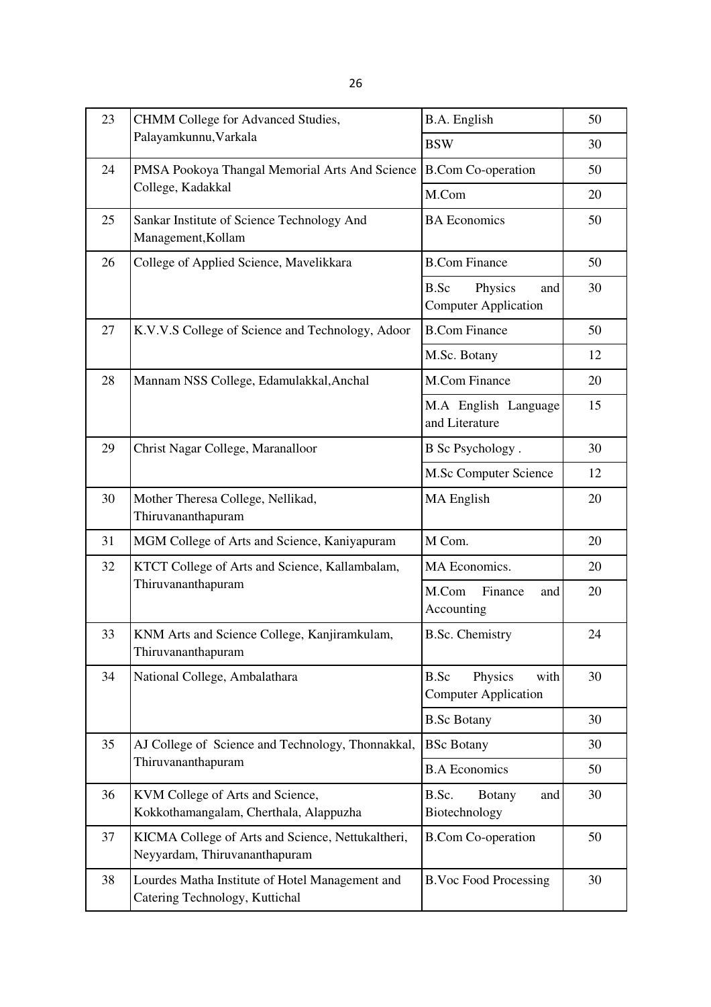26

| 23 | <b>CHMM</b> College for Advanced Studies,                                                                                    | B.A. English                                           | 50 |
|----|------------------------------------------------------------------------------------------------------------------------------|--------------------------------------------------------|----|
|    | Palayamkunnu, Varkala                                                                                                        | <b>BSW</b>                                             | 30 |
| 24 | PMSA Pookoya Thangal Memorial Arts And Science                                                                               | <b>B.Com Co-operation</b>                              | 50 |
|    | College, Kadakkal                                                                                                            | M.Com                                                  | 20 |
| 25 | Sankar Institute of Science Technology And<br>Management, Kollam                                                             | <b>BA</b> Economics                                    | 50 |
| 26 | College of Applied Science, Mavelikkara                                                                                      | <b>B.Com Finance</b>                                   | 50 |
|    |                                                                                                                              | Physics<br>B.Sc<br>and<br><b>Computer Application</b>  | 30 |
| 27 | K.V.V.S College of Science and Technology, Adoor                                                                             | <b>B.Com Finance</b>                                   | 50 |
|    |                                                                                                                              | M.Sc. Botany                                           | 12 |
| 28 | Mannam NSS College, Edamulakkal, Anchal                                                                                      | M.Com Finance                                          | 20 |
|    |                                                                                                                              | M.A English Language<br>and Literature                 | 15 |
| 29 | Christ Nagar College, Maranalloor                                                                                            | B Sc Psychology.                                       | 30 |
|    |                                                                                                                              | M.Sc Computer Science                                  | 12 |
| 30 | Mother Theresa College, Nellikad,<br>Thiruvananthapuram                                                                      | MA English                                             |    |
| 31 | MGM College of Arts and Science, Kaniyapuram                                                                                 | M Com.                                                 | 20 |
| 32 | KTCT College of Arts and Science, Kallambalam,                                                                               | MA Economics.                                          | 20 |
|    | Thiruvananthapuram                                                                                                           | M.Com<br>Finance<br>and<br>Accounting                  | 20 |
| 33 | KNM Arts and Science College, Kanjiramkulam,<br>Thiruvananthapuram                                                           | <b>B.Sc. Chemistry</b>                                 | 24 |
| 34 | National College, Ambalathara                                                                                                | B.Sc<br>Physics<br>with<br><b>Computer Application</b> | 30 |
|    |                                                                                                                              | <b>B.Sc Botany</b>                                     | 30 |
| 35 | AJ College of Science and Technology, Thonnakkal,                                                                            | <b>BSc Botany</b>                                      | 30 |
|    | Thiruvananthapuram                                                                                                           | <b>B.A Economics</b>                                   | 50 |
| 36 | KVM College of Arts and Science,<br>B.Sc.<br><b>Botany</b><br>and<br>Biotechnology<br>Kokkothamangalam, Cherthala, Alappuzha |                                                        | 30 |
| 37 | KICMA College of Arts and Science, Nettukaltheri,<br><b>B.Com Co-operation</b><br>Neyyardam, Thiruvananthapuram              |                                                        | 50 |
| 38 | Lourdes Matha Institute of Hotel Management and<br>Catering Technology, Kuttichal                                            | <b>B.Voc Food Processing</b>                           | 30 |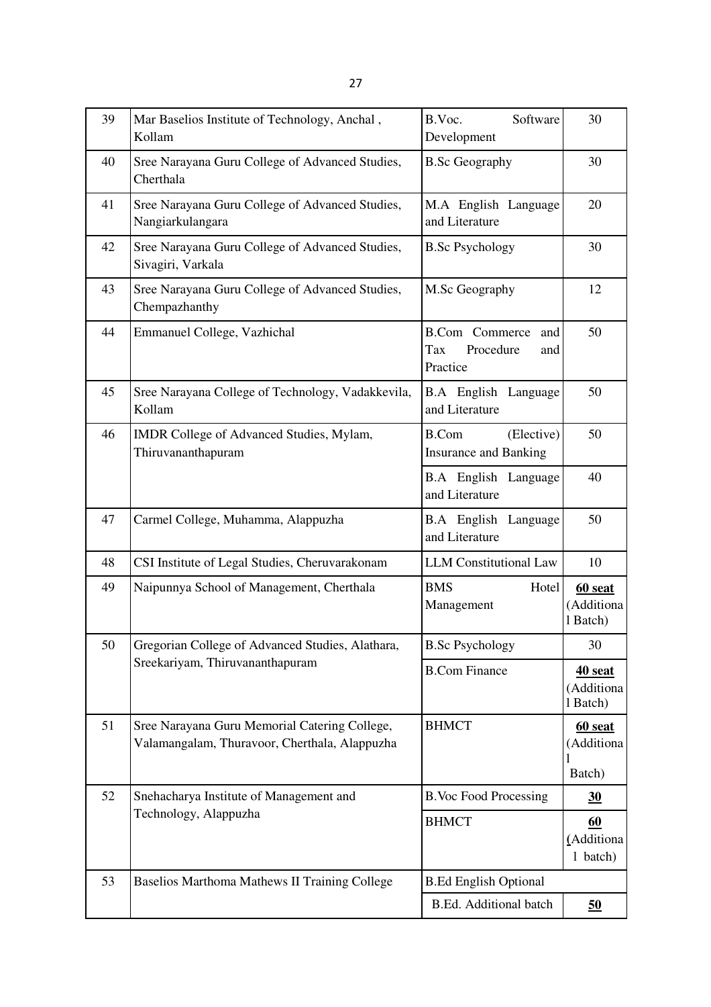| 39 | Mar Baselios Institute of Technology, Anchal,<br>Kollam                                        | B.Voc.<br>Software<br>Development                                   | 30                                |
|----|------------------------------------------------------------------------------------------------|---------------------------------------------------------------------|-----------------------------------|
| 40 | Sree Narayana Guru College of Advanced Studies,<br>Cherthala                                   | <b>B.Sc Geography</b>                                               | 30                                |
| 41 | Sree Narayana Guru College of Advanced Studies,<br>Nangiarkulangara                            | M.A English Language<br>and Literature                              | 20                                |
| 42 | Sree Narayana Guru College of Advanced Studies,<br>Sivagiri, Varkala                           | <b>B.Sc Psychology</b>                                              | 30                                |
| 43 | Sree Narayana Guru College of Advanced Studies,<br>Chempazhanthy                               | M.Sc Geography                                                      | 12                                |
| 44 | Emmanuel College, Vazhichal                                                                    | <b>B.Com</b> Commerce<br>and<br>Tax<br>Procedure<br>and<br>Practice | 50                                |
| 45 | Sree Narayana College of Technology, Vadakkevila,<br>Kollam                                    | <b>B.A</b> English Language<br>and Literature                       | 50                                |
| 46 | IMDR College of Advanced Studies, Mylam,<br>Thiruvananthapuram                                 | <b>B.Com</b><br>(Elective)<br><b>Insurance and Banking</b>          | 50                                |
|    |                                                                                                | <b>B.A</b> English Language<br>and Literature                       | 40                                |
| 47 | Carmel College, Muhamma, Alappuzha                                                             | <b>B.A</b> English Language<br>and Literature                       | 50                                |
| 48 | CSI Institute of Legal Studies, Cheruvarakonam                                                 | <b>LLM</b> Constitutional Law                                       | 10                                |
| 49 | Naipunnya School of Management, Cherthala                                                      | <b>BMS</b><br>Hotel<br>Management                                   | 60 seat<br>(Additiona<br>1 Batch) |
| 50 | Gregorian College of Advanced Studies, Alathara,                                               | <b>B.Sc Psychology</b>                                              | 30                                |
|    | Sreekariyam, Thiruvananthapuram                                                                | <b>B.Com Finance</b>                                                | 40 seat<br>(Additiona<br>1 Batch) |
| 51 | Sree Narayana Guru Memorial Catering College,<br>Valamangalam, Thuravoor, Cherthala, Alappuzha | <b>BHMCT</b>                                                        | 60 seat<br>(Additiona<br>Batch)   |
| 52 | Snehacharya Institute of Management and                                                        | <b>B.Voc Food Processing</b>                                        | 30                                |
|    | Technology, Alappuzha                                                                          | <b>BHMCT</b>                                                        | 60<br>(Additiona<br>1 batch)      |
| 53 | Baselios Marthoma Mathews II Training College                                                  | <b>B.Ed English Optional</b>                                        |                                   |
|    |                                                                                                | B.Ed. Additional batch                                              | 50                                |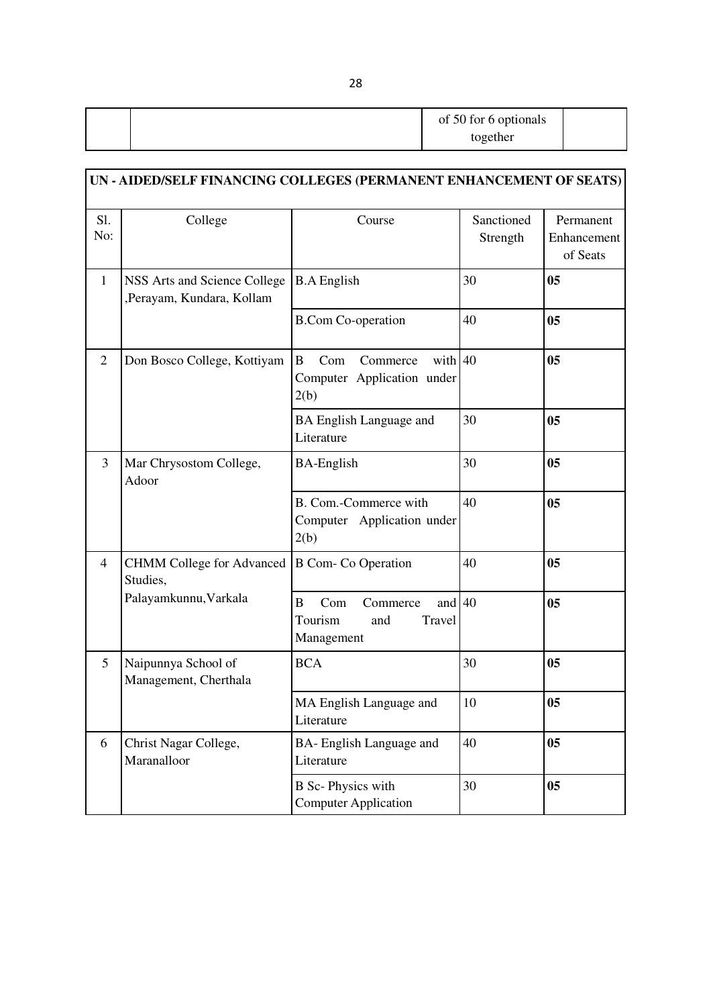|  | of 50 for 6 optionals |  |
|--|-----------------------|--|
|  | together              |  |

|                | UN - AIDED/SELF FINANCING COLLEGES (PERMANENT ENHANCEMENT OF SEATS) |                                                                                  |                        |                                      |  |
|----------------|---------------------------------------------------------------------|----------------------------------------------------------------------------------|------------------------|--------------------------------------|--|
| S1.<br>No:     | College                                                             | Course                                                                           | Sanctioned<br>Strength | Permanent<br>Enhancement<br>of Seats |  |
| $\mathbf{1}$   | NSS Arts and Science College<br>,Perayam, Kundara, Kollam           | <b>B.A</b> English                                                               | 30                     | 0 <sub>5</sub>                       |  |
|                |                                                                     | <b>B.Com Co-operation</b>                                                        | 40                     | 0 <sub>5</sub>                       |  |
| $\overline{2}$ | Don Bosco College, Kottiyam                                         | with 40<br>$\mathbf{B}$<br>Com<br>Commerce<br>Computer Application under<br>2(b) |                        | 0 <sub>5</sub>                       |  |
|                |                                                                     | <b>BA English Language and</b><br>Literature                                     | 30                     | 0 <sub>5</sub>                       |  |
| $\overline{3}$ | Mar Chrysostom College,<br>Adoor                                    | <b>BA-English</b>                                                                | 30                     | 0 <sub>5</sub>                       |  |
|                |                                                                     | B. Com.-Commerce with<br>Computer Application under<br>2(b)                      | 40                     | 0 <sub>5</sub>                       |  |
| $\overline{4}$ | <b>CHMM College for Advanced</b><br>Studies,                        | <b>B</b> Com- Co Operation                                                       | 40                     | 0 <sub>5</sub>                       |  |
|                | Palayamkunnu, Varkala                                               | and $40$<br>Com<br>B<br>Commerce<br>Tourism<br>and<br>Travel<br>Management       |                        | 0 <sub>5</sub>                       |  |
| 5              | Naipunnya School of<br>Management, Cherthala                        | <b>BCA</b>                                                                       | 30                     | 0 <sub>5</sub>                       |  |
|                |                                                                     | MA English Language and<br>Literature                                            | 10                     | 05                                   |  |
| 6              | Christ Nagar College,<br>Maranalloor                                | BA- English Language and<br>Literature                                           | 40                     | 0 <sub>5</sub>                       |  |
|                |                                                                     | <b>B</b> Sc-Physics with<br><b>Computer Application</b>                          | 30                     | 0 <sub>5</sub>                       |  |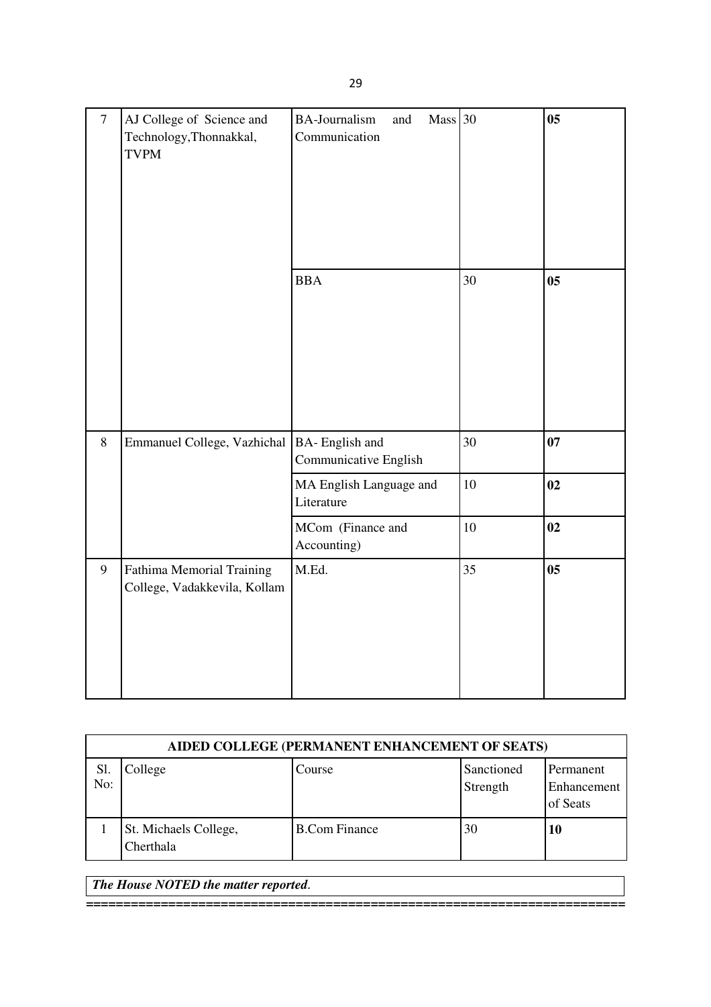| $\overline{7}$ | AJ College of Science and<br>Technology, Thonnakkal,<br><b>TVPM</b> | Mass 30<br><b>BA-Journalism</b><br>and<br>Communication |    | 0 <sub>5</sub> |
|----------------|---------------------------------------------------------------------|---------------------------------------------------------|----|----------------|
|                |                                                                     | <b>BBA</b>                                              | 30 | 0 <sub>5</sub> |
| 8              | Emmanuel College, Vazhichal                                         | BA-English and<br>Communicative English                 | 30 | 07             |
|                |                                                                     | MA English Language and<br>Literature                   | 10 | 02             |
|                |                                                                     | MCom (Finance and<br>Accounting)                        | 10 | 02             |
| 9              | <b>Fathima Memorial Training</b><br>College, Vadakkevila, Kollam    | M.Ed.                                                   | 35 | 0 <sub>5</sub> |

|            | AIDED COLLEGE (PERMANENT ENHANCEMENT OF SEATS) |                      |                        |                                      |  |  |
|------------|------------------------------------------------|----------------------|------------------------|--------------------------------------|--|--|
| Sl.<br>No: | College                                        | Course               | Sanctioned<br>Strength | Permanent<br>Enhancement<br>of Seats |  |  |
|            | St. Michaels College,<br>Cherthala             | <b>B.Com Finance</b> | 30                     | 10                                   |  |  |

**========================================================================** 

*The House NOTED the matter reported.*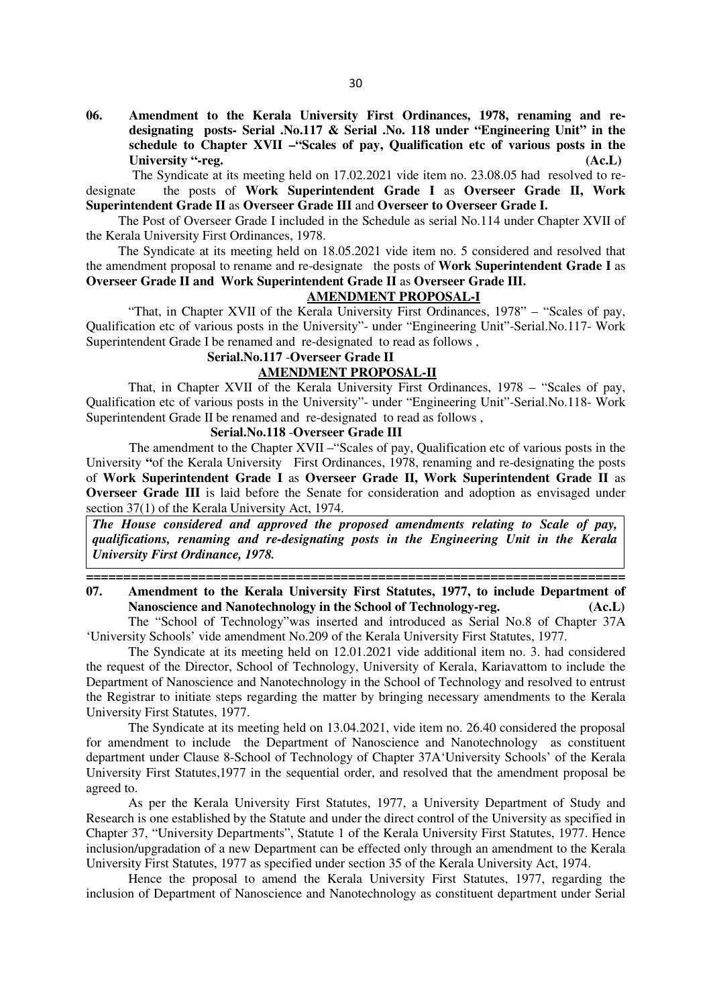**06. Amendment to the Kerala University First Ordinances, 1978, renaming and redesignating posts- Serial .No.117 & Serial .No. 118 under "Engineering Unit" in the schedule to Chapter XVII –"Scales of pay, Qualification etc of various posts in the**  University "-reg. (Ac.L)

The Syndicate at its meeting held on 17.02.2021 vide item no. 23.08.05 had resolved to redesignate the posts of **Work Superintendent Grade I** as **Overseer Grade II, Work Superintendent Grade II** as **Overseer Grade III** and **Overseer to Overseer Grade I.** 

The Post of Overseer Grade I included in the Schedule as serial No.114 under Chapter XVII of the Kerala University First Ordinances, 1978.

The Syndicate at its meeting held on 18.05.2021 vide item no. 5 considered and resolved that the amendment proposal to rename and re-designate the posts of **Work Superintendent Grade I** as **Overseer Grade II and Work Superintendent Grade II** as **Overseer Grade III.**

#### **AMENDMENT PROPOSAL-I**

"That, in Chapter XVII of the Kerala University First Ordinances, 1978" – "Scales of pay, Qualification etc of various posts in the University"- under "Engineering Unit"-Serial.No.117- Work Superintendent Grade I be renamed and re-designated to read as follows ,

#### **Serial.No.117** -**Overseer Grade II AMENDMENT PROPOSAL-II**

That, in Chapter XVII of the Kerala University First Ordinances, 1978 – "Scales of pay, Qualification etc of various posts in the University"- under "Engineering Unit"-Serial.No.118- Work Superintendent Grade II be renamed and re-designated to read as follows.

#### **Serial.No.118** -**Overseer Grade III**

 The amendment to the Chapter XVII –"Scales of pay, Qualification etc of various posts in the University "of the Kerala University First Ordinances, 1978, renaming and re-designating the posts of **Work Superintendent Grade I** as **Overseer Grade II, Work Superintendent Grade II** as **Overseer Grade III** is laid before the Senate for consideration and adoption as envisaged under section 37(1) of the Kerala University Act, 1974.

*The House considered and approved the proposed amendments relating to Scale of pay, qualifications, renaming and re-designating posts in the Engineering Unit in the Kerala University First Ordinance, 1978.* 

## **07. Amendment to the Kerala University First Statutes, 1977, to include Department of Nanoscience and Nanotechnology in the School of Technology-reg. (Ac.L)**

**========================================================================** 

The "School of Technology"was inserted and introduced as Serial No.8 of Chapter 37A 'University Schools' vide amendment No.209 of the Kerala University First Statutes, 1977.

The Syndicate at its meeting held on 12.01.2021 vide additional item no. 3. had considered the request of the Director, School of Technology, University of Kerala, Kariavattom to include the Department of Nanoscience and Nanotechnology in the School of Technology and resolved to entrust the Registrar to initiate steps regarding the matter by bringing necessary amendments to the Kerala University First Statutes, 1977.

The Syndicate at its meeting held on 13.04.2021, vide item no. 26.40 considered the proposal for amendment to include the Department of Nanoscience and Nanotechnology as constituent department under Clause 8-School of Technology of Chapter 37A'University Schools' of the Kerala University First Statutes,1977 in the sequential order, and resolved that the amendment proposal be agreed to.

As per the Kerala University First Statutes, 1977, a University Department of Study and Research is one established by the Statute and under the direct control of the University as specified in Chapter 37, "University Departments", Statute 1 of the Kerala University First Statutes, 1977. Hence inclusion/upgradation of a new Department can be effected only through an amendment to the Kerala University First Statutes, 1977 as specified under section 35 of the Kerala University Act, 1974.

Hence the proposal to amend the Kerala University First Statutes, 1977, regarding the inclusion of Department of Nanoscience and Nanotechnology as constituent department under Serial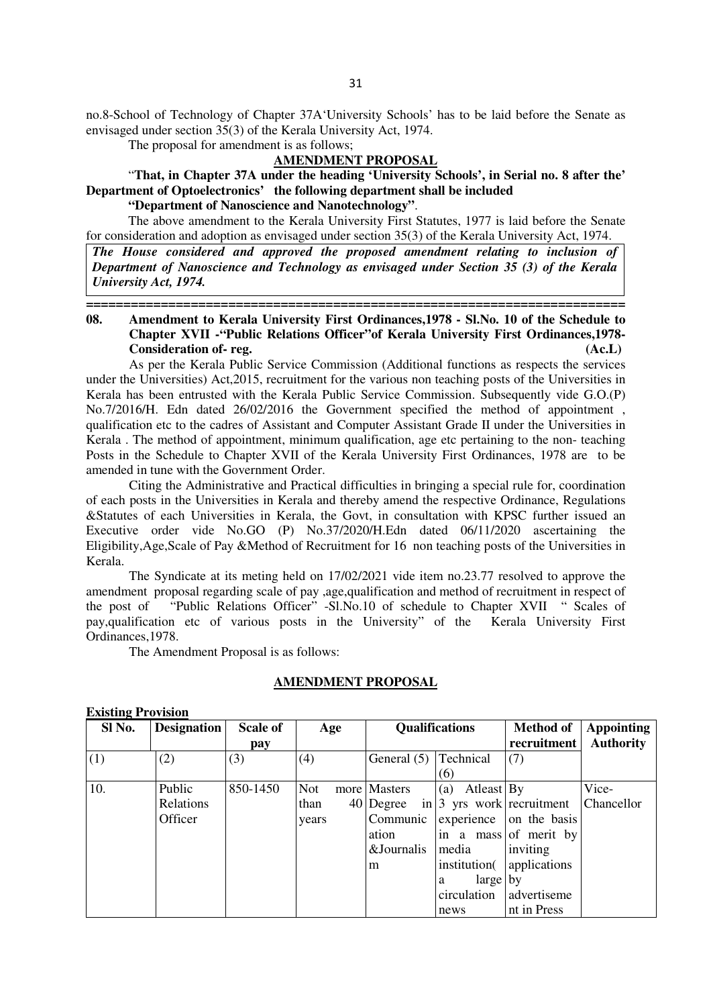no.8-School of Technology of Chapter 37A'University Schools' has to be laid before the Senate as envisaged under section 35(3) of the Kerala University Act, 1974.

The proposal for amendment is as follows;

## **AMENDMENT PROPOSAL**

"**That, in Chapter 37A under the heading 'University Schools', in Serial no. 8 after the' Department of Optoelectronics' the following department shall be included**

**"Department of Nanoscience and Nanotechnology"**.

The above amendment to the Kerala University First Statutes, 1977 is laid before the Senate for consideration and adoption as envisaged under section 35(3) of the Kerala University Act, 1974.

*The House considered and approved the proposed amendment relating to inclusion of Department of Nanoscience and Technology as envisaged under Section 35 (3) of the Kerala University Act, 1974.* 

### **======================================================================== 08. Amendment to Kerala University First Ordinances,1978 - Sl.No. 10 of the Schedule to Chapter XVII -"Public Relations Officer"of Kerala University First Ordinances,1978- Consideration of- reg. (Ac.L)**

 As per the Kerala Public Service Commission (Additional functions as respects the services under the Universities) Act,2015, recruitment for the various non teaching posts of the Universities in Kerala has been entrusted with the Kerala Public Service Commission. Subsequently vide G.O.(P) No.7/2016/H. Edn dated 26/02/2016 the Government specified the method of appointment , qualification etc to the cadres of Assistant and Computer Assistant Grade II under the Universities in Kerala . The method of appointment, minimum qualification, age etc pertaining to the non- teaching Posts in the Schedule to Chapter XVII of the Kerala University First Ordinances, 1978 are to be amended in tune with the Government Order.

 Citing the Administrative and Practical difficulties in bringing a special rule for, coordination of each posts in the Universities in Kerala and thereby amend the respective Ordinance, Regulations &Statutes of each Universities in Kerala, the Govt, in consultation with KPSC further issued an Executive order vide No.GO (P) No.37/2020/H.Edn dated 06/11/2020 ascertaining the Eligibility,Age,Scale of Pay &Method of Recruitment for 16 non teaching posts of the Universities in Kerala.

 The Syndicate at its meting held on 17/02/2021 vide item no.23.77 resolved to approve the amendment proposal regarding scale of pay ,age,qualification and method of recruitment in respect of the post of "Public Relations Officer" -Sl.No.10 of schedule to Chapter XVII " Scales of pay,qualification etc of various posts in the University" of the Kerala University First Ordinances,1978.

The Amendment Proposal is as follows:

#### **AMENDMENT PROPOSAL**

#### **Existing Provision**

| Sl No. | <b>Designation</b> | <b>Scale of</b> | Age        |              | <b>Qualifications</b>                | <b>Method of</b>        | <b>Appointing</b> |
|--------|--------------------|-----------------|------------|--------------|--------------------------------------|-------------------------|-------------------|
|        |                    | pay             |            |              |                                      | recruitment             | <b>Authority</b>  |
| (1)    | (2)                | (3)             | (4)        | General (5)  | Technical                            | (7)                     |                   |
|        |                    |                 |            |              | (6)                                  |                         |                   |
| 10.    | Public             | 850-1450        | <b>Not</b> | more Masters | Atleast By<br>(a)                    |                         | Vice-             |
|        | Relations          |                 | than       | $40$ Degree  | in $ 3 \text{ yrs}$ work recruitment |                         | Chancellor        |
|        | Officer            |                 | years      | Communic     |                                      | experience on the basis |                   |
|        |                    |                 |            | ation        |                                      | in a mass of merit by   |                   |
|        |                    |                 |            | &Journalis   | media                                | inviting                |                   |
|        |                    |                 |            | m            | institution(                         | applications            |                   |
|        |                    |                 |            |              | $large$ by<br>a                      |                         |                   |
|        |                    |                 |            |              | circulation                          | advertiseme             |                   |
|        |                    |                 |            |              | news                                 | nt in Press             |                   |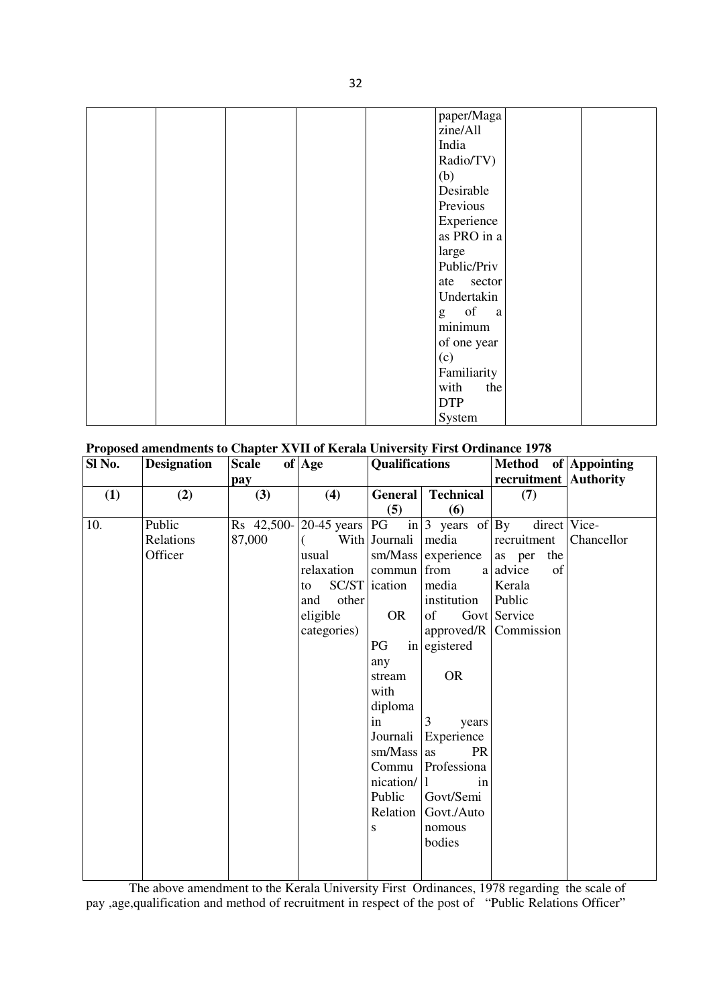| paper/Maga  |
|-------------|
| zine/All    |
| India       |
| Radio/TV)   |
| (b)         |
| Desirable   |
| Previous    |
|             |
| Experience  |
| as PRO in a |
| large       |
| Public/Priv |
| ate sector  |
| Undertakin  |
| g of<br>a a |
| minimum     |
| of one year |
| (c)         |
| Familiarity |
| with<br>the |
| <b>DTP</b>  |
| System      |

## **Proposed amendments to Chapter XVII of Kerala University First Ordinance 1978**

| Sl No. | <b>Designation</b> | <b>Scale</b> | of Age        | <b>Qualifications</b> |                                          | Method of Appointing       |            |
|--------|--------------------|--------------|---------------|-----------------------|------------------------------------------|----------------------------|------------|
|        |                    | pay          |               |                       |                                          | recruitment   Authority    |            |
| (1)    | (2)                | (3)          | (4)           | General               | <b>Technical</b>                         | (7)                        |            |
|        |                    |              |               | (5)                   | (6)                                      |                            |            |
| 10.    | Public             | Rs 42,500-   | $20-45$ years |                       | PG in $ 3 \text{ years of }   \text{By}$ | direct Vice-               |            |
|        | Relations          | 87,000       |               | With Journali         | media                                    | recruitment                | Chancellor |
|        | Officer            |              | usual         | sm/Mass               | experience                               | the<br>as per              |            |
|        |                    |              | relaxation    | commun                | from                                     | a advice<br>of             |            |
|        |                    |              | to            | SC/ST ication         | media                                    | Kerala                     |            |
|        |                    |              | other<br>and  |                       | institution                              | Public                     |            |
|        |                    |              | eligible      | <b>OR</b>             | of                                       | Govt Service               |            |
|        |                    |              | categories)   |                       |                                          | approved/ $R$   Commission |            |
|        |                    |              |               | PG                    | in egistered                             |                            |            |
|        |                    |              |               | any                   |                                          |                            |            |
|        |                    |              |               | stream                | <b>OR</b>                                |                            |            |
|        |                    |              |               | with                  |                                          |                            |            |
|        |                    |              |               | diploma               |                                          |                            |            |
|        |                    |              |               | in                    | 3<br>years                               |                            |            |
|        |                    |              |               | Journali              | Experience                               |                            |            |
|        |                    |              |               | sm/Mass               | PR<br>as                                 |                            |            |
|        |                    |              |               | Commu                 | Professiona                              |                            |            |
|        |                    |              |               | nication/             | in                                       |                            |            |
|        |                    |              |               | Public                | Govt/Semi                                |                            |            |
|        |                    |              |               | Relation              | Govt./Auto                               |                            |            |
|        |                    |              |               | S                     | nomous                                   |                            |            |
|        |                    |              |               |                       | bodies                                   |                            |            |
|        |                    |              |               |                       |                                          |                            |            |
|        |                    |              |               |                       |                                          |                            |            |

 The above amendment to the Kerala University First Ordinances, 1978 regarding the scale of pay ,age,qualification and method of recruitment in respect of the post of "Public Relations Officer"

32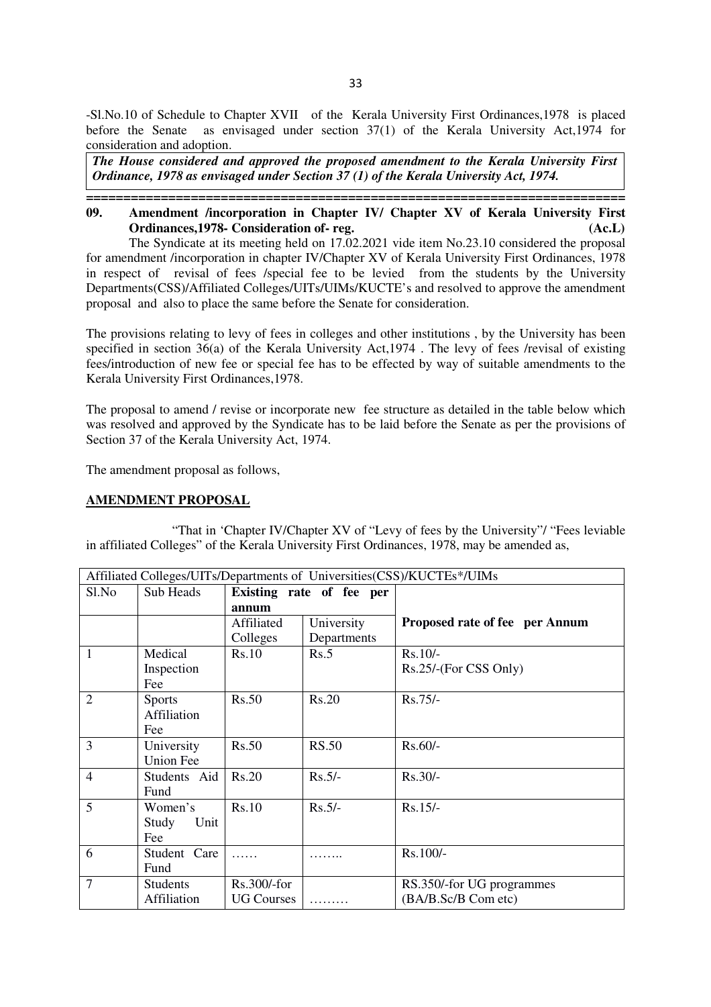-Sl.No.10 of Schedule to Chapter XVII of the Kerala University First Ordinances,1978 is placed before the Senate as envisaged under section 37(1) of the Kerala University Act,1974 for consideration and adoption.

*The House considered and approved the proposed amendment to the Kerala University First Ordinance, 1978 as envisaged under Section 37 (1) of the Kerala University Act, 1974.* 

**========================================================================** 

### **09. Amendment /incorporation in Chapter IV/ Chapter XV of Kerala University First Ordinances,1978- Consideration of- reg. (Ac.L)**

The Syndicate at its meeting held on 17.02.2021 vide item No.23.10 considered the proposal for amendment /incorporation in chapter IV/Chapter XV of Kerala University First Ordinances, 1978 in respect of revisal of fees /special fee to be levied from the students by the University Departments(CSS)/Affiliated Colleges/UITs/UIMs/KUCTE's and resolved to approve the amendment proposal and also to place the same before the Senate for consideration.

The provisions relating to levy of fees in colleges and other institutions , by the University has been specified in section 36(a) of the Kerala University Act,1974 . The levy of fees /revisal of existing fees/introduction of new fee or special fee has to be effected by way of suitable amendments to the Kerala University First Ordinances,1978.

The proposal to amend / revise or incorporate new fee structure as detailed in the table below which was resolved and approved by the Syndicate has to be laid before the Senate as per the provisions of Section 37 of the Kerala University Act, 1974.

The amendment proposal as follows,

#### **AMENDMENT PROPOSAL**

 "That in 'Chapter IV/Chapter XV of "Levy of fees by the University"/ "Fees leviable in affiliated Colleges" of the Kerala University First Ordinances, 1978, may be amended as,

| Affiliated Colleges/UITs/Departments of Universities(CSS)/KUCTEs*/UIMs |                 |                          |              |                                |  |
|------------------------------------------------------------------------|-----------------|--------------------------|--------------|--------------------------------|--|
| Sl.No                                                                  | Sub Heads       | Existing rate of fee per |              |                                |  |
|                                                                        |                 | annum                    |              |                                |  |
|                                                                        |                 | Affiliated               | University   | Proposed rate of fee per Annum |  |
|                                                                        |                 | Colleges                 | Departments  |                                |  |
| 1                                                                      | Medical         | Rs.10                    | Rs.5         | $Rs.10/-$                      |  |
|                                                                        | Inspection      |                          |              | Rs.25/-(For CSS Only)          |  |
|                                                                        | Fee             |                          |              |                                |  |
| $\overline{2}$                                                         | <b>Sports</b>   | Rs.50                    | Rs.20        | $Rs.75/-$                      |  |
|                                                                        | Affiliation     |                          |              |                                |  |
|                                                                        | Fee             |                          |              |                                |  |
| 3                                                                      | University      | Rs.50                    | <b>RS.50</b> | $Rs.60/-$                      |  |
|                                                                        | Union Fee       |                          |              |                                |  |
| $\overline{4}$                                                         | Students Aid    | <b>Rs.20</b>             | $Rs.5/-$     | $Rs.30/-$                      |  |
|                                                                        | Fund            |                          |              |                                |  |
| 5                                                                      | Women's         | Rs.10                    | $Rs.5/-$     | $Rs.15/-$                      |  |
|                                                                        | Unit<br>Study   |                          |              |                                |  |
|                                                                        | Fee             |                          |              |                                |  |
| 6                                                                      | Student Care    |                          |              | Rs.100/-                       |  |
|                                                                        | Fund            |                          |              |                                |  |
| $\overline{7}$                                                         | <b>Students</b> | Rs.300/-for              |              | RS.350/-for UG programmes      |  |
|                                                                        | Affiliation     | <b>UG Courses</b>        |              | (BA/B.Sc/B Com etc)            |  |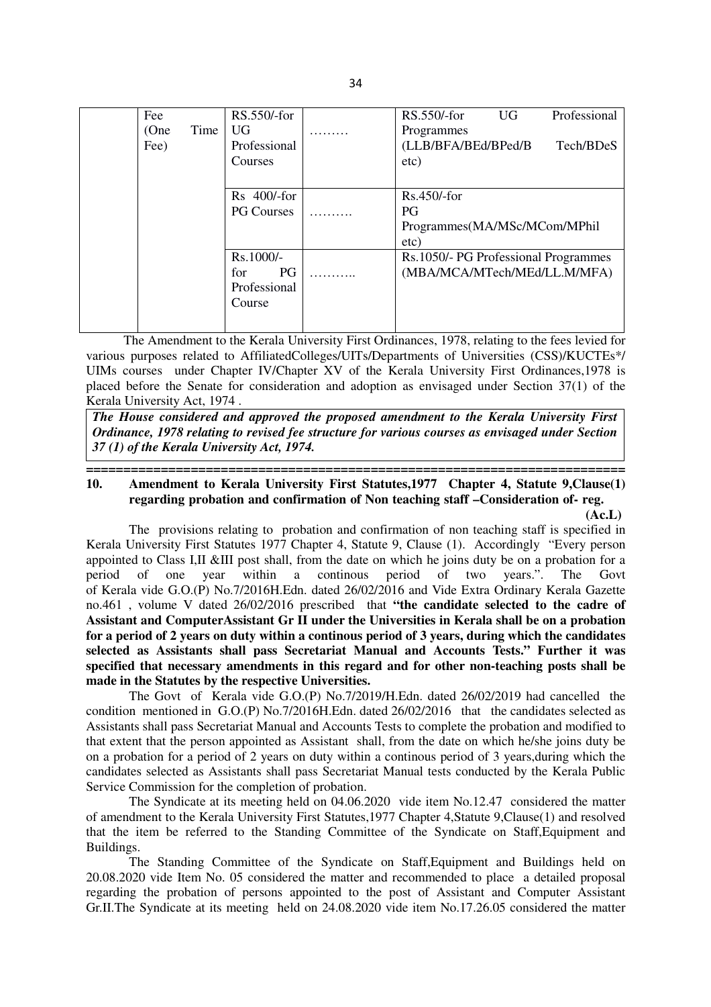| Fee  |      | RS.550/-for       | RS.550/-for<br>Professional<br><b>UG</b> |
|------|------|-------------------|------------------------------------------|
| (One | Time | UG <sub></sub>    | Programmes                               |
| Fee) |      | Professional      | (LLB/BFA/BEd/BPed/B<br>Tech/BDeS         |
|      |      | Courses           | etc)                                     |
|      |      |                   |                                          |
|      |      | Rs 400/-for       | $Rs.450/- for$                           |
|      |      | <b>PG Courses</b> | <b>PG</b>                                |
|      |      |                   | Programmes(MA/MSc/MCom/MPhil             |
|      |      |                   | etc)                                     |
|      |      | Rs.1000/-         | Rs.1050/- PG Professional Programmes     |
|      |      | <b>PG</b><br>for  | (MBA/MCA/MTech/MEd/LL.M/MFA)             |
|      |      | Professional      |                                          |
|      |      | Course            |                                          |
|      |      |                   |                                          |
|      |      |                   |                                          |

 The Amendment to the Kerala University First Ordinances, 1978, relating to the fees levied for various purposes related to AffiliatedColleges/UITs/Departments of Universities (CSS)/KUCTEs\*/ UIMs courses under Chapter IV/Chapter XV of the Kerala University First Ordinances,1978 is placed before the Senate for consideration and adoption as envisaged under Section 37(1) of the Kerala University Act, 1974 .

*The House considered and approved the proposed amendment to the Kerala University First Ordinance, 1978 relating to revised fee structure for various courses as envisaged under Section 37 (1) of the Kerala University Act, 1974.* 

### **======================================================================== 10. Amendment to Kerala University First Statutes,1977 Chapter 4, Statute 9,Clause(1) regarding probation and confirmation of Non teaching staff –Consideration of- reg.**

 **(Ac.L)** The provisions relating to probation and confirmation of non teaching staff is specified in Kerala University First Statutes 1977 Chapter 4, Statute 9, Clause (1). Accordingly "Every person appointed to Class I, II &III post shall, from the date on which he joins duty be on a probation for a period of one year within a continuous period of two years.". The Govt period of one year within a continous period of two years.". The Govt of Kerala vide G.O.(P) No.7/2016H.Edn. dated 26/02/2016 and Vide Extra Ordinary Kerala Gazette no.461 , volume V dated 26/02/2016 prescribed that **"the candidate selected to the cadre of Assistant and ComputerAssistant Gr II under the Universities in Kerala shall be on a probation for a period of 2 years on duty within a continous period of 3 years, during which the candidates selected as Assistants shall pass Secretariat Manual and Accounts Tests." Further it was specified that necessary amendments in this regard and for other non-teaching posts shall be made in the Statutes by the respective Universities.**

The Govt of Kerala vide G.O.(P) No.7/2019/H.Edn. dated 26/02/2019 had cancelled the condition mentioned in G.O.(P) No.7/2016H.Edn. dated 26/02/2016 that the candidates selected as Assistants shall pass Secretariat Manual and Accounts Tests to complete the probation and modified to that extent that the person appointed as Assistant shall, from the date on which he/she joins duty be on a probation for a period of 2 years on duty within a continous period of 3 years,during which the candidates selected as Assistants shall pass Secretariat Manual tests conducted by the Kerala Public Service Commission for the completion of probation.

The Syndicate at its meeting held on 04.06.2020 vide item No.12.47 considered the matter of amendment to the Kerala University First Statutes,1977 Chapter 4,Statute 9,Clause(1) and resolved that the item be referred to the Standing Committee of the Syndicate on Staff,Equipment and Buildings.

The Standing Committee of the Syndicate on Staff,Equipment and Buildings held on 20.08.2020 vide Item No. 05 considered the matter and recommended to place a detailed proposal regarding the probation of persons appointed to the post of Assistant and Computer Assistant Gr.II.The Syndicate at its meeting held on 24.08.2020 vide item No.17.26.05 considered the matter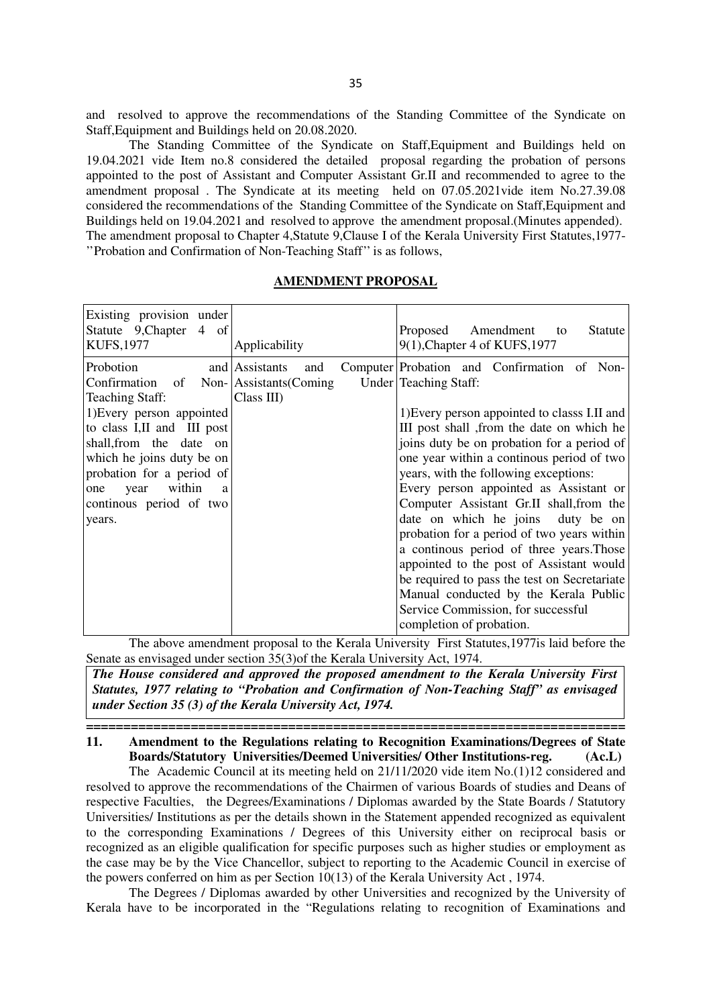and resolved to approve the recommendations of the Standing Committee of the Syndicate on Staff,Equipment and Buildings held on 20.08.2020.

The Standing Committee of the Syndicate on Staff,Equipment and Buildings held on 19.04.2021 vide Item no.8 considered the detailed proposal regarding the probation of persons appointed to the post of Assistant and Computer Assistant Gr.II and recommended to agree to the amendment proposal . The Syndicate at its meeting held on 07.05.2021vide item No.27.39.08 considered the recommendations of the Standing Committee of the Syndicate on Staff,Equipment and Buildings held on 19.04.2021 and resolved to approve the amendment proposal.(Minutes appended). The amendment proposal to Chapter 4,Statute 9,Clause I of the Kerala University First Statutes,1977- ''Probation and Confirmation of Non-Teaching Staff'' is as follows,

#### **AMENDMENT PROPOSAL**

| Existing provision under<br>Statute 9, Chapter 4 of<br><b>KUFS, 1977</b>                                                                                                                                     | Applicability                                             | Amendment<br>Proposed<br>Statute<br>to<br>9(1), Chapter 4 of KUFS, 1977                                                                                                                                                                                                                                                                                                                                                   |
|--------------------------------------------------------------------------------------------------------------------------------------------------------------------------------------------------------------|-----------------------------------------------------------|---------------------------------------------------------------------------------------------------------------------------------------------------------------------------------------------------------------------------------------------------------------------------------------------------------------------------------------------------------------------------------------------------------------------------|
| Probotion<br>Confirmation of Non-<br><b>Teaching Staff:</b><br>1) Every person appointed<br>to class I, II and III post<br>shall, from the date on<br>which he joins duty be on<br>probation for a period of | and Assistants<br>and<br>Assistants (Coming<br>Class III) | Computer Probation and Confirmation of Non-<br>Under Teaching Staff:<br>1) Every person appointed to classs I.II and<br>III post shall, from the date on which he<br>joins duty be on probation for a period of<br>one year within a continous period of two<br>years, with the following exceptions:                                                                                                                     |
| within<br>year<br>one<br>a<br>continuos period of two<br>years.                                                                                                                                              |                                                           | Every person appointed as Assistant or<br>Computer Assistant Gr.II shall, from the<br>date on which he joins duty be on<br>probation for a period of two years within<br>a continuous period of three years. Those<br>appointed to the post of Assistant would<br>be required to pass the test on Secretariate<br>Manual conducted by the Kerala Public<br>Service Commission, for successful<br>completion of probation. |

The above amendment proposal to the Kerala University First Statutes,1977is laid before the Senate as envisaged under section 35(3)of the Kerala University Act, 1974.

*The House considered and approved the proposed amendment to the Kerala University First Statutes, 1977 relating to "Probation and Confirmation of Non-Teaching Staff" as envisaged under Section 35 (3) of the Kerala University Act, 1974.* 

## **======================================================================== 11. Amendment to the Regulations relating to Recognition Examinations/Degrees of State Boards/Statutory Universities/Deemed Universities/ Other Institutions-reg. (Ac.L)**

The Academic Council at its meeting held on 21/11/2020 vide item No.(1)12 considered and resolved to approve the recommendations of the Chairmen of various Boards of studies and Deans of respective Faculties, the Degrees/Examinations / Diplomas awarded by the State Boards / Statutory Universities/ Institutions as per the details shown in the Statement appended recognized as equivalent to the corresponding Examinations / Degrees of this University either on reciprocal basis or recognized as an eligible qualification for specific purposes such as higher studies or employment as the case may be by the Vice Chancellor, subject to reporting to the Academic Council in exercise of the powers conferred on him as per Section 10(13) of the Kerala University Act , 1974.

The Degrees / Diplomas awarded by other Universities and recognized by the University of Kerala have to be incorporated in the "Regulations relating to recognition of Examinations and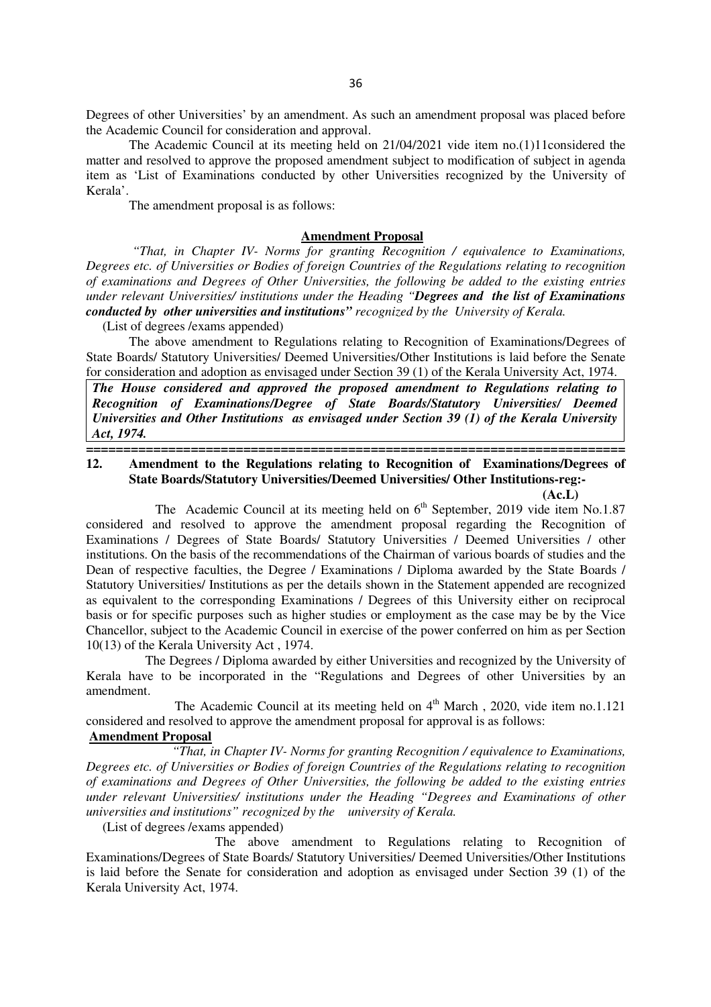Degrees of other Universities' by an amendment. As such an amendment proposal was placed before the Academic Council for consideration and approval.

The Academic Council at its meeting held on 21/04/2021 vide item no.(1)11considered the matter and resolved to approve the proposed amendment subject to modification of subject in agenda item as 'List of Examinations conducted by other Universities recognized by the University of Kerala'.

The amendment proposal is as follows:

#### **Amendment Proposal**

 *"That, in Chapter IV- Norms for granting Recognition / equivalence to Examinations, Degrees etc. of Universities or Bodies of foreign Countries of the Regulations relating to recognition of examinations and Degrees of Other Universities, the following be added to the existing entries under relevant Universities/ institutions under the Heading "Degrees and the list of Examinations conducted by other universities and institutions" recognized by the University of Kerala.* 

(List of degrees /exams appended)

The above amendment to Regulations relating to Recognition of Examinations/Degrees of State Boards/ Statutory Universities/ Deemed Universities/Other Institutions is laid before the Senate for consideration and adoption as envisaged under Section 39 (1) of the Kerala University Act, 1974.

*The House considered and approved the proposed amendment to Regulations relating to Recognition of Examinations/Degree of State Boards/Statutory Universities/ Deemed Universities and Other Institutions as envisaged under Section 39 (1) of the Kerala University Act, 1974.* 

**========================================================================** 

### **12. Amendment to the Regulations relating to Recognition of Examinations/Degrees of State Boards/Statutory Universities/Deemed Universities/ Other Institutions-reg:- (Ac.L)**

The Academic Council at its meeting held on  $6<sup>th</sup>$  September, 2019 vide item No.1.87 considered and resolved to approve the amendment proposal regarding the Recognition of Examinations / Degrees of State Boards/ Statutory Universities / Deemed Universities / other institutions. On the basis of the recommendations of the Chairman of various boards of studies and the Dean of respective faculties, the Degree / Examinations / Diploma awarded by the State Boards / Statutory Universities/ Institutions as per the details shown in the Statement appended are recognized as equivalent to the corresponding Examinations / Degrees of this University either on reciprocal basis or for specific purposes such as higher studies or employment as the case may be by the Vice Chancellor, subject to the Academic Council in exercise of the power conferred on him as per Section 10(13) of the Kerala University Act , 1974.

 The Degrees / Diploma awarded by either Universities and recognized by the University of Kerala have to be incorporated in the "Regulations and Degrees of other Universities by an amendment.

The Academic Council at its meeting held on  $4<sup>th</sup>$  March, 2020, vide item no.1.121 considered and resolved to approve the amendment proposal for approval is as follows:

### **Amendment Proposal**

 *"That, in Chapter IV- Norms for granting Recognition / equivalence to Examinations, Degrees etc. of Universities or Bodies of foreign Countries of the Regulations relating to recognition of examinations and Degrees of Other Universities, the following be added to the existing entries under relevant Universities/ institutions under the Heading "Degrees and Examinations of other universities and institutions" recognized by the university of Kerala.* 

(List of degrees /exams appended)

 The above amendment to Regulations relating to Recognition of Examinations/Degrees of State Boards/ Statutory Universities/ Deemed Universities/Other Institutions is laid before the Senate for consideration and adoption as envisaged under Section 39 (1) of the Kerala University Act, 1974.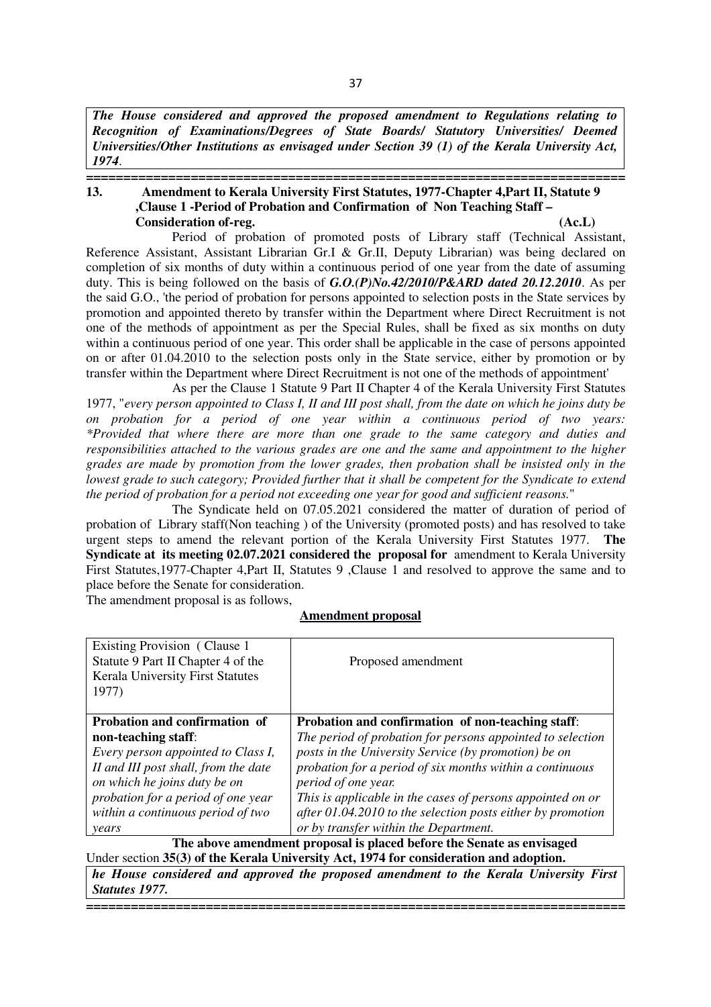*The House considered and approved the proposed amendment to Regulations relating to Recognition of Examinations/Degrees of State Boards/ Statutory Universities/ Deemed Universities/Other Institutions as envisaged under Section 39 (1) of the Kerala University Act, 1974*.

#### **======================================================================== 13. Amendment to Kerala University First Statutes, 1977-Chapter 4,Part II, Statute 9 ,Clause 1 -Period of Probation and Confirmation of Non Teaching Staff – Consideration of-reg. (Ac.L)**

 Period of probation of promoted posts of Library staff (Technical Assistant, Reference Assistant, Assistant Librarian Gr.I & Gr.II, Deputy Librarian) was being declared on completion of six months of duty within a continuous period of one year from the date of assuming duty. This is being followed on the basis of *G.O.(P)No.42/2010/P&ARD dated 20.12.2010*. As per the said G.O., 'the period of probation for persons appointed to selection posts in the State services by promotion and appointed thereto by transfer within the Department where Direct Recruitment is not one of the methods of appointment as per the Special Rules, shall be fixed as six months on duty within a continuous period of one year. This order shall be applicable in the case of persons appointed on or after 01.04.2010 to the selection posts only in the State service, either by promotion or by transfer within the Department where Direct Recruitment is not one of the methods of appointment'

 As per the Clause 1 Statute 9 Part II Chapter 4 of the Kerala University First Statutes 1977, "*every person appointed to Class I, II and III post shall, from the date on which he joins duty be on probation for a period of one year within a continuous period of two years: \*Provided that where there are more than one grade to the same category and duties and responsibilities attached to the various grades are one and the same and appointment to the higher grades are made by promotion from the lower grades, then probation shall be insisted only in the lowest grade to such category; Provided further that it shall be competent for the Syndicate to extend the period of probation for a period not exceeding one year for good and sufficient reasons.*"

 The Syndicate held on 07.05.2021 considered the matter of duration of period of probation of Library staff(Non teaching ) of the University (promoted posts) and has resolved to take urgent steps to amend the relevant portion of the Kerala University First Statutes 1977. **The Syndicate at its meeting 02.07.2021 considered the proposal for** amendment to Kerala University First Statutes,1977-Chapter 4,Part II, Statutes 9 ,Clause 1 and resolved to approve the same and to place before the Senate for consideration.

The amendment proposal is as follows,

#### **Amendment proposal**

| Existing Provision (Clause 1)<br>Statute 9 Part II Chapter 4 of the<br><b>Kerala University First Statutes</b><br>1977)                                                                                         | Proposed amendment                                                                                                                                                                                                                                                                                                       |
|-----------------------------------------------------------------------------------------------------------------------------------------------------------------------------------------------------------------|--------------------------------------------------------------------------------------------------------------------------------------------------------------------------------------------------------------------------------------------------------------------------------------------------------------------------|
| <b>Probation and confirmation of</b><br>non-teaching staff:<br>Every person appointed to Class I,<br>II and III post shall, from the date<br>on which he joins duty be on<br>probation for a period of one year | Probation and confirmation of non-teaching staff:<br>The period of probation for persons appointed to selection<br>posts in the University Service (by promotion) be on<br>probation for a period of six months within a continuous<br>period of one year.<br>This is applicable in the cases of persons appointed on or |
| within a continuous period of two<br>years                                                                                                                                                                      | after $01.04.2010$ to the selection posts either by promotion<br>or by transfer within the Department.<br>The above amendment proposal is placed before the Senate as envisaged                                                                                                                                          |

Under section **35(3) of the Kerala University Act, 1974 for consideration and adoption.**

*he House considered and approved the proposed amendment to the Kerala University First Statutes 1977.*

**========================================================================**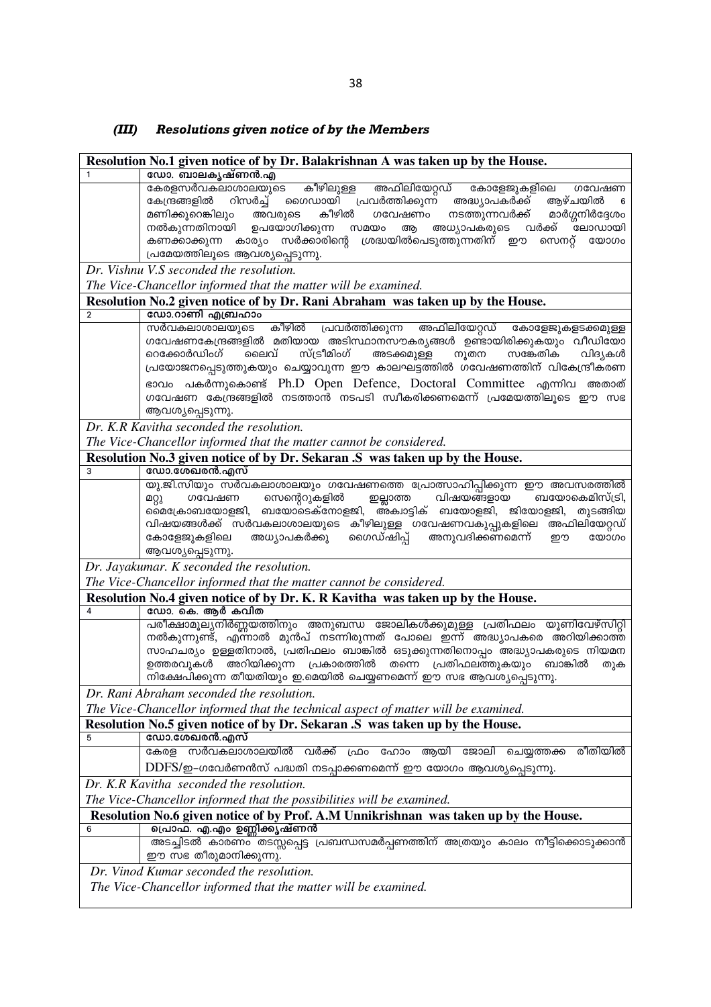# *(III) Resolutions given notice of by the Members*

|                | Resolution No.1 given notice of by Dr. Balakrishnan A was taken up by the House.                                                                                 |
|----------------|------------------------------------------------------------------------------------------------------------------------------------------------------------------|
| 1              | ഡോ. ബാലകൃഷ്ണൻ.എ                                                                                                                                                  |
|                | കേരളസർവകലാശാലയുടെ കീഴിലുള്ള<br>അഫിലിയേറ്റഡ് കോളേജുകളിലെ ഗവേഷണ                                                                                                    |
|                | കേന്ദ്രങ്ങളിൽ റിസർച്ച് ഗൈഡായി പ്രവർത്തിക്കുന്ന് അദ്ധ്യാപകർക്ക് ആഴ്ചയിൽ<br>$6\overline{6}$<br>അവരുടെ കീഴിൽ<br>നടത്തുന്നവർക്ക് മാർഗ്ഗനിർദ്ദേശം<br>മണിക്കൂറെങ്കിലും |
|                | ഗവേഷണം<br>അധ്യാപകരുടെ വർക്ക് ്ലോഡായി<br>നൽകുന്നതിനായി ഉപയോഗിക്കുന്ന സമയം<br>ആ                                                                                    |
|                | കണക്കാക്കുന്ന കാര്യം സർക്കാരിന്റെ ശ്രദ്ധയിൽപെടുത്തുന്നതിന് ഈ<br>സെനറ്റ് യോഗം                                                                                     |
|                | പ്രമേയത്തിലൂടെ ആവശ്യപ്പെടുന്നു.                                                                                                                                  |
|                | Dr. Vishnu V.S seconded the resolution.                                                                                                                          |
|                | The Vice-Chancellor informed that the matter will be examined.                                                                                                   |
|                | Resolution No.2 given notice of by Dr. Rani Abraham was taken up by the House.                                                                                   |
| $\overline{2}$ | ഡോ.റാണി എബ്രഹാം                                                                                                                                                  |
|                | കീഴിൽ പ്രവർത്തിക്കുന്ന<br>അഫിലിയേറ്റഡ് കോളേജുകളടക്കമുള്ള<br>സർവകലാശാലയുടെ                                                                                        |
|                | ഗവേഷണകേന്ദ്രങ്ങളിൽ മതിയായ അടിസ്ഥാനസൗകര്യങ്ങൾ ഉണ്ടായിരിക്കുകയും വീഡിയോ                                                                                            |
|                | സ്ട്രീമിംഗ്<br>ലൈവ്<br>അടക്കമുള്ള<br>നൂതന<br>റെക്കോർഡിംഗ്<br>സങ്കേതിക<br>വിദ്യകൾ                                                                                 |
|                | പ്രയോജനപ്പെടുത്തുകയും ചെയ്യാവുന്ന ഈ കാലഘട്ടത്തിൽ ഗവേഷണത്തിന് വികേന്ദ്രീകരണ                                                                                       |
|                | ഭാവം പകർന്നുകൊണ്ട് Ph.D Open Defence, Doctoral Committee എന്നിവ അതാത്                                                                                            |
|                | ഗവേഷണ കേന്ദ്രങ്ങളിൽ നടത്താൻ നടപടി സ്വീകരിക്കണമെന്ന് പ്രമേയത്തിലൂടെ ഈ സഭ                                                                                          |
|                | ആവശ്യപ്പെടുന്നു.                                                                                                                                                 |
|                | Dr. K.R Kavitha seconded the resolution.                                                                                                                         |
|                | The Vice-Chancellor informed that the matter cannot be considered.                                                                                               |
|                | Resolution No.3 given notice of by Dr. Sekaran .S was taken up by the House.<br>ഡോ.ശേഖരൻ.എസ്                                                                     |
| 3              | യു.ജി.സിയും സർവകലാശാലയും ഗവേഷണത്തെ പ്രോത്സാഹിപ്പിക്കുന്ന ഈ അവസരത്തിൽ                                                                                             |
|                |                                                                                                                                                                  |
|                | മറ്റു ഗവേഷണ സെന്റെറുകളിൽ ഇല്ലാത്ത വിഷയങ്ങളായ ബയോകെമിസ്ട്രി,<br>മൈക്രോബയോളജി, ബയോടെക്നോളജി, അക്വാട്ടിക് ബയോളജി, ജിയോളജി, തുടങ്ങിയ                                 |
|                | വിഷയങ്ങൾക്ക് സർവകലാശാലയുടെ കീഴിലുള്ള ഗവേഷണവകുപ്പുകളിലെ അഫിലിയേറ്റഡ്                                                                                              |
|                | അധ്യാപകർക്കു ഗൈഡ്ഷിപ്പ് അനുവദിക്കണമെന്ന്<br>കോളേജുകളിലെ<br>യോഗം<br>றற                                                                                            |
|                | ആവശ്യപ്പെടുന്നു.                                                                                                                                                 |
|                | Dr. Jayakumar. K seconded the resolution.                                                                                                                        |
|                | The Vice-Chancellor informed that the matter cannot be considered.                                                                                               |
|                | Resolution No.4 given notice of by Dr. K. R Kavitha was taken up by the House.                                                                                   |
| 4              | ഡോ. കെ. ആർ കവിത                                                                                                                                                  |
|                | പരീക്ഷാമൂല്യനിർണ്ണയത്തിനും അനുബന്ധ ജോലികൾക്കുമുള്ള പ്രതിഫലം യൂണിവേഴ്സിറ്റി<br>നൽകുന്നുണ്ട്, എന്നാൽ മുൻപ് നടന്നിരുന്നത് പോലെ ഇന്ന് അദ്ധ്യാപകരെ അറിയിക്കാത്ത       |
|                | സാഹചര്യം ഉള്ളതിനാൽ, പ്രതിഫലം ബാങ്കിൽ ഒടുക്കുന്നതിനൊപ്പം അദ്ധ്യാപകരുടെ നിയമന                                                                                      |
|                | അറിയിക്കുന്ന പ്രകാരത്തിൽ<br>തന്നെ പ്രതിഫലത്തുകയും ബാങ്കിൽ<br>ഉത്തരവുകൾ<br>തുക                                                                                    |
|                | നിക്ഷേപിക്കുന്ന തീയതിയും ഇ.മെയിൽ ചെയ്യണമെന്ന് ഈ സഭ ആവശ്യപ്പെടുന്നു.                                                                                              |
|                | Dr. Rani Abraham seconded the resolution.                                                                                                                        |
|                | The Vice-Chancellor informed that the technical aspect of matter will be examined.                                                                               |
|                | Resolution No.5 given notice of by Dr. Sekaran S was taken up by the House.                                                                                      |
| 5              | ഡോ.ശേഖരൻ.എസ്                                                                                                                                                     |
|                | സർവകലാശാലയിൽ വർക്ക്<br>ആയി<br>രീതിയിൽ<br>കേരള<br>ഫ്രാ<br>ഹോം<br>ജോലി<br>ചെയ്യത്തക്ക                                                                              |
|                | $\text{DDFS}/\text{2}$ -ഗവേർണൻസ് പദ്ധതി നടപ്പാക്കണമെന്ന് ഈ യോഗം ആവശ്യപ്പെടുന്നു.                                                                                 |
|                | Dr. K.R Kavitha seconded the resolution.                                                                                                                         |
|                | The Vice-Chancellor informed that the possibilities will be examined.                                                                                            |
|                | Resolution No.6 given notice of by Prof. A.M Unnikrishnan was taken up by the House.                                                                             |
| 6              | പ്രൊഫ. എ.എം ഉണ്ണിക്കൃഷ്ണൻ                                                                                                                                        |
|                | അടച്ചിടൽ കാരണം തടസ്സപ്പെട്ട പ്രബന്ധസമർപ്പണത്തിന് അത്രയും കാലം നീട്ടിക്കൊടുക്കാൻ                                                                                  |
|                | ഈ സഭ തീരുമാനിക്കുന്നു.                                                                                                                                           |
|                | Dr. Vinod Kumar seconded the resolution.                                                                                                                         |
|                | The Vice-Chancellor informed that the matter will be examined.                                                                                                   |
|                |                                                                                                                                                                  |